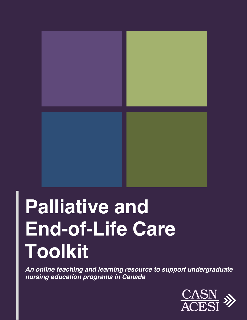

# **Palliative and End-of-Life Care Toolkit**

*An online teaching and learning resource to support undergraduate nursing education programs in Canada* 

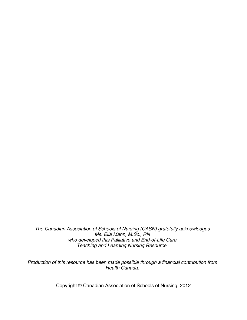*The Canadian Association of Schools of Nursing (CASN) gratefully acknowledges Ms. Ella Mann, M.Sc., RN who developed this Palliative and End-of-Life Care Teaching and Learning Nursing Resource.* 

*Production of this resource has been made possible through a financial contribution from Health Canada.* 

Copyright © Canadian Association of Schools of Nursing, 2012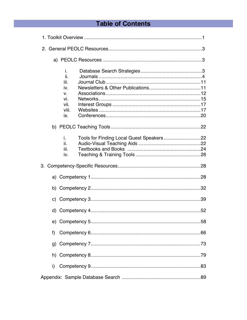# **Table of Contents**

| İ.<br>ii.<br>iii.<br>iv.<br>V.<br>vi.<br>vii.<br>viii.<br>İX. |  |
|---------------------------------------------------------------|--|
|                                                               |  |
| i.<br>ii.<br>iii.<br>iv.                                      |  |
|                                                               |  |
|                                                               |  |
|                                                               |  |
|                                                               |  |
|                                                               |  |
|                                                               |  |
| f)                                                            |  |
|                                                               |  |
|                                                               |  |
| i)                                                            |  |
|                                                               |  |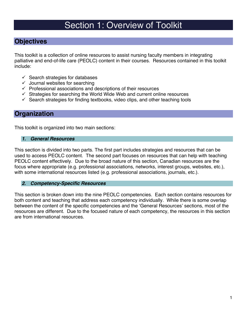# Section 1: Overview of Toolkit

#### **Objectives**

This toolkit is a collection of online resources to assist nursing faculty members in integrating palliative and end-of-life care (PEOLC) content in their courses. Resources contained in this toolkit include:

- $\checkmark$  Search strategies for databases
- $\checkmark$  Journal websites for searching
- $\checkmark$  Professional associations and descriptions of their resources
- $\checkmark$  Strategies for searching the World Wide Web and current online resources
- $\checkmark$  Search strategies for finding textbooks, video clips, and other teaching tools

#### **Organization**

This toolkit is organized into two main sections:

#### *1. General Resources*

This section is divided into two parts. The first part includes strategies and resources that can be used to access PEOLC content. The second part focuses on resources that can help with teaching PEOLC content effectively. Due to the broad nature of this section, Canadian resources are the focus where appropriate (e.g. professional associations, networks, interest groups, websites, etc.), with some international resources listed (e.g. professional associations, journals, etc.).

#### *2. Competency-Specific Resources*

This section is broken down into the nine PEOLC competencies. Each section contains resources for both content and teaching that address each competency individually. While there is some overlap between the content of the specific competencies and the 'General Resources' sections, most of the resources are different. Due to the focused nature of each competency, the resources in this section are from international resources.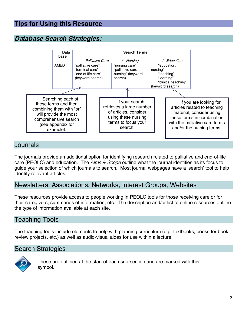# **Tips for Using this Resource**

# *Database Search Strategies:*



#### Journals

The journals provide an additional option for identifying research related to palliative and end-of-life care (PEOLC) and education. The *Aims & Scope* outline what the journal identifies as its focus to guide your selection of which journals to search. Most journal webpages have a 'search' tool to help identify relevant articles.

#### Newsletters, Associations, Networks, Interest Groups, Websites

These resources provide access to people working in PEOLC tools for those receiving care or for their caregivers, summaries of information, etc. The description and/or list of online resources outline the type of information available at each site.

### Teaching Tools

The teaching tools include elements to help with planning curriculum (e.g. textbooks, books for book review projects, etc.) as well as audio-visual aides for use within a lecture.

#### Search Strategies



These are outlined at the start of each sub-section and are marked with this symbol.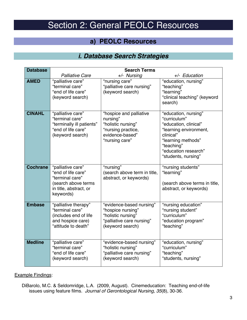# Section 2: General PEOLC Resources

#### **a) PEOLC Resources**

# *i. Database Search Strategies*

| <b>Database</b> | <b>Search Terms</b>                                                                                                      |                                                                                                                      |                                                                                                                                                                                         |
|-----------------|--------------------------------------------------------------------------------------------------------------------------|----------------------------------------------------------------------------------------------------------------------|-----------------------------------------------------------------------------------------------------------------------------------------------------------------------------------------|
|                 | <b>Palliative Care</b>                                                                                                   | $+/-$ Nursing                                                                                                        | +/- Education                                                                                                                                                                           |
| <b>AMED</b>     | "palliative care"<br>"terminal care"<br>"end of life care"<br>(keyword search)                                           | "nursing care"<br>"palliative care nursing"<br>(keyword search)                                                      | "education, nursing"<br>"teaching"<br>"learning"<br>"clinical teaching" (keyword<br>search)                                                                                             |
| <b>CINAHL</b>   | "palliative care"<br>"terminal care"<br>"terminally ill patients"<br>"end of life care"<br>(keyword search)              | "hospice and palliative<br>nursing"<br>"holistic nursing"<br>"nursing practice,<br>evidence-based"<br>"nursing care" | "education, nursing"<br>"curriculum"<br>"education, clinical"<br>"learning environment,<br>clinical"<br>"learning methods"<br>"teaching"<br>"education research"<br>"students, nursing" |
| <b>Cochrane</b> | "palliative care"<br>"end of life care"<br>"terminal care"<br>(search above terms<br>in title, abstract, or<br>keywords) | "nursing"<br>(search above term in title,<br>abstract, or keywords)                                                  | "nursing students"<br>"learning"<br>(search above terms in title,<br>abstract, or keywords)                                                                                             |
| <b>Embase</b>   | "palliative therapy"<br>"terminal care"<br>(includes end of life<br>and hospice care)<br>"attitude to death"             | "evidence-based nursing"<br>"hospice nursing"<br>"holistic nursing"<br>"palliative care nursing"<br>(keyword search) | "nursing education"<br>"nursing student"<br>"curriculum"<br>"education program"<br>"teaching"                                                                                           |
| <b>Medline</b>  | "palliative care"<br>"terminal care"<br>"end of life care"<br>(keyword search)                                           | "evidence-based nursing"<br>"holistic nursing"<br>"palliative care nursing"<br>(keyword search)                      | "education, nursing"<br>"curriculum"<br>"teaching"<br>"students, nursing"                                                                                                               |

#### Example Findings:

DiBarolo, M.C. & Seldomridge, L.A. (2009, August). Cinemeducation: Teaching end-of-life issues using feature films. *Journal of Gerontological Nursing, 35*(8), 30-36.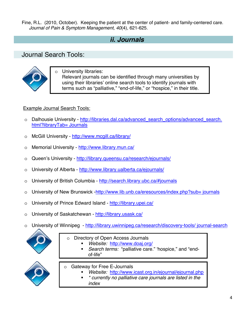Fine, R.L. (2010, October). Keeping the patient at the center of patient- and family-centered care. *Journal of Pain & Symptom Management, 40*(4), 621-625.

# *ii. Journals*

#### Journal Search Tools:



University libraries: Relevant journals can be identified through many universities by using their libraries' online search tools to identify journals with terms such as "palliative," "end-of-life," or "hospice," in their title.

#### Example Journal Search Tools:

- o Dalhousie University http://libraries.dal.ca/advanced\_search\_options/advanced\_search. html?libraryTab= Journals
- o McGill University http://www.mcgill.ca/library/
- o Memorial University http://www.library.mun.ca/
- o Queen's University http://library.queensu.ca/research/ejournals/
- o University of Alberta http://www.library.ualberta.ca/ejournals/
- o University of British Columbia http://search.library.ubc.ca/#journals
- o University of New Brunswick -http://www.lib.unb.ca/eresources/index.php?sub= journals
- o University of Prince Edward Island http://library.upei.ca/
- o University of Saskatchewan http://library.usask.ca/
- o University of Winnipeg http://library.uwinnipeg.ca/research/discovery-tools/ journal-search



- o Directory of Open Access Journals
	- *Website:* http://www.doaj.org/
	- *Search terms:* "palliative care." 'hospice," and "endof-life"



- o Gateway for Free E-Journals
	- *Website:* http://www.icast.org.in/ejournal/ejournal.php
		- *\* currently no palliative care journals are listed in the index*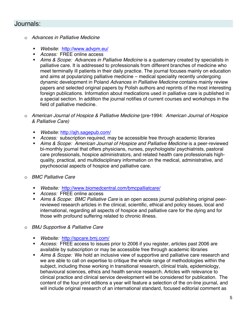#### Journals:

- o *Advances in Palliative Medicine* 
	- *Website*: http://www.advpm.eu/
	- *Access:* FREE online access
	- *Aims & Scope: Advances in Palliative Medicine* is a quaternary created by specialists in palliative care. It is addressed to professionals from different branches of medicine who meet terminally ill patients in their daily practice. The journal focuses mainly on education and aims at popularizing palliative medicine – medical speciality recently undergoing dynamic development in Poland *Advances in Palliative Medicine* contains mainly review papers and selected original papers by Polish authors and reprints of the most interesting foreign publications. Information about medications used in palliative care is published in a special section. In addition the journal notifies of current courses and workshops in the field of palliative medicine.
- o *American Journal of Hospice & Palliative Medicine* (pre-1994: *American Journal of Hospice & Palliative Care)* 
	- *Website:* http://ajh.sagepub.com/
	- *Access:* subscription required, may be accessible free through academic libraries
	- *Aims & Scope: American Journal of Hospice and Palliative Medicine* is a peer-reviewed bi-monthly journal that offers physicians, nurses, psychologists/ psychiatrists, pastoral care professionals, hospice administrators, and related health care professionals highquality, practical, and multidisciplinary information on the medical, administrative, and psychosocial aspects of hospice and palliative care.
- o *BMC Palliative Care* 
	- *Website:* http://www.biomedcentral.com/bmcpalliatcare/
	- *Access:* FREE online access
	- *Aims & Scope: BMC Palliative Care* is an open access journal publishing original peerreviewed research articles in the clinical, scientific, ethical and policy issues, local and international, regarding all aspects of hospice and palliative care for the dying and for those with profound suffering related to chronic illness.
- o *BMJ Supportive & Palliative Care* 
	- *Website:* http://spcare.bmj.com/
	- *Access:* FREE access to issues prior to 2006 if you register, articles past 2006 are available by subscription or may be accessible free through academic libraries
	- *Aims & Scope:* We hold an inclusive view of supportive and palliative care research and we are able to call on expertise to critique the whole range of methodologies within the subject, including those working in transitional research, clinical trials, epidemiology, behavioural sciences, ethics and health service research. Articles with relevance to clinical practice and clinical service development will be considered for publication. The content of the four print editions a year will feature a selection of the on-line journal, and will include original research of an international standard, focused editorial comment as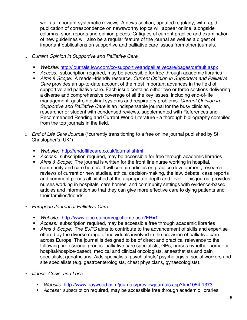well as important systematic reviews. A news section, updated regularly, with rapid publication of correspondence on newsworthy topics will appear online, alongside columns, short reports and opinion pieces. Critiques of current practice and examination of new guidelines will also be a regular feature of the journal as well as a digest of important publications on supportive and palliative care issues from other journals.

- o *Current Opinion in Supportive and Palliative Care* 
	- *Website:* http://journals.lww.com/co-supportiveandpalliativecare/pages/default.aspx
	- *Access:* subscription required, may be accessible for free through academic libraries
	- *Aims & Scope:* A reader-friendly resource, *Current Opinion in Supportive and Palliative Care* provides an up-to-date account of the most important advances in the field of supportive and palliative care. Each issue contains either two or three sections delivering a diverse and comprehensive coverage of all the key issues, including end-of-life management, gastrointestinal systems and respiratory problems. *Current Opinion in Supportive and Palliative Care* is an indispensable journal for the busy clinician, researcher or student with condensed reviews, supplemented with References and Recommended Reading and Current World Literature - a thorough bibliography compiled from the top journals in the field.
- o *End of Life Care Journal* (\*currently transitioning to a free online journal published by St. Christopher's, UK\*)
	- *Website:* http://endoflifecare.co.uk/journal.shtml
	- *Access:* subscription required, may be accessible for free through academic libraries
	- *Aims & Scope:* The journal is written for the front line nurse working in hospital, community and care homes. It will contain articles on practice development, research, reviews of current or new studies, ethical decision-making, the law, debate, case reports and comment pieces all pitched at the appropriate depth and level. This journal provides nurses working in hospitals, care homes, and community settings with evidence-based articles and information so that they can give more effective care to dying patients and their families/friends.
- o *European Journal of Palliative Care* 
	- *Website:* http://www.ejpc.eu.com/ejpchome.asp?FR=1
	- *Access:* subscription required, may be accessible free through academic libraries
	- *Aims & Scope:* The *EJPC* aims to contribute to the advancement of skills and expertise offered by the diverse range of individuals involved in the provision of palliative care across Europe. The journal is designed to be of direct and practical relevance to the following professional groups: palliative care specialists, GPs, nurses (whether home- or hospital/hospice-based), medical and clinical oncologists, anaesthetists and pain specialists, geriatricians, Aids specialists, psychiatrists/ psychologists, social workers and site specialists (e.g. gastroenterologists, chest physicians, gynaecologists).
- o *Illness, Crisis, and Loss* 
	- *Website:* http://www.baywood.com/journals/previewjournals.asp?Id=1054-1373
	- *Access:* subscription required, may be accessible free through academic libraries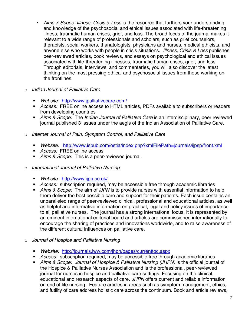- *Aims & Scope: Illness, Crisis & Loss* is the resource that furthers your understanding and knowledge of the psychosocial and ethical issues associated with life-threatening illness, traumatic human crises, grief, and loss. The broad focus of the journal makes it relevant to a wide range of professionals and scholars, such as grief counselors, therapists, social workers, thanatologists, physicians and nurses, medical ethicists, and anyone else who works with people in crisis situations. *Illness, Crisis & Loss* publishes peer-reviewed articles, book reviews, and essays on psychological and ethical issues associated with life-threatening illnesses, traumatic human crises, grief, and loss. Through editorials, interviews, and commentaries, you will also discover the latest thinking on the most pressing ethical and psychosocial issues from those working on the frontlines.
- o *Indian Journal of Palliative Care*
	- *Website:* http://www.jpalliativecare.com/
	- *Access:* FREE online access to HTML articles, PDFs available to subscribers or readers from developing countries
	- *Aims & Scope:* The *Indian Journal of Palliative Care* is an interdisciplinary, peer reviewed journal published 3 Issues under the aegis of the Indian Association of Palliative Care.
- o *Internet Journal of Pain, Symptom Control, and Palliative Care*
	- *Website:* http://www.ispub.com/ostia/index.php?xmlFilePath=journals/ijpsp/front.xml
	- *Access:* FREE online access
	- *Aims & Scope:* This is a peer-reviewed journal.
- o *International Journal of Palliative Nursing*
	- *Website:* http://www.ijpn.co.uk/
	- *Access:* subscription required, may be accessible free through academic libraries
	- *Aims & Scope:* The aim of *IJPN* is to provide nurses with essential information to help them deliver the best possible care and support for their patients. Each issue contains an unparalleled range of peer-reviewed clinical, professional and educational articles, as well as helpful and informative information on practical, legal and policy issues of importance to all palliative nurses. The journal has a strong international focus. It is represented by an eminent international editorial board and articles are commissioned internationally to encourage the sharing of practices and innovations worldwide, and to raise awareness of the different cultural influences on palliative care.
- o *Journal of Hospice and Palliative Nursing* 
	- *Website:* http://journals.lww.com/jhpn/pages/currenttoc.aspx
	- *Access:* subscription required, may be accessible free through academic libraries
	- *Aims & Scope: Journal of Hospice & Palliative Nursing (JHPN)* is the official journal of the Hospice & Palliative Nurses Association and is the professional, peer-reviewed journal for nurses in hospice and palliative care settings. Focusing on the clinical, educational and research aspects of care, *JHPN* offers current and reliable information on end of life nursing. Feature articles in areas such as symptom management, ethics, and futility of care address holistic care across the continuum. Book and article reviews,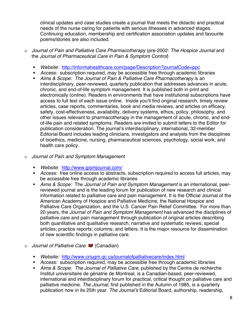clinical updates and case studies create a journal that meets the didactic and practical needs of the nurse caring for patients with serious illnesses in advanced stages. Continuing education, membership and certification association updates and favourite poems/stories are also included.

- o *Journal of Pain and Palliative Care Pharmacotherapy* (pre-2002: *The Hospice Journal* and the *Journal of Pharmaceutical Care in Pain & Symptom Control*)
	- *Website:* http://informahealthcare.com/page/Description?journalCode=ppc
	- *Access:* subscription required, may be accessible free through academic libraries
	- *Aims & Scope: The Journal of Pain & Palliative Care Pharmacotherapy* is an interdisciplinary, peer-reviewed, quarterly publication that addresses advances in acute, chronic, and end-of-life symptom management. It is published both in print and electronically (online). Readers in environments that have institutional subscriptions have access to full text of each issue online. Inside you'll find original research, timely review articles, case reports, commentaries, book and media reviews, and articles on efficacy, safety, cost-effectiveness, availability, delivery systems, ethics, policy, philosophy, and other issues relevant to pharmacotherapy in the management of acute, chronic, and endof-life pain and related symptoms. Readers are invited to submit letters to the Editor for publication consideration. The journal's interdisciplinary, international, 32-member Editorial Board includes leading clinicians, investigators and analysts from the disciplines of bioethics, medicine, nursing, pharmaceutical sciences, psychology, social work, and health care policy.
- o *Journal of Pain and Symptom Management*
	- *Website:* http://www.jpsmjournal.com/
	- *Access:* free online access to abstracts, subscription required to access full articles, may be accessible free through academic libraries
	- *Aims & Scope:* The *Journal of Pain and Symptom Management* is an international, peerreviewed journal and is the leading forum for publication of new research and clinical information related to palliative care and pain management. It is the Official Journal of the American Academy of Hospice and Palliative Medicine, the National Hospice and Palliative Care Organization, and the U.S. Cancer Pain Relief Committee. For more than 20 years, the *Journal of Pain and Symptom Management* has advanced the disciplines of palliative care and pain management through publication of original articles describing both quantitative and qualitative research; narrative and systematic reviews; special articles; practice reports; columns; and letters. It is the major resource for dissemination of new scientific findings in palliative care.
- o *Journal of Palliative Care* (Canadian)
	- *Website:* http://www.criugm.qc.ca/journalofpalliativecare/index.html
	- *Access:* subscription required, may be accessible free through academic libraries
	- *Aims & Scope: The Journal of Palliative Care*, published by the Centre de recherche Institut universitaire de gériatrie de Montreal, is a Canadian-based, peer-reviewed, international and interdisciplinary forum for practical, critical thought on palliative care and palliative medicine. *The Journal*, first published in the Autumn of 1985, is a quarterly publication now in its 25th year. *The Journal's* Editorial Board, authorship, readership,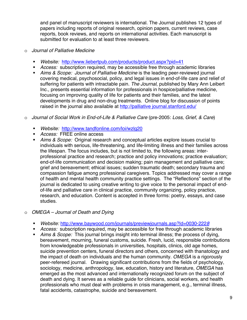and panel of manuscript reviewers is international. The Journal publishes 12 types of papers including reports of original research, opinion papers, current reviews, case reports, book reviews, and reports on international activities. Each manuscript is submitted for evaluation to at least three reviewers.

- o *Journal of Palliative Medicine* 
	- *Website:* http://www.liebertpub.com/products/product.aspx?pid=41
	- *Access:* subscription required, may be accessible free through academic libraries
	- *Aims & Scope: Journal of Palliative Medicine* is the leading peer-reviewed journal covering medical, psychosocial, policy, and legal issues in end-of-life care and relief of suffering for patients with intractable pain. *The Journal*, published by Mary Ann Leibert Inc., presents essential information for professionals in hospice/palliative medicine, focusing on improving quality of life for patients and their families, and the latest developments in drug and non-drug treatments. Online blog for discussion of points raised in the journal also available at http://palliative journal.stanford.edu/

#### o *Journal of Social Work in End-of-Life & Palliative Care* (pre-2005: *Loss, Grief, & Care*)

- *Website:* http://www.tandfonline.com/loi/wzlg20
- *Access:* FREE online access
- *Aims & Scope:* Original research and conceptual articles explore issues crucial to individuals with serious, life-threatening, and life-limiting illness and their families across the lifespan. The focus includes, but is not limited to, the following areas: interprofessional practice and research; practice and policy innovations; practice evaluation; end-of-life communication and decision making; pain management and palliative care; grief and bereavement; ethical issues; sudden traumatic death; secondary trauma and compassion fatigue among professional caregivers. Topics addressed may cover a range of health and mental health community practice settings. The "Reflections" section of the journal is dedicated to using creative writing to give voice to the personal impact of endof-life and palliative care in clinical practice, community organizing, policy practice, research, and education. Content is accepted in three forms: poetry, essays, and case studies.

#### o *OMEGA – Journal of Death and Dying*

- *Website:* http://www.baywood.com/journals/previewjournals.asp?Id=0030-222*8*
- *Access:* subscription required, may be accessible for free through academic libraries
- *Aims & Scope:* This journal brings insight into terminal illness; the process of dying, bereavement, mourning, funeral customs, suicide. Fresh, lucid, responsible contributions from knowledgeable professionals in universities, hospitals, clinics, old age homes, suicide prevention centers, funeral directors and others, concerned with thanatology and the impact of death on individuals and the human community. *OMEGA* is a rigorously peer-refereed journal. Drawing significant contributions from the fields of psychology, sociology, medicine, anthropology, law, education, history and literature, *OMEGA* has emerged as the most advanced and internationally recognized forum on the subject of death and dying. It serves as a reliable guide for clinicians, social workers, and health professionals who must deal with problems in crisis management, e.g., terminal illness, fatal accidents, catastrophe, suicide and bereavement.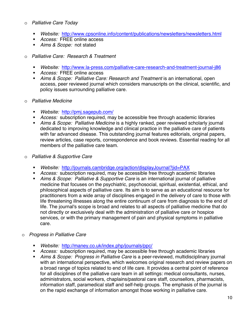#### o *Palliative Care Today*

- *Website:* http://www.cpsonline.info/content/publications/newsletters/newsletters.html
- *Access:* FREE online access
- *Aims & Scope:* not stated
- o *Palliative Care: Research & Treatment* 
	- *Website:* http://www.la-press.com/palliative-care-research-and-treatment-journal-j86
	- *Access:* FREE online access
	- *Aims & Scope: Palliative Care: Research and Treatment* is an international, open access, peer reviewed journal which considers manuscripts on the clinical, scientific, and policy issues surrounding palliative care.
- o *Palliative Medicine* 
	- *Website:* http://pmj.sagepub.com/
	- *Access:* subscription required, may be accessible free through academic libraries
	- *Aims & Scope: Palliative Medicine* is a highly ranked, peer reviewed scholarly journal dedicated to improving knowledge and clinical practice in the palliative care of patients with far advanced disease. This outstanding journal features editorials, original papers, review articles, case reports, correspondence and book reviews. Essential reading for all members of the palliative care team.
- o *Palliative & Supportive Care*
	- *Website:* http://journals.cambridge.org/action/displayJournal?jid=PAX
	- *Access:* subscription required, may be accessible free through academic libraries
	- *Aims & Scope: Palliative & Supportive Care* is an international journal of palliative medicine that focuses on the psychiatric, psychosocial, spiritual, existential, ethical, and philosophical aspects of palliative care. Its aim is to serve as an educational resource for practitioners from a wide array of disciplines engaged in the delivery of care to those with life threatening illnesses along the entire continuum of care from diagnosis to the end of life. The journal's scope is broad and relates to all aspects of palliative medicine that do not directly or exclusively deal with the administration of palliative care or hospice services, or with the primary management of pain and physical symptoms in palliative care.
- o *Progress in Palliative Care* 
	- *Website:* http://maney.co.uk/index.php/journals/ppc/
	- *Access:* subscription required, may be accessible free through academic libraries
	- *Aims & Scope: Progress in Palliative Care* is a peer-reviewed, multidisciplinary journal with an international perspective, which welcomes original research and review papers on a broad range of topics related to end of life care. It provides a central point of reference for all disciplines of the palliative care team in all settings: medical consultants, nurses, administrators, social workers, chaplains/pastoral care staff, counsellors, pharmacists, information staff, paramedical staff and self-help groups. The emphasis of the journal is on the rapid exchange of information amongst those working in palliative care.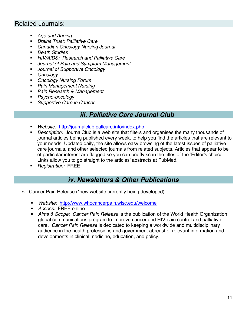#### Related Journals:

- *Age and Ageing*
- *Brains Trust: Palliative Care*
- *Canadian Oncology Nursing Journal*
- *Death Studies*
- *HIV/AIDS: Research and Palliative Care*
- *Journal of Pain and Symptom Management*
- *Journal of Supportive Oncology*
- *Oncology*
- *Oncology Nursing Forum*
- *Pain Management Nursing*
- *Pain Research & Management*
- *Psycho-oncology*
- *Supportive Care in Cancer*

#### *iii. Palliative Care Journal Club*

- *Website:* http://journalclub.pallcare.info/index.php
- *Description:* JournalClub is a web site that filters and organises the many thousands of journal articles being published every week, to help you find the articles that are relevant to your needs. Updated daily, the site allows easy browsing of the latest issues of palliative care journals, and other selected journals from related subjects. Articles that appear to be of particular interest are flagged so you can briefly scan the titles of the 'Editor's choice'. Links allow you to go straight to the articles' abstracts at PubMed.
- *Registration:* FREE

#### *iv. Newsletters & Other Publications*

- o Cancer Pain Release (\*new website currently being developed)
	- *Website:* http://www.whocancerpain.wisc.edu/welcome
	- *Access:* FREE online
	- *Aims & Scope: Cancer Pain Release* is the publication of the World Health Organization global communications program to improve cancer and HIV pain control and palliative care. *Cancer Pain Release* is dedicated to keeping a worldwide and multidisciplinary audience in the health professions and government abreast of relevant information and developments in clinical medicine, education, and policy.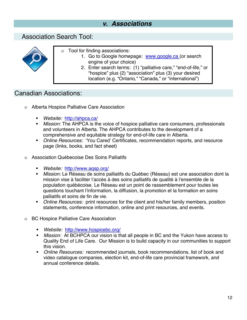# *v. Associations*

#### Association Search Tool:



- o Tool for finding associations:
	- 1. Go to Google homepage: www.google.ca (or search engine of your choice)
		- 2. Enter search terms: (1) "palliative care," "end-of-life," or "hospice" plus (2) "association" plus (3) your desired location (e.g. "Ontario," "Canada," or "international")

#### Canadian Associations:

- o Alberta Hospice Palliative Care Association
	- *Website:* http://ahpca.ca/
	- *Mission:* The AHPCA is the voice of hospice palliative care consumers, professionals and volunteers in Alberta. The AHPCA contributes to the development of a comprehensive and equitable strategy for end-of-life care in Alberta.
	- *Online Resources:* 'You Cared' Certificates, recommendation reports, and resource page (links, books, and fact sheet)
- o Association Québecoise Des Soins Palliatifs
	- *Website:* http://www.aqsp.org/
	- *Mission:* Le Réseau de soins palliatifs du Québec (Réseau) est une association dont la mission vise à faciliter l'accès à des soins palliatifs de qualité à l'ensemble de la population québécoise. Le Réseau est un point de rassemblement pour toutes les questions touchant l'information, la diffusion, la promotion et la formation en soins palliatifs et soins de fin de vie.
	- *Online Resources:* print resources for the client and his/her family members, position statements, conference information, online and print resources, and events.
- o BC Hospice Palliative Care Association
	- *Website:* http://www.hospicebc.org/
	- *Mission:* At BCHPCA our vision is that all people in BC and the Yukon have access to Quality End of Life Care. Our Mission is to build capacity in our communities to support this vision.
	- *Online Resources:* recommended journals, book recommendations, list of book and video catalogue companies, election kit, end-of-life care provincial framework, and annual conference details.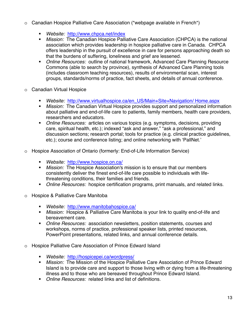- $\circ$  Canadian Hospice Palliative Care Association (\*webpage available in French\*)
	- *Website:* http://www.chpca.net/index
	- *Mission:* The Canadian Hospice Palliative Care Association (CHPCA) is the national association which provides leadership in hospice palliative care in Canada. CHPCA offers leadership in the pursuit of excellence in care for persons approaching death so that the burdens of suffering, loneliness and grief are lessened.
	- *Online Resources:* outline of national framework, Advanced Care Planning Resource Commons (able to search by province), synthesis of Advanced Care Planning tools (includes classroom teaching resources), results of environmental scan, interest groups, standards/norms of practice, fact sheets, and details of annual conference.
- o Canadian Virtual Hospice
	- *Website:* http://www.virtualhospice.ca/en\_US/Main+Site+Navigation/ Home.aspx
	- *Mission:* The Canadian Virtual Hospice provides support and personalized information about palliative and end-of-life care to patients, family members, health care providers, researchers and educators.
	- *Online Resources:* articles on various topics (e.g. symptoms, decisions, providing care, spiritual health, etc.); indexed "ask and answer," "ask a professional," and discussion sections; research portal; tools for practice (e.g. clinical practice guidelines, etc.); course and conference listing; and online networking with 'PallNet.'
- o Hospice Association of Ontario (formerly: End-of-Life Information Service)
	- *Website:* http://www.hospice.on.ca/
	- *Mission:* The Hospice Association's mission is to ensure that our members consistently deliver the finest end-of-life care possible to individuals with lifethreatening conditions, their families and friends.
	- *Online Resources:* hospice certification programs, print manuals, and related links.
- o Hospice & Palliative Care Manitoba
	- *Website:* http://www.manitobahospice.ca/
	- *Mission:* Hospice & Palliative Care Manitoba is your link to quality end-of-life and bereavement care.
	- *Online Resources:* association newsletters, position statements, courses and workshops, norms of practice, professional speaker lists, printed resources, PowerPoint presentations, related links, and annual conference details.
- o Hospice Palliative Care Association of Prince Edward Island
	- *Website:* http://hospicepei.ca/wordpress/
	- *Mission:* The Mission of the Hospice Palliative Care Association of Prince Edward Island is to provide care and support to those living with or dying from a life-threatening illness and to those who are bereaved throughout Prince Edward Island.
	- *Online Resources:* related links and list of definitions.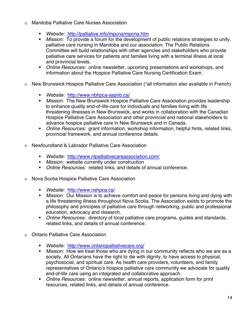- o Manitoba Palliative Care Nurses Association
	- *Website:* http://palliative.info/mpcna/mpcna.htm
	- *Mission:* To provide a forum for the development of public relations strategies to unify, palliative care nursing in Manitoba and our association. The Public Relations Committee will build relationships with other agencies and stakeholders who provide palliative care services for patients and families living with a terminal illness at local and provincial levels.
	- *Online Resources:* online newsletter, upcoming presentations and workshops, and information about the Hospice Palliative Care Nursing Certification Exam.
- o New Brunswick Hospice Palliative Care Association (\*all information also available in French)
	- *Website:* http://www.nbhpca-aspnb.ca/
	- *Mission:* The New Brunswick Hospice Palliative Care Association provides leadership to enhance quality end-of-life-care for individuals and families living with life threatening illnesses in New Brunswick, and works in collaboration with the Canadian Hospice Palliative Care Association and other provincial and national stakeholders to advance hospice palliative care in New Brunswick and in Canada.
	- *Online Resources:* grant information, workshop information, helpful hints, related links, provincial framework, and annual conference details.
- o Newfoundland & Labrador Palliative Care Association
	- *Website:* http://www.nlpalliativecareassociation.com/
	- *Mission:* website currently under construction
	- *Online Resources:* related links, and details of annual conference.
- o Nova Scotia Hospice Palliative Care Association
	- *Website:* http://www.nshpca.ca/
	- *Mission:* Our Mission is to achieve comfort and peace for persons living and dying with a life threatening illness throughout Nova Scotia. The Association exists to promote the philosophy and principles of palliative care through networking, public and professional education, advocacy and research.
	- *Online Resources:* directory of local palliative care programs, guides and standards, related links, and details of annual conference.
- o Ontario Palliative Care Association
	- *Website:* http://www.ontariopalliativecare.org/
	- *Mission:* How we treat those who are dying in our community reflects who we are as a society. All Ontarians have the right to die with dignity, to have access to physical, psychosocial, and spiritual care. As health care providers, volunteers, and family representatives of Ontario's hospice palliative care community we advocate for quality end-of-life care using an integrated and collaborative approach.
	- *Online Resources:* online newsletter, annual reports, application form for print resources, related links, and details of annual conference.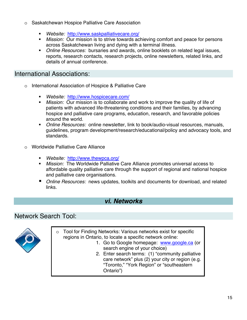- o Saskatchewan Hospice Palliative Care Association
	- *Website:* http://www.saskpalliativecare.org/
	- *Mission:* Our mission is to strive towards achieving comfort and peace for persons across Saskatchewan living and dying with a terminal illness.
	- *Online Resources:* bursaries and awards, online booklets on related legal issues, reports, research contacts, research projects, online newsletters, related links, and details of annual conference.

#### International Associations:

- o International Association of Hospice & Palliative Care
	- *Website:* http://www.hospicecare.com/
	- *Mission:* Our mission is to collaborate and work to improve the quality of life of patients with advanced life-threatening conditions and their families, by advancing hospice and palliative care programs, education, research, and favorable policies around the world.
	- *Online Resources:* online newsletter, link to book/audio-visual resources, manuals, guidelines, program development/research/educational/policy and advocacy tools, and standards.
- o Worldwide Palliative Care Alliance
	- *Website:* http://www.thewpca.org/
	- *Mission:* The Worldwide Palliative Care Alliance promotes universal access to affordable quality palliative care through the support of regional and national hospice and palliative care organisations.
	- *Online Resources:* news updates, toolkits and documents for download, and related links.

#### *vi. Networks*

#### Network Search Tool:



- o Tool for Finding Networks: Various networks exist for specific regions in Ontario, to locate a specific network online:
	- 1. Go to Google homepage: www.google.ca (or search engine of your choice)
	- 2. Enter search terms: (1) "community palliative care network" plus (2) your city or region (e.g. "Toronto," "York Region" or "southeastern Ontario")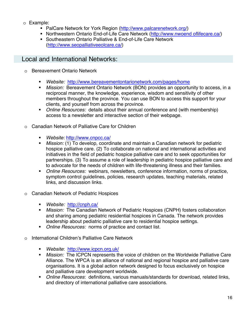- o Example:
	- PalCare Network for York Region (http://www.palcarenetwork.org/)
	- Northwestern Ontario End-of-Life Care Network (http://www.nwoend oflifecare.ca/)
	- Southeastern Ontario Palliative & End-of-Life Care Network (http://www.seopalliativeeolcare.ca/)

#### Local and International Networks:

- o Bereavement Ontario Network
	- *Website:* http://www.bereavementontarionetwork.com/pages/home
	- *Mission:* Bereavement Ontario Network (BON) provides an opportunity to access, in a reciprocal manner, the knowledge, experience, wisdom and sensitivity of other members throughout the province. You can use BON to access this support for your clients, and yourself from across the province.
	- *Online Resources:* details about their annual conference and (with membership) access to a newsletter and interactive section of their webpage.
- o Canadian Network of Palliative Care for Children
	- *Website:* http://www.cnpcc.ca/
	- *Mission:* (1) To develop, coordinate and maintain a Canadian network for pediatric hospice palliative care. (2) To collaborate on national and international activities and initiatives in the field of pediatric hospice palliative care and to seek opportunities for partnerships. (3) To assume a role of leadership in pediatric hospice palliative care and to advocate for the needs of children with life-threatening illness and their families.
	- *Online Resources:* webinars, newsletters, conference information, norms of practice, symptom control guidelines, policies, research updates, teaching materials, related links, and discussion links.
- o Canadian Network of Pediatric Hospices
	- *Website:* http://cnph.ca/
	- *Mission:* The Canadian Network of Pediatric Hospices (CNPH) fosters collaboration and sharing among pediatric residential hospices in Canada. The network provides leadership about pediatric palliative care to residential hospice settings.
	- *Online Resources:* norms of practice and contact list.
- o International Children's Palliative Care Network
	- *Website*: http://www.icpcn.org.uk/
	- *Mission:* The ICPCN represents the voice of children on the Worldwide Palliative Care Alliance. The WPCA is an alliance of national and regional hospice and palliative care organisations. It is a global action network designed to focus exclusively on hospice and palliative care development worldwide.
	- *Online Resources*: definitions, various manuals/standards for download, related links, and directory of international palliative care associations.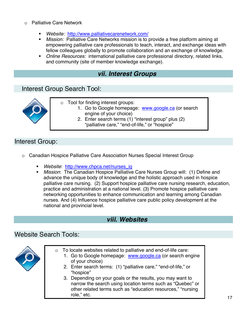- o Palliative Care Network
	- *Website:* http://www.palliativecarenetwork.com/
	- *Mission:* Palliative Care Networks mission is to provide a free platform aiming at empowering palliative care professionals to teach, interact, and exchange ideas with fellow colleagues globally to promote collaboration and an exchange of knowledge.
	- *Online Resources:* international palliative care professional directory, related links, and community (site of member knowledge exchange).

#### *vii. Interest Groups*

#### Interest Group Search Tool:



- o Tool for finding interest groups:
	- 1. Go to Google homepage: www.google.ca (or search engine of your choice)
		- 2. Enter search terms (1) "interest group" plus (2) "palliative care," "end-of-life," or "hospice"

#### Interest Group:

- o Canadian Hospice Palliative Care Association Nurses Special Interest Group
	- *Website*: http://www.chpca.net/nurses\_ig
	- *Mission*: The Canadian Hospice Palliative Care Nurses Group will: (1) Define and advance the unique body of knowledge and the holistic approach used in hospice palliative care nursing. (2) Support hospice palliative care nursing research, education, practice and administration at a national level. (3) Promote hospice palliative care networking opportunities to enhance communication and learning among Canadian nurses. And (4) Influence hospice palliative care public policy development at the national and provincial level.

#### *viii. Websites*

#### Website Search Tools:



- o To locate websites related to palliative and end-of-life care:
	- 1. Go to Google homepage: www.google.ca (or search engine of your choice)
	- 2. Enter search terms: (1) "palliative care," "end-of-life," or "hospice"
	- 3. Depending on your goals or the results, you may want to narrow the search using location terms such as "Quebec" or other related terms such as "education resources," "nursing role," etc.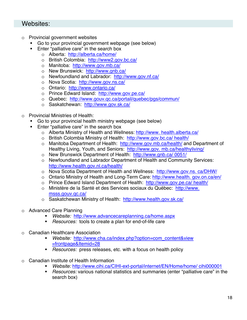#### Websites:

- o Provincial government websites
	- Go to your provincial government webpage (see below)
	- **Enter "palliative care" in the search box** 
		- o Alberta: http://alberta.ca/home/
		- o British Colombia: http://www2.gov.bc.ca/
		- o Manitoba: http://www.gov.mb.ca/
		- o New Brunswick: http://www.gnb.ca/
		- o Newfoundland and Labrador: http://www.gov.nf.ca/
		- o Nova Scotia: http://www.gov.ns.ca/
		- o Ontario: http://www.ontario.ca/
		- o Prince Edward Island: http://www.gov.pe.ca/
		- o Quebec: http://www.gouv.qc.ca/portail/quebec/pgs/commun/
		- o Saskatchewan: http://www.gov.sk.ca/
- o Provincial Ministries of Health:
	- Go to your provincial health ministry webpage (see below)
	- **Enter "palliative care" in the search box** 
		- o Alberta Ministry of Health and Wellness: http://www. health.alberta.ca/
		- o British Colombia Ministry of Health: http://www.gov.bc.ca/ health/
		- o Manitoba Department of Health: http://www.gov.mb.ca/health/ and Department of Healthy Living, Youth, and Seniors: http://www.gov. mb.ca/healthyliving/
		- o New Brunswick Department of Health: http://www.gnb.ca/ 0051/
		- o Newfoundland and Labrador Department of Health and Community Services: http://www.health.gov.nl.ca/health/
		- o Nova Scotia Department of Health and Wellness: http://www.gov.ns. ca/DHW/
		- o Ontario Ministry of Health and Long-Term Care: http://www.health. gov.on.ca/en/
		- o Prince Edward Island Department of Health: http://www.gov.pe.ca/ health/
		- o Ministère de la Santé et des Services sociaux du Québec: http://www. msss.gouv.qc.ca/
		- o Saskatchewan Ministry of Health: http://www.health.gov.sk.ca/
- o Advanced Care Planning
	- *Website:* http://www.advancecareplanning.ca/home.aspx
	- *Resources:* tools to create a plan for end-of-life care
- o Canadian Healthcare Association
	- *Website:* http://www.cha.ca/index.php?option=com\_content&view =frontpage&Itemid=28
	- *Resources:* press releases, etc. with a focus on health policy
- o Canadian Institute of Health Information
	- *Website:* http://www.cihi.ca/CIHI-ext-portal/internet/EN/Home/home/ cihi000001
	- *Resources:* various national statistics and summaries (enter "palliative care" in the search box)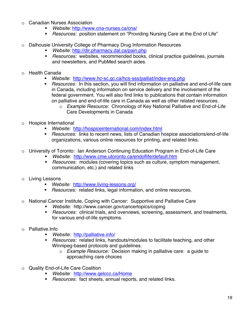- o Canadian Nurses Association
	- *Website:* http://www.cna-nurses.ca/cna/
	- *Resources:* position statement on "Providing Nursing Care at the End of Life"
- o Dalhousie University College of Pharmacy Drug Information Resources
	- *Website:* http://dir.pharmacy.dal.ca/pain.php
	- *Resources:* websites, recommended books, clinical practice guidelines, journals and newsletters, and PubMed search aides.
- o Health Canada
	- **Website:** http://www.hc-sc.gc.ca/hcs-sss/palliat/index-eng.php<br>**Besources:** In this section, you will find information on palliative
	- *Resources:* In this section, you will find information on palliative and end-of-life care in Canada, including information on service delivery and the involvement of the federal government. You will also find links to publications that contain information on palliative and end-of-life care in Canada as well as other related resources.
		- o *Example Resource:* Chronology of Key National Palliative and End-of-Life Care Developments in Canada
- o Hospice International
	- *Website:* http://hospiceinternational.com/index.html
	- *Resources:* links to recent news, lists of Canadian hospice associations/end-of-life organizations, various online resources for printing, and related links.
- o University of Toronto: Ian Anderson Continuing Education Program in End-of-Life Care
	- *Website:* http://www.cme.utoronto.ca/endoflife/default.htm
	- *Resources:* modules (covering topics such as culture, symptom management, communication, etc.) and related links
- o Living Lessons
	- *Website:* http://www.living-lessons.org/
	- *Resources:* related links, legal information, and online resources.
- National Cancer Institute, Coping with Cancer: Supportive and Palliative Care
	- *Website:* http://www.cancer.gov/cancertopics/coping
	- *Resources:* clinical trials, and overviews, screening, assessment, and treatments, for various end-of-life symptoms.
- o Palliative.Info
	- *Website:* http://palliative.info/
	- *Resources:* related links, handouts/modules to facilitate teaching, and other Winnipeg-based protocols and guidelines.
		- o *Example Resource:* Decision making in palliative care: a guide to approaching care choices
- o Quality End-of-Life Care Coalition
	- *Website:* http://www.qelccc.ca/Home
	- *Resources:* fact sheets, annual reports, and related links.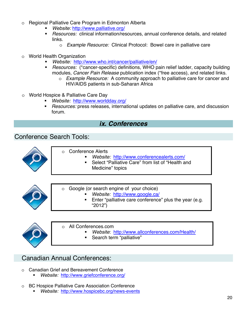- o Regional Palliative Care Program in Edmonton Alberta
	- *Website:* http://www.palliative.org/
	- *Resources:* clinical information/resources, annual conference details, and related links.
		- o *Example Resource:* Clinical Protocol: Bowel care in palliative care
- o World Health Organization
	- *Website:* http://www.who.int/cancer/palliative/en/
	- *Resources:* (\*cancer-specific) definitions, WHO pain relief ladder, capacity building modules, *Cancer Pain Release* publication index (\*free access), and related links.
		- o *Example Resource:* A community approach to palliative care for cancer and HIV/AIDS patients in sub-Saharan Africa
- o World Hospice & Palliative Care Day
	- *Website:* http://www.worldday.org/
	- *Resources:* press releases, international updates on palliative care, and discussion forum.

#### *ix. Conferences*

#### Conference Search Tools:



- o Conference Alerts
	- *Website:* http://www.conferencealerts.com/
	- Select "Palliative Care" from list of "Health and Medicine" topics



- o Google (or search engine of your choice)
	- *Website:* http://www.google.ca/
	- Enter "palliative care conference" plus the year (e.g. "2012")



o All Conferences.com *Website*: http://www.allconferences.com/Health/

Search term "palliative"

#### Canadian Annual Conferences:

- o Canadian Grief and Bereavement Conference
	- *Website:* http://www.griefconference.org/
- o BC Hospice Palliative Care Association Conference
	- *Website:* http://www.hospicebc.org/news-events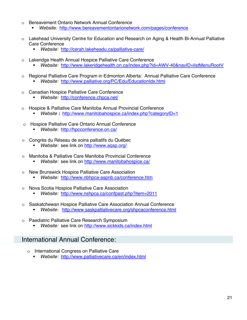- o Bereavement Ontario Network Annual Conference
	- *Website:* http://www.bereavementontarionetwork.com/pages/conference
- o Lakehead University Centre for Education and Research on Aging & Health Bi-Annual Palliative Care Conference
	- *Website:* http://cerah.lakeheadu.ca/palliative-care/
- o Lakeridge Health Annual Hospice Palliative Care Conference
	- *Website:* http://www.lakeridgehealth.on.ca/index.php?id=AWV-40&navID=listMenuRootV
- o Regional Palliative Care Program in Edmonton Alberta: Annual Palliative Care Conference
	- *Website:* http://www.palliative.org/PC/Edu/EducationIdx.html
- o Canadian Hospice Palliative Care Conference
	- *Website:* http://conference.chpca.net/
- o Hospice & Palliative Care Manitoba Annual Provincial Conference
	- *Website :* http://www.manitobahospice.ca/index.php?categoryID=1
- Hospice Palliative Care Ontario Annual Conference
	- *Website:* http://hpcconference.on.ca/
- o Congrès du Réseau de soins palliatifs du Québec
	- *Website:* see link on http://www.aqsp.org/
- Manitoba & Palliative Care Manitoba Provincial Conference
	- *Website:* see link on http://www.manitobahospice.ca/
- New Brunswick Hospice Palliative Care Association
	- *Website:* http://www.nbhpca-aspnb.ca/conference.htm
- o Nova Scotia Hospice Palliative Care Association
	- *Website:* http://www.nshpca.ca/confpast.php?item=2011
- o Saskatchewan Hospice Palliative Care Association Annual Conference
	- *Website:* http://www.saskpalliativecare.org/shpcaconference.html
- Paediatric Palliative Care Research Symposium
	- *Website:* see link on http://www.sickkids.ca/index.html

#### International Annual Conference:

- o International Congress on Palliative Care
	- *Website:* http://www.palliativecare.ca/en/index.html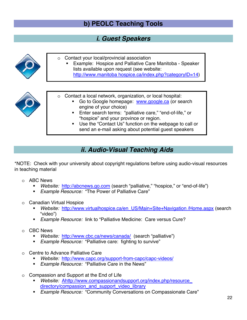# **b) PEOLC Teaching Tools**

#### *i. Guest Speakers*



- Enter search terms: "palliative care," "end-of-life," or "hospice" and your province or region.
- Use the "Contact Us" function on the webpage to call or send an e-mail asking about potential guest speakers

# *ii. Audio-Visual Teaching Aids*

\*NOTE: Check with your university about copyright regulations before using audio-visual resources in teaching material

- o ABC News
	- *Website:* http://abcnews.go.com (search "palliative," "hospice," or "end-of-life")
	- *Example Resource:* "The Power of Palliative Care"
- o Canadian Virtual Hospice
	- *Website:* http://www.virtualhospice.ca/en\_US/Main+Site+Navigation /Home.aspx (search "video")
	- *Example Resource:* link to "Palliative Medicine: Care versus Cure?
- o CBC News
	- *Website:* http://www.cbc.ca/news/canada/ (search "palliative")
	- *Example Resource:* "Palliative care: fighting to survive"
- o Centre to Advance Palliative Care
	- *Website:* http://www.capc.org/support-from-capc/capc-videos/
	- *Example Resource:* "Palliative Care in the News"
- o Compassion and Support at the End of Life
	- *Website:* Ahttp://www.compassionandsupport.org/index.php/resource\_ directory/compassion\_and\_support\_video\_library
	- *Example Resource:* "Community Conversations on Compassionate Care"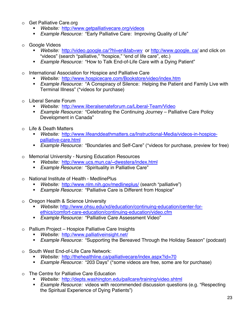- o Get Palliative Care.org<br>Website: http://ww
	- *Website:* http://www.getpalliativecare.org/videos
	- *Example Resource:* "Early Palliative Care: Improving Quality of Life"
- o Google Videos
	- *Website:* http://video.google.ca/?hl=en&tab=wv or http://www.google. ca/ and click on "videos" (search "palliative," "hospice," "end of life care", etc.)
	- *Example Resource:* "How to Talk End-of-Life Care with a Dying Patient"
- o International Association for Hospice and Palliative Care
	- *Website:* http://www.hospicecare.com/Bookstore/video/index.htm
	- *Example Resource:* "A Conspiracy of Silence: Helping the Patient and Family Live with Terminal Illness" (\*videos for purchase)
- o Liberal Senate Forum
	- *Website:* http://www.liberalsenateforum.ca/Liberal-Team/Video
	- *Example Resource:* "Celebrating the Continuing Journey Palliative Care Policy Development in Canada"
- o Life & Death Matters
	- *Website:* http://www.lifeanddeathmatters.ca/Instructional-Media/videos-in-hospicepalliative-care.html
	- *Example Resource:* "Boundaries and Self-Care" (\*videos for purchase, preview for free)
- o Memorial University Nursing Education Resources
	- *Website:* http://www.ucs.mun.ca/~dwestera/index.html
	- *Example Resource:* "Spirituality in Palliative Care"
- o National Institute of Health MedlinePlus
	- *Website:* http://www.nlm.nih.gov/medlineplus/ (search "palliative")
	- *Example Resource:* "Palliative Care is Different from Hospice"
- o Oregon Health & Science University
	- *Website:* http://www.ohsu.edu/xd/education/continuing-education/center-forethics/comfort-care-education/continuing-education/video.cfm
	- *Example Resource:* "Palliative Care Assessment Video"
- Pallium Project Hospice Palliative Care Insights
	- *Website:* http://www.palliativeinsight.net/
	- *Example Resource:* "Supporting the Bereaved Through the Holiday Season" (podcast)
- o South West End-of-Life Care Network:
	- *Website:* http://thehealthline.ca/palliativecare/index.aspx?id=70
	- *Example Resource:* "203 Days" (\*some videos are free, some are for purchase)
- o The Centre for Palliative Care Education
	- *Website:* http://depts.washington.edu/pallcare/training/video.shtml
	- *Example Resource:* videos with recommended discussion questions (e.g. "Respecting the Spiritual Experience of Dying Patients")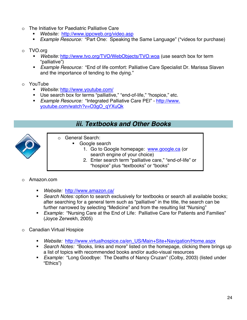- o The Initiative for Paediatric Palliative Care
	- *Website:* http://www.ippcweb.org/video.asp
	- *Example Resource:* "Part One: Speaking the Same Language" (\*videos for purchase)

#### o TVO.org

- *Website:* http://www.tvo.org/TVO/WebObjects/TVO.woa (use search box for term "palliative")
- *Example Resource:* "End of life comfort: Palliative Care Specialist Dr. Marissa Slaven and the importance of tending to the dying."
- o YouTube
	- *Website:* http://www.youtube.com/
	- **Use search box for terms "palliative," "end-of-life," "hospice," etc.**
	- *Example Resource:* "Integrated Palliative Care PEI" http://www. youtube.com/watch?v=O3gO\_qYXuQk

#### *iii. Textbooks and Other Books*



- o General Search:
	- Google search
		- 1. Go to Google homepage: www.google.ca (or search engine of your choice)
		- 2. Enter search term "palliative care," "end-of-life" or "hospice" plus "textbooks" or "books"

#### o Amazon.com

- *Website:* http://www.amazon.ca/
- *Search Notes:* option to search exclusively for textbooks or search all available books; after searching for a general term such as "palliative" in the title, the search can be further narrowed by selecting "Medicine" and from the resulting list "Nursing"
- *Example:* "Nursing Care at the End of Life: Palliative Care for Patients and Families" (Joyce Zerwekh, 2005)
- o Canadian Virtual Hospice
	- *Website:* http://www.virtualhospice.ca/en\_US/Main+Site+Navigation/Home.aspx
	- *Search Notes:* "Books, links and more" listed on the homepage, clicking there brings up a list of topics with recommended books and/or audio-visual resources
	- *Example:* "Long Goodbye: The Deaths of Nancy Cruzan" (Colby, 2003) (listed under "Ethics")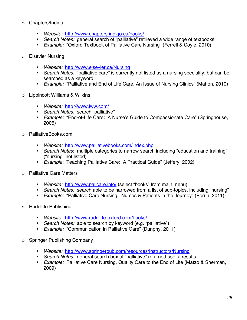#### o Chapters/Indigo

- *Website:* http://www.chapters.indigo.ca/books/
- *Search Notes:* general search of "palliative" retrieved a wide range of textbooks
- *Example:* "Oxford Textbook of Palliative Care Nursing" (Ferrell & Coyle, 2010)
- o Elsevier Nursing
	- *Website:* http://www.elsevier.ca/Nursing
	- *Search Notes:* "palliative care" is currently not listed as a nursing speciality, but can be searched as a keyword
	- *Example:* "Palliative and End of Life Care, An Issue of Nursing Clinics" (Mahon, 2010)
- o Lippincott Williams & Wilkins
	- *Website:* http*://*www.lww.com/
	- *Search Notes:* search "palliative"
	- *Example:* "End-of-Life Care: A Nurse's Guide to Compassionate Care" (Springhouse, 2006)
- o PalliativeBooks.com
	- *Website:* http://www.palliativebooks.com/index.php
	- *Search Notes*: multiple categories to narrow search including "education and training" ("nursing" not listed)
	- *Example*: Teaching Palliative Care: A Practical Guide" (Jeffery, 2002)
- o Palliative Care Matters
	- *Website:* http://www.pallcare.info/ (select "books" from main menu)
	- *Search Notes:* search able to be narrowed from a list of sub-topics, including "nursing"
	- *Example:* "Palliative Care Nursing: Nurses & Patients in the Journey" (Perrin, 2011)
- o Radcliffe Publishing
	- *Website:* http://www.radcliffe-oxford.com/books/
	- *Search Notes:* able to search by keyword (e.g. "palliative")
	- *Example:* "Communication in Palliative Care" (Dunphy, 2011)
- o Springer Publishing Company
	- *Website:* http://www.springerpub.com/resources/Instructors/Nursing
	- *Search Notes:* general search box of "palliative" returned useful results
	- *Example:* Palliative Care Nursing, Quality Care to the End of Life (Matzo & Sherman, 2009)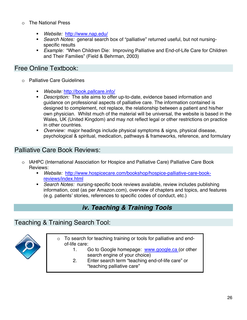- o The National Press
	- *Website:* http://www.nap.edu/
	- *Search Notes:* general search box of "palliative" returned useful, but not nursingspecific results
	- *Example:* "When Children Die: Improving Palliative and End-of-Life Care for Children and Their Families" (Field & Behrman, 2003)

#### Free Online Textbook:

- o Palliative Care Guidelines
	- *Website:* http://book.pallcare.info/
	- *Description:* The site aims to offer up-to-date, evidence based information and guidance on professional aspects of palliative care. The information contained is designed to complement, not replace, the relationship between a patient and his/her own physician. Whilst much of the material will be universal, the website is based in the Wales, UK (United Kingdom) and may not reflect legal or other restrictions on practice in other countries.
	- *Overview:* major headings include physical symptoms & signs, physical disease, psychological & spiritual, medication, pathways & frameworks, reference, and formulary

### Palliative Care Book Reviews:

- o IAHPC (International Association for Hospice and Palliative Care) Palliative Care Book Reviews:
	- *Website:* http://www.hospicecare.com/bookshop/hospice-palliative-care-bookreviews/index.html
	- *Search Notes:* nursing-specific book reviews available, review includes publishing information, cost (as per Amazon.com), overview of chapters and topics, and features (e.g. patients' stories, references to specific codes of conduct, etc.)

# *iv. Teaching & Training Tools*

#### Teaching & Training Search Tool:



- o To search for teaching training or tools for palliative and endof-life care:
	- 1. Go to Google homepage: www.google.ca (or other search engine of your choice)
	- 2. Enter search term "teaching end-of-life care" or "teaching palliative care"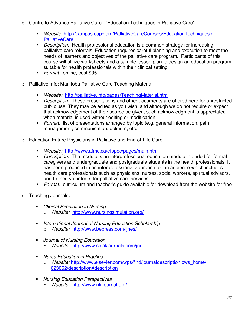- o Centre to Advance Palliative Care: "Education Techniques in Palliative Care"
	- *Website:* http://campus.capc.org/PalliativeCareCourses/EducationTechniquesin **PalliativeCare**
	- *Description:* Health professional education is a common strategy for increasing palliative care referrals. Education requires careful planning and execution to meet the needs of learners and objectives of the palliative care program. Participants of this course will utilize worksheets and a sample lesson plan to design an education program suitable for health professionals within their clinical setting.
	- *Format:* online, cost \$35
- o Palliative.info: Manitoba Palliative Care Teaching Material
	- *Website:* http://palliative.info/pages/TeachingMaterial.htm
	- *Description:* These presentations and other documents are offered here for unrestricted public use. They may be edited as you wish, and although we do not require or expect that acknowledgement of their source be given, such acknowledgment is appreciated when material is used without editing or modification.
	- *Format:* list of presentations arranged by topic (e.g. general information, pain management, communication, delirium, etc.)
- o Education Future Physicians in Palliative and End-of-Life Care
	- *Website:* http://www.afmc.ca/efppec/pages/main.html
	- *Description:* The module is an interprofessional education module intended for formal caregivers and undergraduate and postgraduate students in the health professionals. It has been produced in an interprofessional approach for an audience which includes health care professionals such as physicians, nurses, social workers, spiritual advisors, and trained volunteers for palliative care services.
	- *Format:* curriculum and teacher's guide available for download from the website for free
- o Teaching Journals:
	- *Clinical Simulation in Nursing* o *Website:* http://www.nursingsimulation.org/
	- *International Journal of Nursing Education Scholarship* o *Website:* http://www.bepress.com/ijnes/
	- *Journal of Nursing Education* o *Website:* http://www.slackjournals.com/jne
	- *Nurse Education in Practice*
		- o *Website:* http://www.elsevier.com/wps/find/journaldescription.cws\_home/ 623062/description#description
	- *Nursing Education Perspectives* o *Website:* http://www.nlnjournal.org/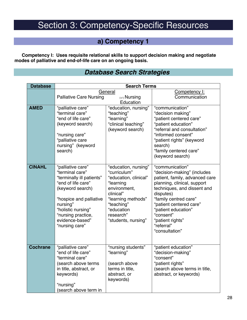# Section 3: Competency-Specific Resources

# **a) Competency 1**

**Competency I: Uses requisite relational skills to support decision making and negotiate modes of palliative and end-of-life care on an ongoing basis.** 

#### *Database Search Strategies*

| <b>Database</b> | <b>Search Terms</b>                                                                                                                                                                                                                 |                                                                                                                                                                                               |                                                                                                                                                                                                                                                                                                         |
|-----------------|-------------------------------------------------------------------------------------------------------------------------------------------------------------------------------------------------------------------------------------|-----------------------------------------------------------------------------------------------------------------------------------------------------------------------------------------------|---------------------------------------------------------------------------------------------------------------------------------------------------------------------------------------------------------------------------------------------------------------------------------------------------------|
|                 |                                                                                                                                                                                                                                     | General                                                                                                                                                                                       | Competency I:<br>Communication                                                                                                                                                                                                                                                                          |
|                 | <b>Palliative Care Nursing</b>                                                                                                                                                                                                      | $(+/-)$ Nursing<br>Education                                                                                                                                                                  |                                                                                                                                                                                                                                                                                                         |
| <b>AMED</b>     | "palliative care"<br>"terminal care"<br>"end of life care"<br>(keyword search)<br>"nursing care"<br>"palliative care<br>nursing" (keyword<br>search)                                                                                | "education, nursing"<br>"teaching"<br>"learning"<br>"clinical teaching"<br>(keyword search)                                                                                                   | "communication"<br>"decision making"<br>"patient centered care"<br>"patient education"<br>"referral and consultation"<br>"informed consent"<br>"patient rights" (keyword<br>search)<br>"family centered care"<br>(keyword search)                                                                       |
| <b>CINAHL</b>   | "palliative care"<br>"terminal care"<br>"terminally ill patients"<br>"end of life care"<br>(keyword search)<br>"hospice and palliative<br>nursing"<br>"holistic nursing"<br>"nursing practice,<br>evidence-based"<br>"nursing care" | "education, nursing"<br>"curriculum"<br>"education, clinical"<br>"learning<br>environment,<br>clinical"<br>"learning methods"<br>"teaching"<br>"education<br>research"<br>"students, nursing" | "communication"<br>"decision-making" (includes<br>patient, family, advanced care<br>planning, clinical, support<br>techniques, and dissent and<br>disputes)<br>"family centred care"<br>"patient centered care"<br>"patient education"<br>"consent"<br>"patient rights"<br>"referral"<br>"consultation" |
| <b>Cochrane</b> | "palliative care"<br>"end of life care"<br>"terminal care"<br>(search above terms<br>in title, abstract, or<br>keywords)<br>"nursing"<br>(search above term in                                                                      | "nursing students"<br>"learning"<br>(search above<br>terms in title,<br>abstract, or<br>keywords)                                                                                             | "patient education"<br>"decision-making"<br>"consent"<br>"patient rights"<br>(search above terms in title,<br>abstract, or keywords)                                                                                                                                                                    |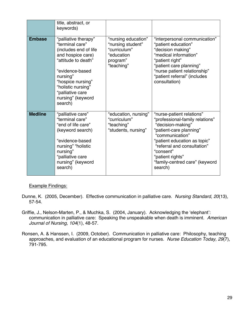|                | title, abstract, or<br>keywords)                                                                                                                                                                                                           |                                                                                                  |                                                                                                                                                                                                                                                                              |
|----------------|--------------------------------------------------------------------------------------------------------------------------------------------------------------------------------------------------------------------------------------------|--------------------------------------------------------------------------------------------------|------------------------------------------------------------------------------------------------------------------------------------------------------------------------------------------------------------------------------------------------------------------------------|
| <b>Embase</b>  | "palliative therapy"<br>"terminal care"<br>(includes end of life<br>and hospice care)<br>"attitude to death"<br>"evidence-based<br>nursing"<br>"hospice nursing"<br>"holistic nursing"<br>"palliative care<br>nursing" (keyword<br>search) | "nursing education"<br>"nursing student"<br>"curriculum"<br>"education<br>program"<br>"teaching" | "interpersonal communication"<br>"patient education"<br>"decision making"<br>"medical information"<br>"patient right"<br>"patient care planning"<br>"nurse patient relationship"<br>"patient referral" (includes<br>consultation)                                            |
| <b>Medline</b> | "palliative care"<br>"terminal care"<br>"end of life care"<br>(keyword search)<br>"evidence-based<br>nursing" "holistic<br>nursing"<br>"palliative care<br>nursing" (keyword<br>search)                                                    | "education, nursing"<br>"curriculum"<br>"teaching"<br>"students, nursing"                        | "nurse-patient relations"<br>"professional-family relations"<br>"decision-making"<br>"patient-care planning"<br>"communication"<br>"patient education as topic"<br>"referral and consultation"<br>"consent"<br>"patient rights"<br>"family-centred care" (keyword<br>search) |

#### Example Findings:

- Dunne, K. (2005, December). Effective communication in palliative care. *Nursing Standard, 20*(13), 57-54.
- Griffie, J., Nelson-Marten, P., & Muchka, S. (2004, January). Acknowledging the 'elephant': communication in palliative care: Speaking the unspeakable when death is imminent. *American Journal of Nursing, 104*(1), 48-57.
- Ronsen, A. & Hanssen, I. (2009, October). Communication in palliative care: Philosophy, teaching approaches, and evaluation of an educational program for nurses. *Nurse Education Today, 29*(7), 791-795.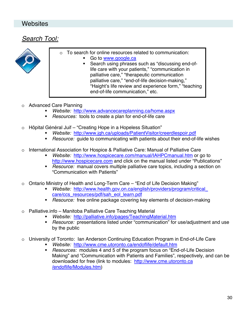#### **Websites**

#### *Search Tool:*



- o To search for online resources related to communication:
	- Go to www.google.ca
	- Search using phrases such as "discussing end-oflife care with your patients," "communication in palliative care," "therapeutic communication palliative care," "end-of-life decision-making," "Haight's life review and experience form," "teaching end-of-life communication," etc.
- Advanced Care Planning
	- *Website:* http://www.advancecareplanning.ca/home.aspx
	- *Resources:* tools to create a plan for end-of-life care
- o Hôpital Général Juif "Creating Hope in a Hopeless Situation"
	- *Website:* http://www.jgh.ca/uploads/PatientVisitor/creerdlespoir.pdf
	- *Resource:* guide to communicating with patients about their end-of-life wishes
- International Association for Hospice & Palliative Care: Manual of Palliative Care
	- *Website:* http://www.hospicecare.com/manual/IAHPCmanual.htm or go to http://www.hospicecare.com and click on the manual listed under "Publications"
	- *Resource:* manual covers multiple palliative care topics, including a section on "Communication with Patients"
- o Ontario Ministry of Health and Long-Term Care "End of Life Decision Making"
	- *Website:* http://www.health.gov.on.ca/english/providers/program/critical\_ care/ccs\_resources/pdf/sah\_eol\_learn.pdf
	- *Resource:* free online package covering key elements of decision-making
- o Palliative.info Manitoba Palliative Care Teaching Material
	- *Website:* http://palliative.info/pages/TeachingMaterial.htm
	- *Resource:* presentations listed under "communication" for use/adjustment and use by the public
- o University of Toronto: Ian Anderson Continuing Education Program in End-of-Life Care
	- *Website:* http://www.cme.utoronto.ca/endoflife/default.htm
	- *Resources:* modules 4 and 5 of the program focus on "End-of-Life Decision Making" and "Communication with Patients and Families", respectively, and can be downloaded for free (link to modules: http://www.cme.utoronto.ca /endoflife/Modules.htm)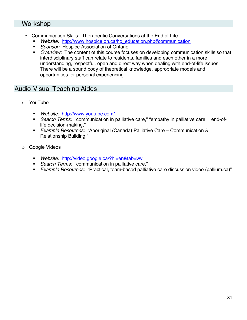#### Workshop

- o Communication Skills: Therapeutic Conversations at the End of Life
	- *Website:* http://www.hospice.on.ca/ho\_education.php#communication
	- **Sponsor: Hospice Association of Ontario**
	- *Overview:* The content of this course focuses on developing communication skills so that interdisciplinary staff can relate to residents, families and each other in a more understanding, respectful, open and direct way when dealing with end-of-life issues. There will be a sound body of theoretical knowledge, appropriate models and opportunities for personal experiencing.

#### Audio-Visual Teaching Aides

- o YouTube
	- *Website:* http://www.youtube.com/
	- *Search Terms:* "communication in palliative care," "empathy in palliative care," "end-oflife decision-making,"
	- *Example Resources:* "Aboriginal (Canada) Palliative Care Communication & Relationship Building,"
- o Google Videos
	- *Website:* http://video.google.ca/?hl=en&tab=wv
	- *Search Terms:* "communication in palliative care,"
	- *Example Resources:* "Practical, team-based palliative care discussion video (pallium.ca)"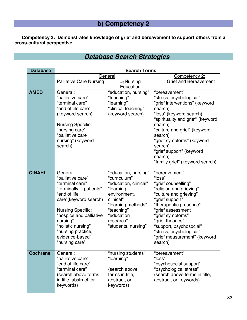# **b) Competency 2**

**Competency 2: Demonstrates knowledge of grief and bereavement to support others from a cross-cultural perspective.** 

# *Database Search Strategies*

| <b>Database</b> | <b>Search Terms</b>                                 |                          |                                        |
|-----------------|-----------------------------------------------------|--------------------------|----------------------------------------|
|                 | General                                             |                          | Competency 2:                          |
|                 | <b>Palliative Care Nursing</b>                      | $(+/-)$ Nursing          | <b>Grief and Bereavement</b>           |
|                 |                                                     | Education                |                                        |
| <b>AMED</b>     | General:                                            | "education, nursing"     | "bereavement"                          |
|                 | "palliative care"                                   | "teaching"               | "stress, psychological"                |
|                 | "terminal care"                                     | "learning"               | "grief interventions" (keyword         |
|                 | "end of life care"                                  | "clinical teaching"      | search)                                |
|                 | (keyword search)                                    | (keyword search)         | "loss" (keyword search)                |
|                 |                                                     |                          | "spirituality and grief" (keyword      |
|                 | <b>Nursing Specific:</b>                            |                          | search)                                |
|                 | "nursing care"                                      |                          | "culture and grief" (keyword           |
|                 | "palliative care<br>nursing" (keyword               |                          | search)<br>"grief symptoms" (keyword   |
|                 | search)                                             |                          | search)                                |
|                 |                                                     |                          | "grief support" (keyword               |
|                 |                                                     |                          | search)                                |
|                 |                                                     |                          | "family grief" (keyword search)        |
|                 |                                                     |                          |                                        |
| <b>CINAHL</b>   | General:                                            | "education, nursing"     | "bereavement"                          |
|                 | "palliative care"                                   | "curriculum"             | "loss"                                 |
|                 | "terminal care"                                     | "education, clinical"    | "grief counselling"                    |
|                 | "terminally ill patients"                           | "learning                | "religion and grieving"                |
|                 | "end of life                                        | environment,             | "culture and grieving"                 |
|                 | care"(keyword search)                               | clinical"                | "grief support"                        |
|                 |                                                     | "learning methods"       | "therapeutic presence"                 |
|                 | <b>Nursing Specific:</b><br>"hospice and palliative | "teaching"<br>"education | "grief assessment"<br>"grief symptoms" |
|                 | nursing"                                            | research"                | "grief theories"                       |
|                 | "holistic nursing"                                  | "students, nursing"      | "support, psychosocial"                |
|                 | "nursing practice,                                  |                          | "stress, psychological"                |
|                 | evidence-based"                                     |                          | "grief measurement" (keyword           |
|                 | "nursing care"                                      |                          | search)                                |
|                 |                                                     |                          |                                        |
| <b>Cochrane</b> | General:                                            | "nursing students"       | "bereavement"                          |
|                 | "palliative care"                                   | "learning"               | "loss"                                 |
|                 | "end of life care"                                  |                          | "psychosocial support"                 |
|                 | "terminal care"                                     | (search above            | "psychological stress"                 |
|                 | (search above terms                                 | terms in title,          | (search above terms in title,          |
|                 | in title, abstract, or                              | abstract, or             | abstract, or keywords)                 |
|                 | keywords)                                           | keywords)                |                                        |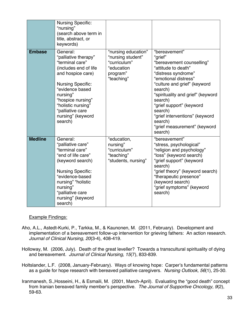|                | <b>Nursing Specific:</b><br>"nursing"<br>(search above term in<br>title, abstract, or<br>keywords)                                                                                                                                                          |                                                                                                  |                                                                                                                                                                                                                                                                                                                                                       |
|----------------|-------------------------------------------------------------------------------------------------------------------------------------------------------------------------------------------------------------------------------------------------------------|--------------------------------------------------------------------------------------------------|-------------------------------------------------------------------------------------------------------------------------------------------------------------------------------------------------------------------------------------------------------------------------------------------------------------------------------------------------------|
| <b>Embase</b>  | General:<br>"palliative therapy"<br>"terminal care"<br>(includes end of life<br>and hospice care)<br><b>Nursing Specific:</b><br>"evidence based<br>nursing"<br>"hospice nursing"<br>"holistic nursing"<br>"palliative care<br>nursing" (keyword<br>search) | "nursing education"<br>"nursing student"<br>"curriculum"<br>"education<br>program"<br>"teaching" | "bereavement"<br>"grief"<br>"bereavement counselling"<br>"attitude to death"<br>"distress syndrome"<br>"emotional distress"<br>"culture and grief" (keyword<br>search)<br>"spirituality and grief" (keyword<br>search)<br>"grief support" (keyword<br>search)<br>"grief interventions" (keyword<br>search)<br>"grief measurement" (keyword<br>search) |
| <b>Medline</b> | General:<br>"palliative care"<br>"terminal care"<br>"end of life care"<br>(keyword search)<br><b>Nursing Specific:</b><br>"evidence-based<br>nursing" "holistic<br>nursing"<br>"palliative care<br>nursing" (keyword<br>search)                             | "education,<br>nursing"<br>"curriculum"<br>"teaching"<br>"students, nursing"                     | "bereavement"<br>"stress, psychological"<br>"religion and psychology"<br>"loss" (keyword search)<br>"grief support" (keyword<br>search)<br>"grief theory" (keyword search)<br>"therapeutic presence"<br>(keyword search)<br>"grief symptoms" (keyword<br>search)                                                                                      |

#### Example Findings:

- Aho, A.L., Astedt-Kurki, P., Tarkka, M., & Kaunonen, M. (2011, February). Development and implementation of a bereavement follow-up intervention for grieving fathers: An action research. *Journal of Clinical Nursing, 20*(3-4), 408-419.
- Holloway, M. (2006, July). Death of the great leveller? Towards a transcultural spirituality of dying and bereavement. *Journal of Clinical Nursing, 15*(7), 833-839.
- Holtslander, L.F. (2008, January-February). Ways of knowing hope: Carper's fundamental patterns as a guide for hope research with bereaved palliative caregivers. *Nursing Outlook, 56*(1), 25-30.
- Iranmanesh, S.,Hosseini, H., & Esmaili, M. (2001, March-April). Evaluating the "good death" concept from Iranian bereaved family member's perspective. *The Journal of Supportive Oncology, 9*(2), 59-63.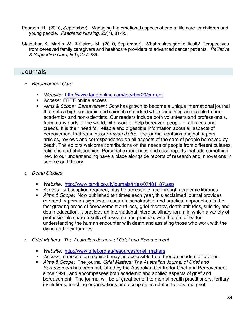- Pearson, H. (2010, September). Managing the emotional aspects of end of life care for children and young people. *Paediatric Nursing, 22*(7), 31-35.
- Stajduhar, K., Martin, W., & Cairns, M. (2010, September). What makes grief difficult? Perspectives from bereaved family caregivers and healthcare providers of advanced cancer patients. *Palliative & Supportive Care, 8*(3), 277-289.

### Journals

- o *Bereavement Care* 
	- *Website:* http://www.tandfonline.com/toc/rber20/current
	- *Access:* FREE online access
	- *Aims & Scope: Bereavement Care* has grown to become a unique international journal that sets a high academic and scientific standard while remaining accessible to nonacademics and non-scientists. Our readers include both volunteers and professionals, from many parts of the world, who work to help bereaved people of all races and creeds. It is their need for reliable and digestible information about all aspects of bereavement that remains our *raison d'être*. The journal contains original papers, articles, reviews and correspondence on all aspects of the care of people bereaved by death. The editors welcome contributions on the needs of people from different cultures, religions and philosophies. Personal experiences and case reports that add something new to our understanding have a place alongside reports of research and innovations in service and theory.
- o *Death Studies* 
	- *Website:* http://www.tandf.co.uk/journals/titles/07481187.asp
	- *Access:* subscription required, may be accessible free through academic libraries
	- *Aims & Scope:* Now published ten times each year, this acclaimed journal provides refereed papers on significant research, scholarship, and practical approaches in the fast growing areas of bereavement and loss, grief therapy, death attitudes, suicide, and death education. It provides an international interdisciplinary forum in which a variety of professionals share results of research and practice, with the aim of better understanding the human encounter with death and assisting those who work with the dying and their families.
- o *Grief Matters: The Australian Journal of Grief and Bereavement* 
	- *Website:* http://www.grief.org.au/resources/grief\_matters
	- *Access:* subscription required, may be accessible free through academic libraries
	- *Aims & Scope:* The journal *Grief Matters: The Australian Journal of Grief and Bereavement* has been published by the Australian Centre for Grief and Bereavement since 1998, and encompasses both academic and applied aspects of grief and bereavement. The journal will be of great benefit to mental health practitioners, tertiary institutions, teaching organisations and occupations related to loss and grief.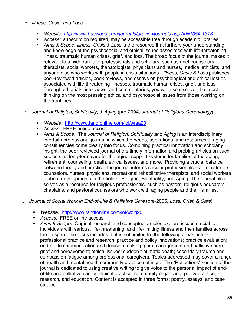#### o *Illness, Crisis, and Loss*

- *Website: http://www.baywood.com/journals/previewjournals.asp?Id=1054-1373*
- *Access:* subscription required, may be accessible free through academic libraries
- *Aims & Scope: Illness, Crisis & Loss* is the resource that furthers your understanding and knowledge of the psychosocial and ethical issues associated with life-threatening illness, traumatic human crises, grief, and loss. The broad focus of the journal makes it relevant to a wide range of professionals and scholars, such as grief counselors, therapists, social workers, thanatologists, physicians and nurses, medical ethicists, and anyone else who works with people in crisis situations. *Illness, Crisis & Loss* publishes peer-reviewed articles, book reviews, and essays on psychological and ethical issues associated with life-threatening illnesses, traumatic human crises, grief, and loss. Through editorials, interviews, and commentaries, you will also discover the latest thinking on the most pressing ethical and psychosocial issues from those working on the frontlines.
- o *Journal of Religion, Spirituality, & Aging* (pre-2004, *Journal of Religious Gerentology*)
	- *Website:* http://www.tandfonline.com/loi/wrsa20
	- *Access:* FREE online access
	- *Aims & Scope:* The *Journal of Religion, Spirituality and Aging* is an interdisciplinary, interfaith professional journal in which the needs, aspirations, and resources of aging constituencies come clearly into focus. Combining practical innovation and scholarly insight, the peer-reviewed journal offers timely information and probing articles on such subjects as long-term care for the aging, support systems for families of the aging, retirement, counseling, death, ethical issues, and more. Providing a crucial balance between theory and practice, the journal informs secular professionals – administrators, counselors, nurses, physicians, recreational rehabilitative therapists, and social workers – about developments in the field of Religion, Spirituality, and Aging. The journal also serves as a resource for religious professionals, such as pastors, religious educators, chaplains, and pastoral counselors who work with aging people and their families.
- o *Journal of Social Work in End-of-Life & Palliative Care* (pre-2005, *Loss, Grief, & Care*)
	- *Website:* http://www.tandfonline.com/loi/wzlg20
	- *Access:* FREE online access
	- *Aims & Scope:* Original research and conceptual articles explore issues crucial to individuals with serious, life-threatening, and life-limiting illness and their families across the lifespan. The focus includes, but is not limited to, the following areas: interprofessional practice and research; practice and policy innovations; practice evaluation; end-of-life communication and decision making; pain management and palliative care; grief and bereavement; ethical issues; sudden traumatic death; secondary trauma and compassion fatigue among professional caregivers. Topics addressed may cover a range of health and mental health community practice settings. The "Reflections" section of the journal is dedicated to using creative writing to give voice to the personal impact of endof-life and palliative care in clinical practice, community organizing, policy practice, research, and education. Content is accepted in three forms: poetry, essays, and case studies.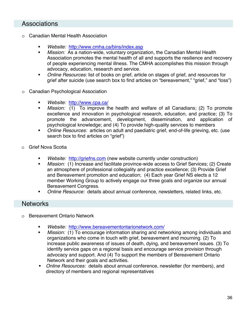## Associations

- o Canadian Mental Health Association
	- *Website:* http://www.cmha.ca/bins/index.asp
	- *Mission:* As a nation-wide, voluntary organization, the Canadian Mental Health Association promotes the mental health of all and supports the resilience and recovery of people experiencing mental illness. The CMHA accomplishes this mission through advocacy, education, research and service.
	- *Online Resources:* list of books on grief, article on stages of grief, and resources for grief after suicide (use search box to find articles on "bereavement," "grief," and "loss")
- **Canadian Psychological Association** 
	- *Website:* http://www.cpa.ca/
	- *Mission:* (1) To improve the health and welfare of all Canadians; (2) To promote excellence and innovation in psychological research, education, and practice; (3) To promote the advancement, development, dissemination, and application of psychological knowledge; and (4) To provide high-quality services to members
	- *Online Resources:* articles on adult and paediatric grief, end-of-life grieving, etc. (use search box to find articles on "grief")
- Grief Nova Scotia
	- *Website:* http://griefns.com (new website currently under construction)
	- *Mission:* (1) Increase and facilitate province-wide access to Grief Services; (2) Create an atmosphere of professional collegiality and practice excellence; (3) Provide Grief and Bereavement promotion and education; (4) Each year Grief NS elects a 12 member Working Group to actively engage our three goals and organize our annual Bereavement Congress.
	- *Online Resource:* details about annual conference, newsletters, related links, etc.

### **Networks**

- o Bereavement Ontario Network
	- *Website:* http://www.bereavementontarionetwork.com/
	- *Mission:* (1) To encourage information sharing and networking among individuals and organizations who come in touch with grief, bereavement and mourning. (2) To increase public awareness of issues of death, dying, and bereavement issues. (3) To identify service gaps on a regional basis and encourage service provision through advocacy and support. And (4) To support the members of Bereavement Ontario Network and their goals and activities.
	- *Online Resources:* details about annual conference, newsletter (for members), and directory of members and regional representatives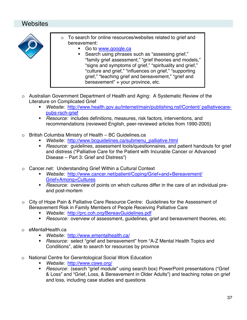## Websites



- o To search for online resources/websites related to grief and bereavement:
	- Go to www.google.ca
		- Search using phrases such as "assessing grief," "family grief assessment," "grief theories and models," "signs and symptoms of grief," "spirituality and grief," "culture and grief," "influences on grief," "supporting grief," "teaching grief and bereavement," "grief and bereavement" + your province, etc.
- o Australian Government Department of Health and Aging: A Systematic Review of the Literature on Complicated Grief
	- *Website:* http://www.health.gov.au/internet/main/publishing.nsf/Content/ palliativecarepubs-rsch-grief
	- *Resource:* includes definitions, measures, risk factors, interventions, and recommendations (reviewed English, peer-reviewed articles from 1990-2005)
- o British Columbia Ministry of Health BC Guidelines.ca
	- *Website:* http://www.bcguidelines.ca/submenu\_palliative.html
	- *Resource:* guidelines, assessment tools/questionnaires, and patient handouts for grief and distress ("Palliative Care for the Patient with Incurable Cancer or Advanced Disease – Part 3: Grief and Distress")
- o Cancer.net: Understanding Grief Within a Cultural Context
	- *Website:* http://www.cancer.net/patient/Coping/Grief+and+Bereavement/ Grief+Among+Cultures
	- *Resource:* overview of points on which cultures differ in the care of an individual preand post-mortem
- o City of Hope Pain & Palliative Care Resource Centre: Guidelines for the Assessment of Bereavement Risk in Family Members of People Receiving Palliative Care
	- *Website:* http://prc.coh.org/BereavGuidelines.pdf
	- *Resource:* overview of assessment, guidelines, grief and bereavement theories, etc.
- o eMentalHealth.ca
	- *Website:* http://www.ementalhealth.ca/
	- *Resource:* select "grief and bereavement" from "A-Z Mental Health Topics and Conditions", able to search for resources by province
- o National Centre for Gerentological Social Work Education
	- *Website:* http://www.cswe.org/
	- *Resource:* (search "grief module" using search box) PowerPoint presentations ("Grief & Loss" and "Grief, Loss, & Bereavement in Older Adults") and teaching notes on grief and loss, including case studies and questions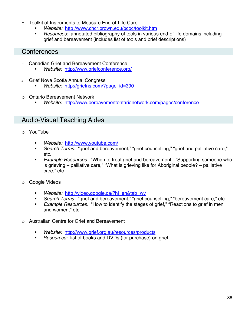- o Toolkit of Instruments to Measure End-of-Life Care
	- *Website:* http://www.chcr.brown.edu/pcoc/toolkit.htm
	- *Resources:* annotated bibliography of tools in various end-of-life domains including grief and bereavement (includes list of tools and brief descriptions)

### **Conferences**

- o Canadian Grief and Bereavement Conference
	- *Website:* http://www.griefconference.org/
- o Grief Nova Scotia Annual Congress
	- *Website:* http://griefns.com/?page\_id=390
- o Ontario Bereavement Network
	- *Website:* http://www.bereavementontarionetwork.com/pages/conference

## Audio-Visual Teaching Aides

- o YouTube
	- *Website:* http://www.youtube.com/
	- *Search Terms:* "grief and bereavement," "grief counselling," "grief and palliative care," etc.
	- *Example Resources:* "When to treat grief and bereavement," "Supporting someone who is grieving – palliative care," "What is grieving like for Aboriginal people? – palliative care," etc.
- o Google Videos
	- *Website:* http://video.google.ca/?hl=en&tab=wv
	- *Search Terms:* "grief and bereavement," "grief counselling," "bereavement care," etc.
	- *Example Resources:* "How to identify the stages of grief," "Reactions to grief in men and women," etc.
- o Australian Centre for Grief and Bereavement
	- *Website:* http://www.grief.org.au/resources/products
	- *Resources:* list of books and DVDs (for purchase) on grief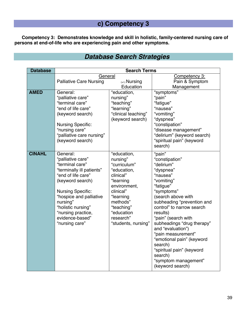# **c) Competency 3**

**Competency 3: Demonstrates knowledge and skill in holistic, family-centered nursing care of persons at end-of-life who are experiencing pain and other symptoms.** 

# *Database Search Strategies*

| <b>Database</b> | <b>Search Terms</b>                                                                                                                                                                                                                                                         |                                                                                                                                                                                                        |                                                                                                                                                                                                                                                                                                                                                                                                                                   |
|-----------------|-----------------------------------------------------------------------------------------------------------------------------------------------------------------------------------------------------------------------------------------------------------------------------|--------------------------------------------------------------------------------------------------------------------------------------------------------------------------------------------------------|-----------------------------------------------------------------------------------------------------------------------------------------------------------------------------------------------------------------------------------------------------------------------------------------------------------------------------------------------------------------------------------------------------------------------------------|
|                 | General<br><b>Palliative Care Nursing</b>                                                                                                                                                                                                                                   | $(+/-)$ Nursing                                                                                                                                                                                        | Competency 3:<br>Pain & Symptom                                                                                                                                                                                                                                                                                                                                                                                                   |
|                 |                                                                                                                                                                                                                                                                             | Education                                                                                                                                                                                              | Management                                                                                                                                                                                                                                                                                                                                                                                                                        |
| <b>AMED</b>     | General:<br>"palliative care"<br>"terminal care"<br>"end of life care"<br>(keyword search)<br><b>Nursing Specific:</b><br>"nursing care"<br>"palliative care nursing"<br>(keyword search)                                                                                   | "education,<br>nursing"<br>"teaching"<br>"learning"<br>"clinical teaching"<br>(keyword search)                                                                                                         | "symptoms"<br>"pain"<br>"fatigue"<br>"nausea"<br>"vomiting"<br>"dyspnea"<br>"constipation"<br>"disease management"<br>"delirium" (keyword search)<br>"spiritual pain" (keyword<br>search)                                                                                                                                                                                                                                         |
| <b>CINAHL</b>   | General:<br>"palliative care"<br>"terminal care"<br>"terminally ill patients"<br>"end of life care"<br>(keyword search)<br><b>Nursing Specific:</b><br>"hospice and palliative<br>nursing"<br>"holistic nursing"<br>"nursing practice,<br>evidence-based"<br>"nursing care" | "education,<br>nursing"<br>"curriculum"<br>"education,<br>clinical"<br>"learning<br>environment,<br>clinical"<br>"learning<br>methods"<br>"teaching"<br>"education<br>research"<br>"students, nursing" | "pain"<br>"constipation"<br>"delirium"<br>"dyspnea"<br>"nausea"<br>"vomiting"<br>"fatigue"<br>"symptoms"<br>(search above with<br>subheading "prevention and<br>control" to narrow search<br>results)<br>"pain" (search with<br>subheadings "drug therapy"<br>and "evaluation")<br>"pain measurement"<br>"emotional pain" (keyword<br>search)<br>"spiritual pain" (keyword<br>search)<br>"symptom management"<br>(keyword search) |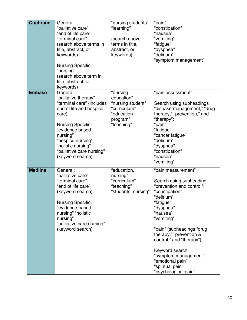| <b>Cochrane</b> | General:<br>"palliative care"<br>"end of life care"<br>"terminal care"<br>(search above terms in<br>title, abstract, or<br>keywords)<br><b>Nursing Specific:</b><br>"nursing"<br>(search above term in<br>title, abstract, or<br>keywords)               | "nursing students"<br>"learning"<br>(search above<br>terms in title,<br>abstract, or<br>keywords)   | "pain"<br>"constipation"<br>"nausea"<br>"vomiting"<br>"fatigue"<br>"dyspnea"<br>"delirium"<br>"symptom management"                                                                                                                                                                                                                                            |
|-----------------|----------------------------------------------------------------------------------------------------------------------------------------------------------------------------------------------------------------------------------------------------------|-----------------------------------------------------------------------------------------------------|---------------------------------------------------------------------------------------------------------------------------------------------------------------------------------------------------------------------------------------------------------------------------------------------------------------------------------------------------------------|
| <b>Embase</b>   | General:<br>"palliative therapy"<br>"terminal care" (includes<br>end of life and hospice<br>care)<br><b>Nursing Specific:</b><br>"evidence based<br>nursing"<br>"hospice nursing"<br>"holistic nursing"<br>"palliative care nursing"<br>(keyword search) | "nursing<br>education"<br>"nursing student"<br>"curriculum"<br>"education<br>program"<br>"teaching" | "pain assessment"<br>Search using subheadings<br>"disease management," "drug<br>therapy," "prevention," and<br>"therapy":<br>"pain"<br>"fatigue"<br>"cancer fatigue"<br>"delirium"<br>"dyspnea"<br>"constipation"<br>"nausea"<br>"vomiting"                                                                                                                   |
| <b>Medline</b>  | General:<br>"palliative care"<br>"terminal care"<br>"end of life care"<br>(keyword search)<br><b>Nursing Specific:</b><br>"evidence-based<br>nursing" "holistic<br>nursing"<br>"palliative care nursing"<br>(keyword search)                             | "education,<br>nursing"<br>"curriculum"<br>"teaching"<br>"students, nursing"                        | "pain measurement"<br>Search using subheading<br>"prevention and control":<br>"constipation"<br>"delirium"<br>"fatigue"<br>"dyspnea"<br>"nausea"<br>"vomiting"<br>"pain" (subheadings "drug<br>therapy," "prevention &<br>control," and "therapy")<br>Keyword search:<br>"symptom management"<br>"emotional pain"<br>"spiritual pain"<br>"psychological pain" |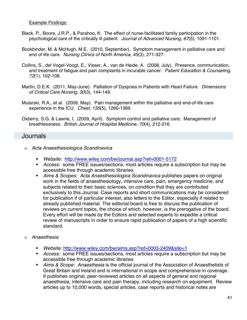#### Example Findings:

- Black, P., Boore, J.R.P., & Parahoo, K. The effect of nurse-facilitated family participation in the psychological care of the critically ill patient. *Journal of Advanced Nursing, 67*(5), 1091-1101.
- Bookbinder, M. & McHugh, M.E. (2010, September). Symptom management in palliative care and end of life care. *Nursing Clinics of North America, 45*(3), 271-327.
- Collins, S., del Vogel-Voogt, E., Visser, A., van de Heide, A. (2008, July). Presence, communication, and treatment of fatigue and pain complaints in incurable cancer. *Patient Education & Counseling, 72*(1), 102-108.
- Martin, D.E.K. (2011, May-June). Palliation of Dyspnea in Patients with Heart Failure. *Dimensions of Critical Care Nursing, 30*(3), 144-149.
- Mularski, R.A., et al. (2009, May). Pain management within the palliative and end-of-life care experience in the ICU. *Chest, 135*(5), 1260-1369.
- Oxberry, S.G. & Lawrie, I. (2009, April). Symptom control and palliative care: Management of breathlessness. *British Journal of Hospital Medicine, 70*(4), 212-216.

#### Journals

- o *Acta Anaesthesiologica Scandinavica* 
	- *Website:* http://www.wiley.com/bw/journal.asp?ref=0001-5172
	- *Access:* some FREE issues/sections, most articles require a subscription but may be accessible free through academic libraries
	- *Aims & Scopes: Acta Anaesthesiologica Scandinavica* publishes papers on original work in the fields of anaesthesiology, intensive care, pain, emergency medicine, and subjects related to their basic sciences, on condition that they are contributed exclusively to this Journal. Case reports and short communications may be considered for publication if of particular interest; also letters to the Editor, especially if related to already published material. The editorial board is free to discuss the publication of reviews on current topics, the choice of which, however, is the prerogative of the board. Every effort will be made by the Editors and selected experts to expedite a critical review of manuscripts in order to ensure rapid publication of papers of a high scientific standard.
- o *Anaesthesia* 
	- *Website:* http://www.wiley.com/bw/aims.asp?ref=0003-2409&site=1
	- *Access:* some FREE issues/sections, most articles require a subscription but may be accessible free through academic libraries
	- *Aims & Scope: Anaesthesia* is the official journal of the Association of Anaesthetists of Great Britain and Ireland and is international in scope and comprehensive in coverage. It publishes original, peer-reviewed articles on all aspects of general and regional anaesthesia, intensive care and pain therapy, including research on equipment. Review articles up to 10,000 words, special articles, case reports and historical notes are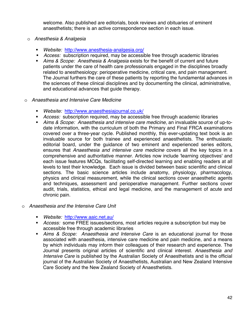welcome. Also published are editorials, book reviews and obituaries of eminent anaesthetists; there is an active correspondence section in each issue.

- o *Anesthesia & Analgesia* 
	- *Website:* http://www.anesthesia-analgesia.org/
	- *Access:* subscription required, may be accessible free through academic libraries
	- *Aims & Scope: Anesthesia & Analgesia* exists for the benefit of current and future patients under the care of health care professionals engaged in the disciplines broadly related to anesthesiology: perioperative medicine, critical care, and pain management. The Journal furthers the care of these patients by reporting the fundamental advances in the sciences of these clinical disciplines and by documenting the clinical, administrative, and educational advances that guide therapy.
- o *Anaesthesia and Intensive Care Medicine* 
	- *Website:* http://www.anaesthesiajournal.co.uk/
	- *Access:* subscription required, may be accessible free through academic libraries
	- *Aims & Scope: Anaesthesia and intensive care medicine*, an invaluable source of up-todate information, with the curriculum of both the Primary and Final FRCA examinations covered over a three-year cycle. Published monthly, this ever-updating text book is an invaluable source for both trainee and experienced anaesthetists. The enthusiastic editorial board, under the guidance of two eminent and experienced series editors, ensures that *Anaesthesia and intensive care medicine* covers all the key topics in a comprehensive and authoritative manner. Articles now include 'learning objectives' and each issue features MCQs, facilitating self-directed learning and enabling readers at all levels to test their knowledge. Each issue is divided between basic scientific and clinical sections. The basic science articles include anatomy, physiology, pharmacology, physics and clinical measurement, while the clinical sections cover anaesthetic agents and techniques, assessment and perioperative management. Further sections cover audit, trials, statistics, ethical and legal medicine, and the management of acute and chronic pain.
- o *Anaesthesia and the Intensive Care Unit* 
	- *Website:* http://www.aaic.net.au/
	- *Access:* some FREE issues/sections, most articles require a subscription but may be accessible free through academic libraries
	- *Aims & Scope: Anaesthesia and Intensive Care* is an educational journal for those associated with anaesthesia, intensive care medicine and pain medicine, and a means by which individuals may inform their colleagues of their research and experience. The Journal presents original articles of scientific and clinical interest. *Anaesthesia and Intensive Care* is published by the Australian Society of Anaesthetists and is the official journal of the Australian Society of Anaesthetists, Australian and New Zealand Intensive Care Society and the New Zealand Society of Anaesthetists.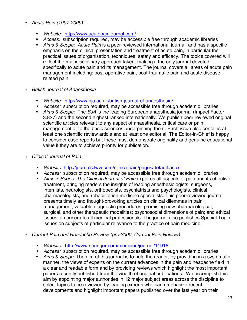#### o *Acute Pain (1997-2009)*

- *Website:* http://www.acutepainjournal.com/
- *Access:* subscription required, may be accessible free through academic libraries
- *Aims & Scope: Acute Pain* is a peer-reviewed international journal, and has a specific emphasis on the clinical presentation and treatment of acute pain, in particular the practical issues of organisation, techniques, safety and efficacy. The topics covered will reflect the multidisciplinary approach taken, making it the only journal devoted specifically to acute pain and its management. The journal covers all areas of acute pain management including: post-operative pain, post-traumatic pain and acute disease related pain.
- o *British Journal of Anaesthesia* 
	- *Website:* http://www.bja.ac.uk/british-journal-of-anaesthesia/
	- *Access:* subscription required, may be accessible free through academic libraries
	- *Aims & Scope:* The *BJA* is the leading European anaesthesia journal (Impact Factor 3.827) and the second highest ranked internationally. We publish peer reviewed original scientific articles relevant to any aspect of anaesthesia, critical care or pain management or to the basic sciences underpinning them. Each issue also contains at least one scientific review article and at least one editorial. The Editor-in-Chief is happy to consider case reports but these must demonstrate originality and genuine educational value if they are to achieve priority for publication.
- o *Clinical Journal of Pain* 
	- *Website:* http://journals.lww.com/clinicalpain/pages/default.aspx
	- *Access:* subscription required, may be accessible free through academic libraries
	- *Aims & Scope: The Clinical Journal of Pain* explores all aspects of pain and its effective treatment, bringing readers the insights of leading anesthesiologists, surgeons, internists, neurologists, orthopedists, psychiatrists and psychologists, clinical pharmacologists, and rehabilitation medicine specialists. This peer-reviewed journal presents timely and thought-provoking articles on clinical dilemmas in pain management; valuable diagnostic procedures; promising new pharmacological, surgical, and other therapeutic modalities; psychosocial dimensions of pain; and ethical issues of concern to all medical professionals. The journal also publishes Special Topic issues on subjects of particular relevance to the practice of pain medicine.
- o *Current Pain and Headache Review (pre-2000, Current Pain Review)* 
	- *Website:* http://www.springer.com/medicine/journal/11916
	- *Access:* subscription required, may be accessible free through academic libraries
	- *Aims & Scope:* The aim of this journal is to help the reader, by providing in a systematic manner, the views of experts on the current advances in the pain and headache field in a clear and readable form and by providing reviews which highlight the most important papers recently published from the wealth of original publications. We accomplish this aim by appointing major authorities in 12 major subject areas across the discipline to select topics to be reviewed by leading experts who can emphasize recent developments and highlight important papers published over the last year on their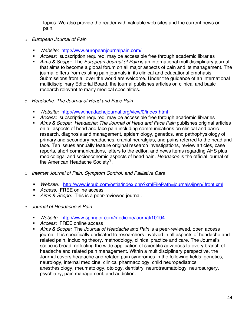topics. We also provide the reader with valuable web sites and the current news on pain.

- o *European Journal of Pain* 
	- *Website:* http://www.europeanjournalpain.com/
	- *Access:* subscription required, may be accessible free through academic libraries
	- *Aims & Scope:* The *European Journal of Pain* is an international multidisciplinary journal that aims to become a global forum on all major aspects of pain and its management. The journal differs from existing pain journals in its clinical and educational emphasis. Submissions from all over the world are welcome. Under the guidance of an international multidisciplinary Editorial Board, the journal publishes articles on clinical and basic research relevant to many medical specialities.
- o *Headache: The Journal of Head and Face Pain* 
	- *Website:* http://www.headachejournal.org/view/0/index.html
	- *Access:* subscription required, may be accessible free through academic libraries
	- *Aims & Scope: Headache: The Journal of Head and Face Pain* publishes original articles on all aspects of head and face pain including communications on clinical and basic research, diagnosis and management, epidemiology, genetics, and pathophysiology of primary and secondary headaches, cranial neuralgias, and pains referred to the head and face. Ten issues annually feature original research investigations, review articles, case reports, short communications, letters to the editor, and news items regarding AHS plus medicolegal and socioeconomic aspects of head pain. *Headache* is the official journal of the American Headache Society®.
- o *Internet Journal of Pain, Symptom Control, and Palliative Care*
	- *Website:* http://www.ispub.com/ostia/index.php?xmlFilePath=journals/ijpsp/ front.xml
	- *Access:* FREE online access
	- *Aims & Scope:* This is a peer-reviewed journal.
- o *Journal of Headache & Pain* 
	- *Website:* http://www.springer.com/medicine/journal/10194
	- *Access:* FREE online access
	- *Aims & Scope:* The *Journal of Headache and Pain* is a peer-reviewed, open access journal. It is specifically dedicated to researchers involved in all aspects of headache and related pain, including theory, methodology, clinical practice and care. The Journal's scope is broad, reflecting the wide application of scientific advances to every branch of headache and related pain management. Within a multidisciplinary perspective, the Journal covers headache and related pain syndromes in the following fields: genetics, neurology, internal medicine, clinical pharmacology, child neuropediatrics, anesthesiology, rheumatology, otology, dentistry, neurotraumatology, neurosurgery, psychiatry, pain management, and addiction.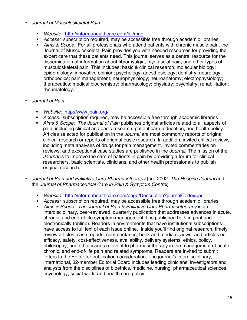#### o *Journal of Musculoskeletal Pain*

- *Website:* http://informahealthcare.com/loi/mup
- *Access:* subscription required, may be accessible free through academic libraries
- *Aims & Scope:* For all professionals who attend patients with chronic muscle pain, the Journal of Musculoskeletal Pain provides you with needed resources for providing the expert care that these patients need. This journal serves as a central resource for the dissemination of information about fibromyalgia, myofascial pain, and other types of musculoskeletal pain. This includes: basic & clinical research; molecular biology; epidemiology; innovative opinion; psychology; anesthesiology; dentistry; neurology; orthopedics; pain management; neurophysiology; neuroanatomy; electrophysiology; therapeutics; medical biochemistry; pharmacology; physiatry; psychiatry; rehabilitation; rheumatology.

#### o *Journal of Pain*

- *Website:* http://www.jpain.org/
- *Access:* subscription required, may be accessible free through academic libraries
- *Aims & Scope: The Journal of Pain* publishes original articles related to all aspects of pain, including clinical and basic research, patient care, education, and health policy. Articles selected for publication in the *Journal* are most commonly reports of original clinical research or reports of original basic research. In addition, invited critical reviews, including meta analyses of drugs for pain management, invited commentaries on reviews, and exceptional case studies are published in the *Journal*. The mission of the *Journal* is to improve the care of patients in pain by providing a forum for clinical researchers, basic scientists, clinicians, and other health professionals to publish original research.
- o *Journal of Pain and Palliative Care Pharmacotherapy* (pre-2002: *The Hospice Journal* and the *Journal of Pharmaceutical Care in Pain & Symptom Control*)
	- *Website:* http://informahealthcare.com/page/Description?journalCode=ppc
	- *Access:* subscription required, may be accessible free through academic libraries
	- *Aims & Scope: The Journal of Pain & Palliative Care Pharmacotherapy* is an interdisciplinary, peer-reviewed, quarterly publication that addresses advances in acute, chronic, and end-of-life symptom management. It is published both in print and electronically (online). Readers in environments that have institutional subscriptions have access to full text of each issue online. Inside you'll find original research, timely review articles, case reports, commentaries, book and media reviews, and articles on efficacy, safety, cost-effectiveness, availability, delivery systems, ethics, policy, philosophy, and other issues relevant to pharmacotherapy in the management of acute, chronic, and end-of-life pain and related symptoms. Readers are invited to submit letters to the Editor for publication consideration. The journal's interdisciplinary, international, 32-member Editorial Board includes leading clinicians, investigators and analysts from the disciplines of bioethics, medicine, nursing, pharmaceutical sciences, psychology, social work, and health care policy.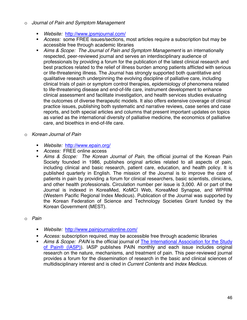#### o *Journal of Pain and Symptom Management*

- *Website:* http://www.jpsmjournal.com/
- *Access:* some FREE issues/sections, most articles require a subscription but may be accessible free through academic libraries
- *Aims & Scope: The Journal of Pain and Symptom Management* is an internationally respected, peer-reviewed journal and serves an interdisciplinary audience of professionals by providing a forum for the publication of the latest clinical research and best practices related to the relief of illness burden among patients afflicted with serious or life-threatening illness. The Journal has strongly supported both quantitative and qualitative research underpinning the evolving discipline of palliative care, including clinical trials of pain or symptom control therapies, epidemiology of phenomena related to life-threatening disease and end-of-life care, instrument development to enhance clinical assessment and facilitate investigation, and health services studies evaluating the outcomes of diverse therapeutic models. It also offers extensive coverage of clinical practice issues, publishing both systematic and narrative reviews, case series and case reports, and both special articles and columns that present important updates on topics as varied as the international diversity of palliative medicine, the economics of palliative care, and bioethics in end-of-life care.
- o *Korean Journal of Pain*
	- *Website:* http://www.epain.org/
	- *Access:* FREE online access
	- *Aims & Scope: The Korean Journal of Pain,* the official journal of the Korean Pain Society founded in 1986, publishes original articles related to all aspects of pain, including clinical and basic research, patient care, education, and health policy. It is published quarterly in English. The mission of the Journal is to improve the care of patients in pain by providing a forum for clinical researchers, basic scientists, clinicians, and other health professionals. Circulation number per issue is 3,000. All or part of the Journal is indexed in KoreaMed, KoMCI Web, KoreaMed Synapse, and WPRIM (Western Pacific Regional Index Medicus). Publication of the Journal was supported by the Korean Federation of Science and Technology Societies Grant funded by the Korean Government (MEST).
- o *Pain* 
	- *Website:* http://www.painjournalonline.com/
	- *Access:* subscription required, may be accessible free through academic libraries
	- *Aims & Scope: PAIN* is the official journal of The International Association for the Study of Pain® (IASP)). IASP publishes PAIN monthly and each issue includes original research on the nature, mechanisms, and treatment of pain. This peer-reviewed journal provides a forum for the dissemination of research in the basic and clinical sciences of multidisciplinary interest and is cited in *Current Contents* and *Index Medicus.*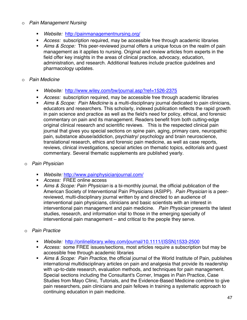#### o *Pain Management Nursing*

- *Website:* http://painmanagementnursing.org/
- *Access:* subscription required, may be accessible free through academic libraries
- *Aims & Scope:* This peer-reviewed journal offers a unique focus on the realm of pain management as it applies to nursing. Original and review articles from experts in the field offer key insights in the areas of clinical practice, advocacy, education, administration, and research. Additional features include practice guidelines and pharmacology updates.
- o *Pain Medicine*
	- *Website:* http://www.wiley.com/bw/journal.asp?ref=1526-2375
	- *Access:* subscription required, may be accessible free through academic libraries
	- *Aims & Scope: Pain Medicine* is a multi-disciplinary journal dedicated to pain clinicians, educators and researchers. This scholarly, indexed publication reflects the rapid growth in pain science and practice as well as the field's need for policy, ethical, and forensic commentary on pain and its management. Readers benefit from both cutting-edge original clinical research and scientific reviews. This is the respected clinical pain journal that gives you special sections on spine pain, aging, primary care, neuropathic pain, substance abuse/addiction, psychiatry/ psychology and brain neuroscience, translational research, ethics and forensic pain medicine, as well as case reports, reviews, clinical investigations, special articles on thematic topics, editorials and guest commentary. Several thematic supplements are published yearly.
	- o *Pain Physician* 
		- *Website:* http://www.painphysicianjournal.com/
		- *Access:* FREE online access
		- *Aims & Scope: Pain Physician* is a bi-monthly journal, the official publication of the American Society of Interventional Pain Physicians (ASIPP). *Pain Physician* is a peerreviewed, multi-disciplinary journal written by and directed to an audience of interventional pain physicians, clinicians and basic scientists with an interest in interventional pain management and pain medicine. *Pain Physician* presents the latest studies, research, and information vital to those in the emerging specialty of interventional pain management – and critical to the people they serve.
	- o *Pain Practice*
		- *Website:* http://onlinelibrary.wiley.com/journal/10.1111/(ISSN)1533-2500
		- *Access:* some FREE issues/sections, most articles require a subscription but may be accessible free through academic libraries
		- *Aims & Scope: Pain Practice*, the official journal of the World Institute of Pain, publishes international multidisciplinary articles on pain and analgesia that provide its readership with up-to-date research, evaluation methods, and techniques for pain management. Special sections including the Consultant's Corner, Images in Pain Practice, Case Studies from Mayo Clinic, Tutorials, and the Evidence-Based Medicine combine to give pain researchers, pain clinicians and pain fellows in training a systematic approach to continuing education in pain medicine.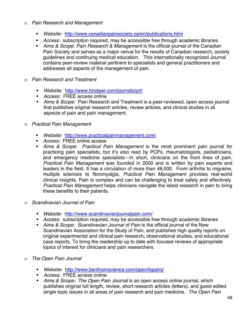#### o *Pain Research and Management*

- *Website:* http://www.canadianpainsociety.ca/en/publications.html
- *Access:* subscription required, may be accessible free through academic libraries
- *Aims & Scope: Pain Research & Management* is the official journal of the Canadian Pain Society and serves as a major venue for the results of Canadian research, society guidelines and continuing medical education. This internationally recognized Journal contains peer-review material pertinent to specialists and general practitioners and addresses all aspects of the management of pain.
- o *Pain Research and Treatment*
	- *Website:* http://www.hindawi.com/journals/prt/
	- *Access:* FREE access online
	- *Aims & Scope:* Pain Research and Treatment is a peer-reviewed, open access journal that publishes original research articles, review articles, and clinical studies in all aspects of pain and pain management.
- o *Practical Pain Management*
	- *Website:* http://www.practicalpainmanagement.com/
	- *Access:* FREE online access
	- *Aims & Scope: Practical Pain Management* is the most prominent pain journal for practicing pain specialists, but it's also read by PCPs, rheumatologists, pediatricians, and emergency medicine specialists—in short, clinicians on the front lines of pain. *Practical Pain Management* was founded in 2000 and is written by pain experts and leaders in the field. It has a circulation of more than 46,000. From arthritis to migraine, multiple sclerosis to fibromyalgia, *Practical Pain Management* provides real-world clinical insights. Pain is complex and can be challenging to treat safely and effectively. *Practical Pain Management* helps clinicians navigate the latest research in pain to bring these benefits to their patients.
- o *Scandinavian Journal of Pain* 
	- *Website:* http://www.scandinavianjournalpain.com/
	- *Access:* subscription required, may be accessible free through academic libraries
	- *Aims & Scope: Scandinavian Journal of Pain* is the official journal of the New Scandinavian Association for the Study of Pain, and publishes high quality reports on original experimental and clinical pain research, observational studies, and educational case reports. To bring the readership up to date with focused reviews of appropriate topics of interest for clinicians and pain researchers.
- o *The Open Pain Journal*
	- *Website:* http://www.benthamscience.com/open/topainj/
	- *Access:* FREE access online
	- *Aims & Scope: The Open Pain Journal* is an open access online journal, which publishes original full length, review, short research articles (letters), and guest edited single topic issues in all areas of pain research and pain medicine. *The Open Pain*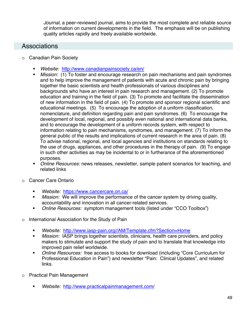*Journal*, a peer-reviewed journal, aims to provide the most complete and reliable source of information on current developments in the field. The emphasis will be on publishing quality articles rapidly and freely available worldwide.

### **Associations**

- o Canadian Pain Society
	- *Website:* http://www.canadianpainsociety.ca/en/
	- *Mission:* (1) To foster and encourage research on pain mechanisms and pain syndromes and to help improve the management of patients with acute and chronic pain by bringing together the basic scientists and health professionals of various disciplines and backgrounds who have an interest in pain research and management. (2) To promote education and training in the field of pain. (3) To promote and facilitate the dissemination of new information in the field of pain. (4) To promote and sponsor regional scientific and educational meetings. (5) To encourage the adoption of a uniform classification, nomenclature, and definition regarding pain and pain syndromes. (6) To encourage the development of local, regional, and possibly even national and international data banks, and to encourage the development of a uniform records system, with respect to information relating to pain mechanisms, syndromes, and management. (7) To inform the general public of the results and implications of current research in the area of pain. (8) To advise national, regional, and local agencies and institutions on standards relating to the use of drugs, appliances, and other procedures in the therapy of pain. (9) To engage in such other activities as may be incidental to or in furtherance of the aforementioned purposes.
	- *Online Resources:* news releases, newsletter, sample patient scenarios for teaching, and related links
- o Cancer Care Ontario
	- *Website:* https://www.cancercare.on.ca/
	- *Mission:* We will improve the performance of the cancer system by driving quality, accountability and innovation in all cancer-related services.
	- *Online Resources:* symptom management tools (listed under "CCO Toolbox")
- o International Association for the Study of Pain
	- *Website:* http://www.iasp-pain.org//AM/Template.cfm?Section=Home
	- *Mission:* IASP brings together scientists, clinicians, health care providers, and policy makers to stimulate and support the study of pain and to translate that knowledge into improved pain relief worldwide.
	- *Online Resources:* free access to books for download (including "Core Curriculum for Professional Education in Pain") and newsletter "Pain: Clinical Updates", and related links.
- o Practical Pain Management
	- *Website:* http://www.practicalpainmanagement.com/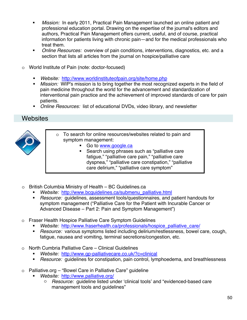- *Mission:* In early 2011, Practical Pain Management launched an online patient and professional education portal. Drawing on the expertise of the journal's editors and authors, Practical Pain Management offers current, useful, and of course, practical information for patients living with chronic pain—and for the medical professionals who treat them. authors, Practical Pain Management offers current, useful, and of course, practical
- **D**online Resources: overview of pain conditions, interventions, diagnostics, etc. and a section that lists all articles from the journal on hospice/palliative care *Online Resources:* overview of pain conditions, interventions, diagnostics, etc. and a
- o World Institute of Pain (note: doctor-focused)
	- **Website:** http://www.worldinstituteofpain.org/site/home.php
	- *Mission:* WIP's mission is to bring together the most recognized experts in the field of pain medicine throughout the world for the advancement and standardization of interventional pain practice and the achievement of improved standards of care for pain patients.
	- **Dian Allerty Construce Achievity Dinteral PR** and stand of *Qnline Resources:* list of educational DVDs, video library, and newsletter

## **Websites**



- o To search for online resources/websites related to pain and symptom management:  $\overline{\phantom{a}}$ 
	- **Co to www.google.ca** and to pain and to pain and to pain and to pain and to pain and to pain and to pain and to pain and to pain and to pain and to pain and to pain and to pain and to pain and to pain and to pain and to p
	- Search using phrases such as "palliative care fatigue," "palliative care pain," "palliative care dyspnea," "palliative care constipation," "palliative \ care delirium," "palliative care symptom" et alle dyspnea," "palliative care constitution," "palliative care constitution," "palliative care constitution," "pal
- o British Columbia Ministry of Health BC Guidelines.ca
	- *Website:* http://www.bcguidelines.ca/submenu\_palliative.html
	- **Biodinal Princips** Pation assessment tools/questionnaires, and patient handouts for symptom management ("Palliative Care for the Patient with Incurable Cancer or Advanced Disease – Part 2: Pain and Symptom Management")
- $\circ$  Fraser Health Hospice Palliative Care Symptom Guidelines
	- *Website:* http://www.fraserhealth.ca/professionals/hospice\_palliative\_care/
	- **-** Resource: various symptoms listed including delirium/restlessness, bowel care, cough, fatigue, nausea and vomiting, terminal secretions/congestion, etc. *Resource:* various symptoms listed including delirium/restlessness, bowel care, cough,
- o North Cumbria Palliative Care Clinical Guidelines
	- *Website:* http://www.gp-palliativecare.co.uk/?c=clinical
	- **Bially and The Construmer Filte Constipation**, pain control, lymphoedema, and breathlessness *Website:* http://www.gp-palliativecare.co.uk/?c=clinical
- o Palliative.org "Bowel Care in Palliative Care" guideline
	- *Website:* http://www.palliative.org/
		- o Resource: guideline listed under 'clinical tools' and "evidenced-based care management tools and guidelines" *Resource:* guideline listed under 'clinical tools' and "evidenced-based care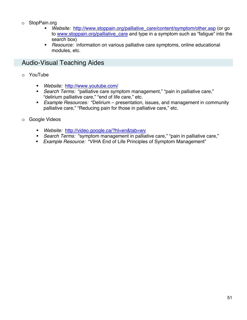### o StopPain.org

- *Website:* http://www.stoppain.org/palliative\_care/content/symptom/other.asp (or go to www.stoppain.org/palliative\_care and type in a symptom such as "fatigue" into the search box)
- *Resource:* information on various palliative care symptoms, online educational modules, etc.

## Audio-Visual Teaching Aides

- o YouTube
	- *Website:* http://www.youtube.com/
	- *Search Terms:* "palliative care symptom management," "pain in palliative care," "delirium palliative care," "end of life care," etc.
	- *Example Resources:* "Delirium presentation, issues, and management in community palliative care," "Reducing pain for those in palliative care," etc.
- o Google Videos
	- *Website:* http://video.google.ca/?hl=en&tab=wv
	- *Search Terms:* "symptom management in palliative care," "pain in palliative care,"
	- *Example Resource:* "VIHA End of Life Principles of Symptom Management"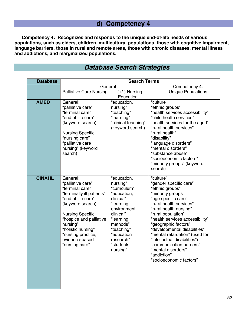## **d) Competency 4**

**Competency 4: Recognizes and responds to the unique end-of-life needs of various populations, such as elders, children, multicultural populations, those with cognitive impairment, language barriers, those in rural and remote areas, those with chronic diseases, mental illness and addictions, and marginalized populations.** 

| <b>Database</b> | <b>Search Terms</b>                                                                                                                                                                                                                                                         |                                                                                                                                                                                                           |                                                                                                                                                                                                                                                                                                                                                                                                                                        |
|-----------------|-----------------------------------------------------------------------------------------------------------------------------------------------------------------------------------------------------------------------------------------------------------------------------|-----------------------------------------------------------------------------------------------------------------------------------------------------------------------------------------------------------|----------------------------------------------------------------------------------------------------------------------------------------------------------------------------------------------------------------------------------------------------------------------------------------------------------------------------------------------------------------------------------------------------------------------------------------|
|                 | General<br><b>Palliative Care Nursing</b>                                                                                                                                                                                                                                   | $(+/-)$ Nursing<br>Education                                                                                                                                                                              | Competency 4:<br><b>Unique Populations</b>                                                                                                                                                                                                                                                                                                                                                                                             |
| <b>AMED</b>     | General:<br>"palliative care"<br>"terminal care"<br>"end of life care"<br>(keyword search)<br><b>Nursing Specific:</b><br>"nursing care"<br>"palliative care<br>nursing" (keyword<br>search)                                                                                | "education,<br>nursing"<br>"teaching"<br>"learning"<br>"clinical teaching"<br>(keyword search)                                                                                                            | "culture<br>"ethnic groups"<br>"health services accessibility"<br>"child health services"<br>"health services for the aged"<br>"rural health services"<br>"rural health"<br>"disability"<br>"language disorders"<br>"mental disorders"<br>"substance abuse"<br>"socioeconomic factors"<br>"minority groups" (keyword<br>search)                                                                                                        |
| <b>CINAHL</b>   | General:<br>"palliative care"<br>"terminal care"<br>"terminally ill patients"<br>"end of life care"<br>(keyword search)<br><b>Nursing Specific:</b><br>"hospice and palliative<br>nursing"<br>"holistic nursing"<br>"nursing practice,<br>evidence-based"<br>"nursing care" | "education,<br>nursing"<br>"curriculum"<br>"education,<br>clinical"<br>"learning<br>environment,<br>clinical"<br>"learning<br>methods"<br>"teaching"<br>"education<br>research"<br>"students,<br>nursing" | "culture"<br>"gender specific care"<br>"ethnic groups"<br>"minority groups"<br>"age specific care"<br>"rural health services"<br>"rural health nursing"<br>"rural population"<br>"health services accessibility"<br>"geographic factors"<br>"developmental disabilities"<br>"mental retardation" (used for<br>"intellectual disabilities")<br>"communication barriers"<br>"mental disorders"<br>"addiction"<br>'socioeconomic factors" |

# *Database Search Strategies*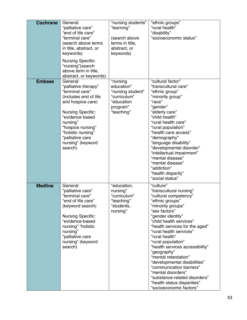| <b>Cochrane</b> | General:<br>"palliative care"<br>"end of life care"<br>"terminal care"<br>(search above terms<br>in title, abstract, or<br>keywords)<br><b>Nursing Specific:</b><br>"nursing"(search<br>above term in title,<br>abstract, or keywords)                      | "nursing students"<br>"learning"<br>(search above<br>terms in title,<br>abstract, or<br>keywords)   | "ethnic groups"<br>"rural health"<br>"disability"<br>"socioeconomic status"                                                                                                                                                                                                                                                                                                                                                                                                                                                        |
|-----------------|-------------------------------------------------------------------------------------------------------------------------------------------------------------------------------------------------------------------------------------------------------------|-----------------------------------------------------------------------------------------------------|------------------------------------------------------------------------------------------------------------------------------------------------------------------------------------------------------------------------------------------------------------------------------------------------------------------------------------------------------------------------------------------------------------------------------------------------------------------------------------------------------------------------------------|
| <b>Embase</b>   | General:<br>"palliative therapy"<br>"terminal care"<br>(includes end of life<br>and hospice care)<br><b>Nursing Specific:</b><br>"evidence based<br>nursing"<br>"hospice nursing"<br>"holistic nursing"<br>"palliative care<br>nursing" (keyword<br>search) | "nursing<br>education"<br>"nursing student"<br>"curriculum"<br>"education<br>program"<br>"teaching" | "cultural factor"<br>"transcultural care"<br>"ethnic group"<br>"minority group"<br>"race"<br>"gender"<br>"elderly care"<br>"child health"<br>"rural health care"<br>"rural population"<br>"health care access"<br>"demography"<br>"language disability"<br>"developmental disorder"<br>"intellectual impairment"<br>"mental disease"<br>"mental disease"<br>"addiction"<br>"health disparity"<br>"social status"                                                                                                                   |
| <b>Medline</b>  | General:<br>"palliative care"<br>"terminal care"<br>"end of life care"<br>(keyword search)<br><b>Nursing Specific:</b><br>"evidence-based<br>nursing" "holistic<br>nursing"<br>"palliative care<br>nursing" (keyword<br>search)                             | "education,<br>nursing"<br>"curriculum"<br>"teaching"<br>"students,<br>nursing"                     | "culture"<br>"transcultural nursing"<br>"cultural competency"<br>"ethnic groups"<br>"minority groups"<br>"sex factors"<br>"gender identity"<br>"child health services"<br>"health services for the aged"<br>"rural health services"<br>"rural health"<br>"rural population"<br>"health services accessibility"<br>"geography"<br>"mental retardation"<br>"developmental disabilities"<br>"communication barriers"<br>"mental disorders"<br>"substance-related disorders"<br>"health status disparities"<br>"socioeconomic factors" |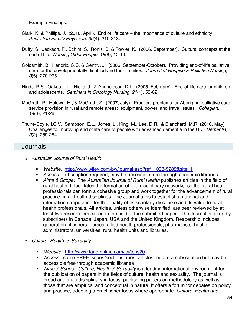#### Example Findings:

- Clark, K. & Phillips, J. (2010, April). End of life care the importance of culture and ethnicity. *Australian Family Physician, 39*(4), 210-213.
- Duffy, S., Jackson, F., Schim, S., Ronis, D. & Fowler, K. (2006, September). Cultural concepts at the end of life. *Nursing Older People, 18*(8), 10-14.
- Goldsmith, B., Hendrix, C.C. & Gentry, J. (2006, September-October). Providing end-of-life palliative care for the developmentally disabled and their families. *Journal of Hospice & Palliative Nursing, 8*(5), 270-275.
- Hinds, P.S., Oakes, L.L., Hicks, J., & Anghelescu, D.L. (2005, February). End-of-life care for children and adolescents. *Seminars in Oncology Nursing, 21*(1), 53-62.
- McGrath, P., Holewa, H., & McGrath, Z. (2007, July). Practical problems for Aboriginal palliative care service provision in rural and remote areas: equipment, power, and travel issues. *Collegian, 14*(3), 21-26.
- Thune-Boyle, I.C.V., Sampson, E.L., Jones, L., King, M., Lee, D.R., & Blanchard, M.R. (2010, May). Challenges to improving end of life care of people with advanced dementia in the UK. *Dementia, 9*(2), 259-284

### **Journals**

- o *Australian Journal of Rural Health* 
	- *Website:* http://www.wiley.com/bw/journal.asp?ref=1038-5282&site=1
	- *Access:* subscription required, may be accessible free through academic libraries
	- *Aims & Scope:* The *Australian Journal of Rural Health* publishes articles in the field of rural health. It facilitates the formation of interdisciplinary networks, so that rural health professionals can form a cohesive group and work together for the advancement of rural practice, in all health disciplines. The Journal aims to establish a national and international reputation for the quality of its scholarly discourse and its value to rural health professionals. All articles, unless otherwise identified, are peer reviewed by at least two researchers expert in the field of the submitted paper. The Journal is taken by subscribers in Canada, Japan, USA and the United Kingdom. Readership includes general practitioners, nurses, allied health professionals, pharmacists, health administrators, universities, rural health units and libraries.
- o *Culture, Health, & Sexuality* 
	- *Website:* http://www.tandfonline.com/loi/tchs20
	- *Access:* some FREE issues/sections, most articles require a subscription but may be accessible free through academic libraries
	- *Aims & Scope: Culture, Health & Sexuality* is a leading international environment for the publication of papers in the fields of culture, health and sexuality. The journal is broad and multi-disciplinary in focus, publishing papers on methodology as well as those that are empirical and conceptual in nature. It offers a forum for debates on policy and practice, adopting a practitioner focus where appropriate. *Culture, Health and*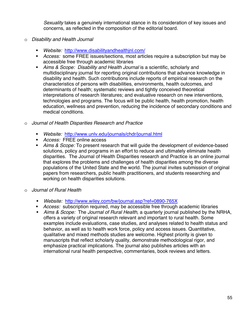*Sexuality* takes a genuinely international stance in its consideration of key issues and concerns, as reflected in the composition of the editorial board.

- o *Disability and Health Journal* 
	- *Website:* http://www.disabilityandhealthjnl.com/
	- *Access:* some FREE issues/sections, most articles require a subscription but may be accessible free through academic libraries
	- *Aims & Scope: Disability and Health Journal* is a scientific, scholarly and multidisciplinary journal for reporting original contributions that advance knowledge in disability and health. Such contributions include reports of empirical research on the characteristics of persons with disabilities, environments, health outcomes, and determinants of health; systematic reviews and tightly conceived theoretical interpretations of research literatures; and evaluative research on new interventions, technologies and programs. The focus will be public health, health promotion, health education, wellness and prevention, reducing the incidence of secondary conditions and medical conditions.
- o *Journal of Health Disparities Research and Practice* 
	- *Website:* http://www.unlv.edu/journals/chdr/journal.html
	- *Access:* FREE online access
	- *Aims & Scope:* To present research that will guide the development of evidence-based solutions, policy and programs in an effort to reduce and ultimately eliminate health disparities. The Journal of Health Disparities research and Practice is an online journal that explores the problems and challenges of health disparities among the diverse populations of the United State and the world. The journal invites submission of original papers from researchers, public health practitioners, and students researching and working on health disparities solutions.
- o *Journal of Rural Health* 
	- *Website:* http://www.wiley.com/bw/journal.asp?ref=0890-765X
	- *Access:* subscription required, may be accessible free through academic libraries
	- *Aims & Scope:* The *Journal of Rural Health*, a quarterly journal published by the NRHA, offers a variety of original research relevant and important to rural health. Some examples include evaluations, case studies, and analyses related to health status and behavior, as well as to health work force, policy and access issues. Quantitative, qualitative and mixed methods studies are welcome. Highest priority is given to manuscripts that reflect scholarly quality, demonstrate methodological rigor, and emphasize practical implications. The journal also publishes articles with an international rural health perspective, commentaries, book reviews and letters.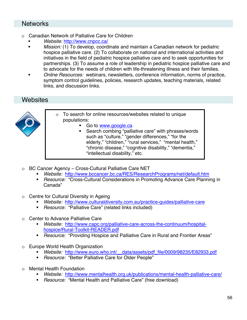### **Networks**

- o Canadian Network of Palliative Care for Children
	- *Website:* http://www.cnpcc.ca/
	- *Mission:* (1) To develop, coordinate and maintain a Canadian network for pediatric hospice palliative care. (2) To collaborate on national and international activities and initiatives in the field of pediatric hospice palliative care and to seek opportunities for partnerships. (3) To assume a role of leadership in pediatric hospice palliative care and to advocate for the needs of children with life-threatening illness and their families.
	- *Online Resources:* webinars, newsletters, conference information, norms of practice, symptom control guidelines, policies, research updates, teaching materials, related links, and discussion links.

### Websites



- o To search for online resources/websites related to unique populations:
	- Go to www.google.ca
	- Search combing "palliative care" with phrases/words such as "culture," "gender differences," "for the elderly," "children," "rural services," "mental health," "chronic disease," "cognitive disability," "dementia," "intellectual disability," etc.
- o BC Cancer Agency Cross-Cultural Palliative Care NET
	- *Website:* http://www.bccancer.bc.ca/RES/ResearchPrograms/net/default.htm
	- *Resource:* "Cross-Cultural Considerations in Promoting Advance Care Planning in Canada"
- o Centre for Cultural Diversity in Ageing
	- *Website:* http://www.culturaldiversity.com.au/practice-guides/palliative-care
	- *Resource:* "Palliative Care" (related links included)
- o Center to Advance Palliative Care
	- *Website:* http://www.capc.org/palliative-care-across-the-continuum/hospitalhospice/Rural-Toolkit-READER.pdf
	- *Resource:* "Providing Hospice and Palliative Care in Rural and Frontier Areas"
- o Europe World Health Organization
	- *Website:* http://www.euro.who.int/\_\_data/assets/pdf\_file/0009/98235/E82933.pdf
	- *Resource:* "Better Palliative Care for Older People"
- o Mental Health Foundation
	- *Website:* http://www.mentalhealth.org.uk/publications/mental-health-palliative-care/
	- *Resource:* "Mental Health and Palliative Care" (free download)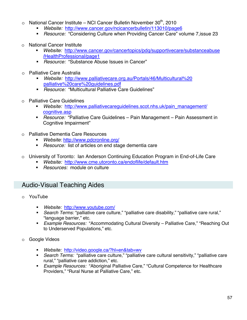- $\circ$  National Cancer Institute NCI Cancer Bulletin November 30<sup>th</sup>, 2010
	- *Website:* http://www.cancer.gov/ncicancerbulletin/113010/page6
	- *Resource:* "Considering Culture when Providing Cancer Care" volume 7,issue 23
- o National Cancer Institute
	- *Website:* http://www.cancer.gov/cancertopics/pdq/supportivecare/substanceabuse /HealthProfessional/page1
	- *Resource:* "Substance Abuse Issues in Cancer"
- o Palliative Care Australia
	- *Website:* http://www.palliativecare.org.au/Portals/46/Multicultural%20 palliative%20care%20guidelines.pdf
	- *Resource:* "Multicultural Palliative Care Guidelines"
- o Palliative Care Guidelines
	- *Website:* http://www.palliativecareguidelines.scot.nhs.uk/pain\_management/ cognitive.asp
	- *Resource:* "Palliative Care Guidelines Pain Management Pain Assessment in Cognitive Impairment"
- o Palliative Dementia Care Resources
	- *Website:* http://www.pdcronline.org/
	- *Resource:* list of articles on end stage dementia care
- o University of Toronto: Ian Anderson Continuing Education Program in End-of-Life Care
	- *Website:* http://www.cme.utoronto.ca/endoflife/default.htm
	- *Resources:* module on culture

### Audio-Visual Teaching Aides

- o YouTube
	- *Website:* http://www.youtube.com/
	- *Search Terms:* "palliative care culture," "palliative care disability," "palliative care rural," "language barrier," etc.
	- *Example Resources:* "Accommodating Cultural Diversity Palliative Care," "Reaching Out to Underserved Populations," etc.
- o Google Videos
	- *Website:* http://video.google.ca/?hl=en&tab=wv
	- *Search Terms:* "palliative care culture," "palliative care cultural sensitivity," "palliative care rural," "palliative care addiction," etc.
	- *Example Resources:* "Aboriginal Palliative Care," "Cultural Competence for Healthcare Providers," "Rural Nurse at Palliative Care," etc.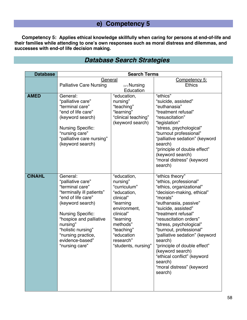# **e) Competency 5**

**Competency 5: Applies ethical knowledge skillfully when caring for persons at end-of-life and their families while attending to one's own responses such as moral distress and dilemmas, and successes with end-of life decision making.** 

| <b>Database</b> | <b>Search Terms</b>                                                                                                                                                                                                                                                         |                                                                                                                                                                                                        |                                                                                                                                                                                                                                                                                                                                                                                                                                                           |
|-----------------|-----------------------------------------------------------------------------------------------------------------------------------------------------------------------------------------------------------------------------------------------------------------------------|--------------------------------------------------------------------------------------------------------------------------------------------------------------------------------------------------------|-----------------------------------------------------------------------------------------------------------------------------------------------------------------------------------------------------------------------------------------------------------------------------------------------------------------------------------------------------------------------------------------------------------------------------------------------------------|
|                 | General                                                                                                                                                                                                                                                                     |                                                                                                                                                                                                        | Competency 5:                                                                                                                                                                                                                                                                                                                                                                                                                                             |
|                 | <b>Palliative Care Nursing</b>                                                                                                                                                                                                                                              | $(+/-)$ Nursing                                                                                                                                                                                        | <b>Ethics</b>                                                                                                                                                                                                                                                                                                                                                                                                                                             |
|                 |                                                                                                                                                                                                                                                                             | Education                                                                                                                                                                                              |                                                                                                                                                                                                                                                                                                                                                                                                                                                           |
| <b>AMED</b>     | General:<br>"palliative care"<br>"terminal care"<br>"end of life care"<br>(keyword search)<br><b>Nursing Specific:</b><br>"nursing care"<br>"palliative care nursing"<br>(keyword search)                                                                                   | "education,<br>nursing"<br>"teaching"<br>"learning"<br>"clinical teaching"<br>(keyword search)                                                                                                         | "ethics"<br>"suicide, assisted"<br>"euthanasia"<br>"treatment refusal"<br>"resuscitation"<br>"legislation"<br>"stress, psychological"<br>"burnout professional"<br>"palliative sedation" (keyword<br>search)<br>"principle of double effect"<br>(keyword search)<br>"moral distress" (keyword<br>search)                                                                                                                                                  |
| <b>CINAHL</b>   | General:<br>"palliative care"<br>"terminal care"<br>"terminally ill patients"<br>"end of life care"<br>(keyword search)<br><b>Nursing Specific:</b><br>"hospice and palliative<br>nursing"<br>"holistic nursing"<br>"nursing practice,<br>evidence-based"<br>"nursing care" | "education,<br>nursing"<br>"curriculum"<br>"education,<br>clinical"<br>"learning<br>environment,<br>clinical"<br>"learning<br>methods"<br>"teaching"<br>"education<br>research"<br>"students, nursing" | "ethics theory"<br>"ethics, professional"<br>"ethics, organizational"<br>"decision-making, ethical"<br>"morals"<br>"euthanasia, passive"<br>"suicide, assisted"<br>"treatment refusal"<br>"resuscitation orders"<br>"stress, psychological"<br>"burnout, professional"<br>"palliative sedation" (keyword<br>search)<br>"principle of double effect"<br>(keyword search)<br>"ethical conflict" (keyword<br>search)<br>"moral distress" (keyword<br>search) |

# *Database Search Strategies*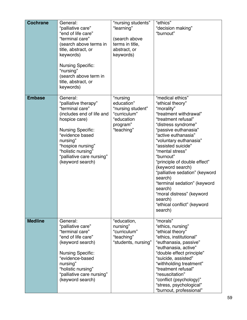| <b>Cochrane</b> | General:<br>"palliative care"<br>"end of life care"<br>"terminal care"<br>(search above terms in<br>title, abstract, or<br>keywords)<br><b>Nursing Specific:</b><br>"nursing"<br>(search above term in<br>title, abstract, or<br>keywords)               | "nursing students"<br>"learning"<br>(search above<br>terms in title,<br>abstract, or<br>keywords)   | "ethics"<br>"decision making"<br>"burnout"                                                                                                                                                                                                                                                                                                                                                                                                                                              |
|-----------------|----------------------------------------------------------------------------------------------------------------------------------------------------------------------------------------------------------------------------------------------------------|-----------------------------------------------------------------------------------------------------|-----------------------------------------------------------------------------------------------------------------------------------------------------------------------------------------------------------------------------------------------------------------------------------------------------------------------------------------------------------------------------------------------------------------------------------------------------------------------------------------|
| <b>Embase</b>   | General:<br>"palliative therapy"<br>"terminal care"<br>(includes end of life and<br>hospice care)<br><b>Nursing Specific:</b><br>"evidence based<br>nursing"<br>"hospice nursing"<br>"holistic nursing"<br>"palliative care nursing"<br>(keyword search) | "nursing<br>education"<br>"nursing student"<br>"curriculum"<br>"education<br>program"<br>"teaching" | "medical ethics"<br>"ethical theory"<br>"morality"<br>"treatment withdrawal"<br>"treatment refusal"<br>"distress syndrome"<br>"passive euthanasia"<br>"active euthanasia"<br>"voluntary euthanasia"<br>"assisted suicide"<br>"mental stress"<br>"burnout"<br>"principle of double effect"<br>(keyword search)<br>"palliative sedation" (keyword<br>search)<br>"terminal sedation" (keyword<br>search)<br>"moral distress" (keyword<br>search)<br>"ethical conflict" (keyword<br>search) |
| <b>Medline</b>  | General:<br>"palliative care"<br>"terminal care"<br>"end of life care"<br>(keyword search)<br><b>Nursing Specific:</b><br>"evidence-based<br>nursing"<br>"holistic nursing"<br>"palliative care nursing"<br>(keyword search)                             | "education,<br>nursing"<br>"curriculum"<br>"teaching"<br>"students, nursing"                        | "morals"<br>"ethics, nursing"<br>"ethical theory"<br>"ethics, institutional"<br>"euthanasia, passive"<br>"euthanasia, active"<br>"double effect principle"<br>"suicide, assisted"<br>"withholding treatment"<br>"treatment refusal"<br>"resuscitation"<br>"conflict (psychology)"<br>"stress, psychological"<br>"burnout, professional"                                                                                                                                                 |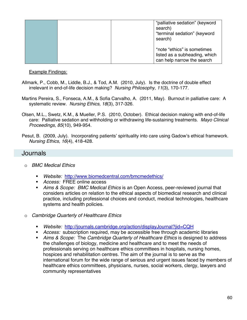|  | "palliative sedation" (keyword<br>search)<br>"terminal sedation" (keyword<br>search)       |
|--|--------------------------------------------------------------------------------------------|
|  | *note "ethics" is sometimes<br>listed as a subheading, which<br>can help narrow the search |

Example Findings:

- Allmark, P., Cobb, M., Liddle, B.J., & Tod, A.M. (2010, July). Is the doctrine of double effect irrelevant in end-of-life decision making? *Nursing Philosophy, 11*(3), 170-177.
- Martins Pereira, S., Fonseca, A.M., & Sofia Carvalho, A. (2011, May). Burnout in palliative care: A systematic review. *Nursing Ethics, 18*(3), 317-326.
- Olsen, M.L., Swetz, K.M., & Mueller, P.S. (2010, October). Ethical decision making with end-of-life care: Palliative sedation and withholding or withdrawing life-sustaining treatments. *Mayo Clinical Proceedings, 85*(10), 949-954.
- Pesut, B. (2009, July). Incorporating patients' spirituality into care using Gadow's ethical framework. *Nursing Ethics, 16*(4), 418-428.

### **Journals**

- o *BMC Medical Ethics* 
	- *Website:* http://www.biomedcentral.com/bmcmedethics/
	- *Access:* FREE online access
	- *Aims & Scope: BMC Medical Ethics* is an Open Access, peer-reviewed journal that considers articles on relation to the ethical aspects of biomedical research and clinical practice, including professional choices and conduct, medical technologies, healthcare systems and health policies.
- o *Cambridge Quarterly of Healthcare Ethics* 
	- *Website:* http://journals.cambridge.org/action/displayJournal?jid=CQH
	- *Access:* subscription required, may be accessible free through academic libraries
	- *Aims & Scope:* The *Cambridge Quarterly of Healthcare Ethics* is designed to address the challenges of biology, medicine and healthcare and to meet the needs of professionals serving on healthcare ethics committees in hospitals, nursing homes, hospices and rehabilitation centres. The aim of the journal is to serve as the international forum for the wide range of serious and urgent issues faced by members of healthcare ethics committees, physicians, nurses, social workers, clergy, lawyers and community representatives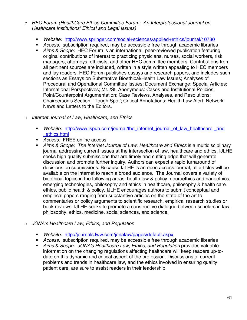- o *HEC Forum (HealthCare Ethics Committee Forum: An Interprofessional Journal on Healthcare Institutions' Ethical and Legal Issues)* 
	- *Website:* http://www.springer.com/social+sciences/applied+ethics/journal/10730
	- *Access:* subscription required, may be accessible free through academic libraries
	- *Aims & Scope:* HEC Forum is an international, peer-reviewed publication featuring original contributions of interest to practicing physicians, nurses, social workers, risk managers, attorneys, ethicists, and other HEC committee members. Contributions from all pertinent sources are included, written in a style written appealing to HEC members and lay readers. HEC Forum publishes essays and research papers, and includes such sections as Essays on Substantive Bioethical/Health Law Issues; Analyses of Procedural and Operational Committee Issues; Document Exchange; Special Articles; International Perspectives; Mt. /St. Anonymous: Cases and Institutional Policies; Point/Counterpoint Argumentation; Case Reviews, Analyses, and Resolutions; Chairperson's Section; `Tough Spot'; Critical Annotations; Health Law Alert; Network News and Letters to the Editors.
- o *Internet Journal of Law, Healthcare, and Ethics* 
	- **Website:** http://www.ispub.com/journal/the\_internet\_journal\_of\_law\_healthcare \_and \_ethics.html
	- *Access:* FREE online access
	- *Aims & Scope: The Internet Journal of Law, Healthcare and Ethics* is a multidisciplinary journal addressing current issues at the intersection of law, healthcare and ethics. IJLHE seeks high quality submissions that are timely and cutting edge that will generate discussion and promote further inquiry. Authors can expect a rapid turnaround of decisions on submissions. Because IJLHE is an open access journal, all articles will be available on the internet to reach a broad audience. The Journal covers a variety of bioethical topics in the following areas: health law & policy, neuroethics and nanoethics, emerging technologies, philosophy and ethics in healthcare, philosophy & health care ethics, public health & policy. IJLHE encourages authors to submit conceptual and empirical papers ranging from substantive articles on the state of the art to commentaries or policy arguments to scientific research, empirical research studies or book reviews. IJLHE seeks to promote a constructive dialogue between scholars in law, philosophy, ethics, medicine, social sciences, and science.
- o *JONA's Healthcare Law, Ethics, and Regulation* 
	- *Website:* http://journals.lww.com/jonalaw/pages/default.aspx
	- *Access:* subscription required, may be accessible free through academic libraries
	- *Aims & Scope: JONA's Healthcare Law, Ethics, and Regulation* provides valuable information on the changing regulations affecting healthcare will keep readers up-todate on this dynamic and critical aspect of the profession. Discussions of current problems and trends in healthcare law, and the ethics involved in ensuring quality patient care, are sure to assist readers in their leadership.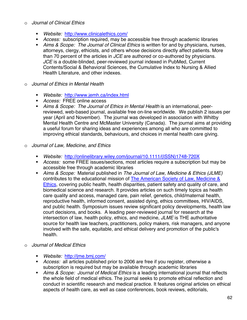#### o *Journal of Clinical Ethics*

- *Website:* http://www.clinicalethics.com/
- *Access:* subscription required, may be accessible free through academic libraries
- *Aims & Scope: The Journal of Clinical Ethics* is written for and by physicians, nurses, attorneys, clergy, ethicists, and others whose decisions directly affect patients. More than 70 percent of the articles in *JCE* are authored or co-authored by physicians. *JCE* is a double-blinded, peer-reviewed journal indexed in PubMed, Current Contents/Social & Behavioral Sciences, the Cumulative Index to Nursing & Allied Health Literature, and other indexes.
- o *Journal of Ethics in Mental Health* 
	- *Website:* http://www.jemh.ca/index.html
	- *Access:* FREE online access
	- *Aims & Scope: The Journal of Ethics in Mental Health* is an international, peerreviewed, web-based journal, available free on-line worldwide. We publish 2 issues per year (April and November). The journal was developed in association with Whitby Mental Health Centre and McMaster University (Canada). The journal aims at providing a useful forum for sharing ideas and experiences among all who are committed to improving ethical standards, behaviours, and choices in mental health care giving.
- o *Journal of Law, Medicine, and Ethics* 
	- *Website:* http://onlinelibrary.wiley.com/journal/10.1111/(ISSN)1748-720X
	- *Access:* some FREE issues/sections, most articles require a subscription but may be accessible free through academic libraries
	- *Aims & Scope:* Material published in *The Journal of Law, Medicine & Ethics (JLME)* contributes to the educational mission of The American Society of Law, Medicine & Ethics, covering public health, health disparities, patient safety and quality of care, and biomedical science and research. It provides articles on such timely topics as health care quality and access, managed care, pain relief, genetics, child/maternal health, reproductive health, informed consent, assisted dying, ethics committees, HIV/AIDS, and public health. Symposium issues review significant policy developments, health law court decisions, and books. A leading peer-reviewed journal for research at the intersection of law, health policy, ethics, and medicine, *JLME* is THE authoritative source for health law teachers, practitioners, policy makers, risk managers, and anyone involved with the safe, equitable, and ethical delivery and promotion of the public's health.
- o *Journal of Medical Ethics* 
	- *Website:* http://jme.bmj.com/
	- *Access:* all articles published prior to 2006 are free if you register, otherwise a subscription is required but may be available through academic libraries
	- *Aims & Scope: Journal of Medical Ethics* is a leading international journal that reflects the whole field of medical ethics. The journal seeks to promote ethical reflection and conduct in scientific research and medical practice. It features original articles on ethical aspects of health care, as well as case conferences, book reviews, editorials,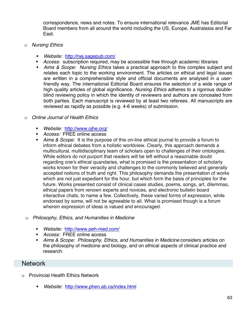correspondence, news and notes. To ensure international relevance JME has Editorial Board members from all around the world including the US, Europe, Australasia and Far East.

- o *Nursing Ethics* 
	- *Website:* http://nej.sagepub.com/
	- *Access:* subscription required, may be accessible free through academic libraries
	- *Aims & Scope: Nursing Ethics* takes a practical approach to this complex subject and relates each topic to the working environment. The articles on ethical and legal issues are written in a comprehensible style and official documents are analysed in a userfriendly way. The international Editorial Board ensures the selection of a wide range of high quality articles of global significance. *Nursing Ethics* adheres to a rigorous doubleblind reviewing policy in which the identity of reviewers and authors are concealed from both parties. Each manuscript is reviewed by at least two referees. All manuscripts are reviewed as rapidly as possible (e.g. 4-6 weeks) of submission.

#### o *Online Journal of Health Ethics*

- *Website:* http://www.ojhe.org/
- *Access:* FREE online access
- *Aims & Scope:* It is the purpose of this on-line ethical journal to provide a forum to inform ethical debates from a holistic worldview. Clearly, this approach demands a multicultural, multidisciplinary team of scholars open to challenges of their ontologies. While editors do not purport that readers will be left without a reasonable doubt regarding one's ethical quandaries, what is promised is the presentation of scholarly works known for their veracity and challenges to the commonly believed and generally accepted notions of truth and right. This philosophy demands the presentation of works which are not just expedient for the hour, but which form the basis of principles for the future. Works presented consist of clinical cases studies, poems, songs, art, dilemmas, ethical papers from renown experts and novices, and electronic bulletin board interactive chats, to name a few. Collectively, these varied forms of expression, while endorsed by some, will not be agreeable to all. What is promised though is a forum wherein expression of ideas is valued and encouraged.
- o *Philosophy, Ethics, and Humanities in Medicine* 
	- *Website:* http://www.peh-med.com/
	- *Access:* FREE online access
	- *Aims & Scope: Philosophy, Ethics, and Humanities in Medicine* considers articles on the philosophy of medicine and biology, and on ethical aspects of clinical practice and research.

### Network

- o Provincial Health Ethics Network
	- *Website:* http://www.phen.ab.ca/index.html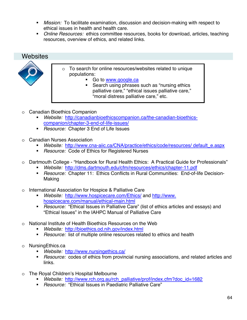- *Mission:* To facilitate examination, discussion and decision-making with respect to ethical issues in health and health care.
- *Online Resources:* ethics committee resources, books for download, articles, teaching resources, overview of ethics, and related links.

## Websites



- o To search for online resources/websites related to unique populations:
	- Go to www.google.ca
	- Search using phrases such as "nursing ethics palliative care," "ethical issues palliative care," "moral distress palliative care," etc.
- o Canadian Bioethics Companion
	- *Website:* http://canadianbioethicscompanion.ca/the-canadian-bioethicscompanion/chapter-3-end-of-life-issues/
	- *Resource:* Chapter 3 End of Life Issues
- o Canadian Nurses Association
	- *Website:* http://www.cna-aiic.ca/CNA/practice/ethics/code/resources/ default\_e.aspx
	- *Resource:* Code of Ethics for Registered Nurses
- o Dartmouth College "Handbook for Rural Health Ethics: A Practical Guide for Professionals"
	- *Website:* http://dms.dartmouth.edu/cfm/resources/ethics/chapter-11.pdf
	- *Resource:* Chapter 11: Ethics Conflicts in Rural Communities: End-of-life Decision-Making
- o International Association for Hospice & Palliative Care
	- *Website:* http://www.hospicecare.com/Ethics/ and http://www. hospicecare.com/manual/ethical-main.html
	- *Resource:* "Ethical Issues in Palliative Care" (list of ethics articles and essays) and "Ethical Issues" in the IAHPC Manual of Palliative Care
- o National Institute of Health Bioethics Resources on the Web
	- *Website:* http://bioethics.od.nih.gov/index.html
	- *Resource:* list of multiple online resources related to ethics and health
- o NursingEthics.ca
	- *Website:* http://www.nursingethics.ca/
	- *Resource:* codes of ethics from provincial nursing associations, and related articles and links.
- o The Royal Children's Hospital Melbourne
	- *Website:* http://www.rch.org.au/rch\_palliative/prof/index.cfm?doc\_id=1682
	- *Resource:* "Ethical Issues in Paediatric Palliative Care"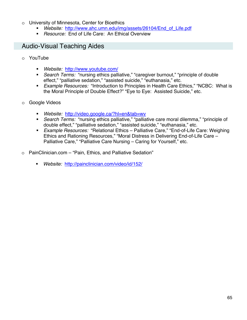- o University of Minnesota, Center for Bioethics
	- *Website:* http://www.ahc.umn.edu/img/assets/26104/End\_of\_Life.pdf
	- *Resource:* End of Life Care: An Ethical Overview

## Audio-Visual Teaching Aides

- o YouTube
	- *Website:* http://www.youtube.com/
	- *Search Terms:* "nursing ethics palliative," "caregiver burnout," "principle of double effect," "palliative sedation," "assisted suicide," "euthanasia," etc.
	- *Example Resources:* "Introduction to Principles in Health Care Ethics," "NCBC: What is the Moral Principle of Double Effect?" "Eye to Eye: Assisted Suicide," etc.
- o Google Videos
	- *Website:* http://video.google.ca/?hl=en&tab=wv
	- *Search Terms:* "nursing ethics palliative," "palliative care moral dilemma," "principle of double effect," "palliative sedation," "assisted suicide," "euthanasia," etc.
	- *Example Resources:* "Relational Ethics Palliative Care," "End-of-Life Care: Weighing Ethics and Rationing Resources," "Moral Distress in Delivering End-of-Life Care – Palliative Care," "Palliative Care Nursing – Caring for Yourself," etc.
- o PainClinician.com "Pain, Ethics, and Palliative Sedation"
	- *Website:* http://painclinician.com/video/id/152/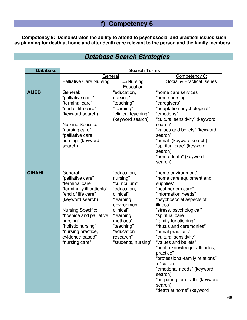# **f) Competency 6**

**Competency 6: Demonstrates the ability to attend to psychosocial and practical issues such as planning for death at home and after death care relevant to the person and the family members.** 

# *Database Search Strategies*

| <b>Search Terms</b>     |                                                                                                                                                                                                                                                                                                                                 |                                                                                                                                                                                                                                                   |
|-------------------------|---------------------------------------------------------------------------------------------------------------------------------------------------------------------------------------------------------------------------------------------------------------------------------------------------------------------------------|---------------------------------------------------------------------------------------------------------------------------------------------------------------------------------------------------------------------------------------------------|
|                         |                                                                                                                                                                                                                                                                                                                                 | Competency 6:                                                                                                                                                                                                                                     |
|                         | $(+/-)$ Nursing                                                                                                                                                                                                                                                                                                                 | Social & Practical Issues                                                                                                                                                                                                                         |
|                         |                                                                                                                                                                                                                                                                                                                                 |                                                                                                                                                                                                                                                   |
|                         |                                                                                                                                                                                                                                                                                                                                 | "home care services"<br>"home nursing"                                                                                                                                                                                                            |
| "terminal care"         |                                                                                                                                                                                                                                                                                                                                 | "caregivers"                                                                                                                                                                                                                                      |
| "end of life care"      | "learning"                                                                                                                                                                                                                                                                                                                      | "adaptation psychological"                                                                                                                                                                                                                        |
| (keyword search)        |                                                                                                                                                                                                                                                                                                                                 | "emotions"                                                                                                                                                                                                                                        |
|                         |                                                                                                                                                                                                                                                                                                                                 | "cultural sensitivity" (keyword<br>search"                                                                                                                                                                                                        |
|                         |                                                                                                                                                                                                                                                                                                                                 | "values and beliefs" (keyword                                                                                                                                                                                                                     |
| "palliative care        |                                                                                                                                                                                                                                                                                                                                 | search"                                                                                                                                                                                                                                           |
| nursing" (keyword       |                                                                                                                                                                                                                                                                                                                                 | "burial" (keyword search)                                                                                                                                                                                                                         |
|                         |                                                                                                                                                                                                                                                                                                                                 | "spiritual care" (keyword                                                                                                                                                                                                                         |
|                         |                                                                                                                                                                                                                                                                                                                                 | search)                                                                                                                                                                                                                                           |
|                         |                                                                                                                                                                                                                                                                                                                                 | "home death" (keyword<br>search)                                                                                                                                                                                                                  |
|                         |                                                                                                                                                                                                                                                                                                                                 |                                                                                                                                                                                                                                                   |
| General:                | "education,                                                                                                                                                                                                                                                                                                                     | "home environment"                                                                                                                                                                                                                                |
| "palliative care"       | nursing"                                                                                                                                                                                                                                                                                                                        | "home care equipment and                                                                                                                                                                                                                          |
|                         |                                                                                                                                                                                                                                                                                                                                 | supplies"                                                                                                                                                                                                                                         |
|                         |                                                                                                                                                                                                                                                                                                                                 | "postmortem care"<br>"information needs"                                                                                                                                                                                                          |
|                         |                                                                                                                                                                                                                                                                                                                                 | "psychosocial aspects of                                                                                                                                                                                                                          |
|                         |                                                                                                                                                                                                                                                                                                                                 | illness"                                                                                                                                                                                                                                          |
|                         | clinical"                                                                                                                                                                                                                                                                                                                       | "stress, psychological"                                                                                                                                                                                                                           |
| "hospice and palliative | "learning                                                                                                                                                                                                                                                                                                                       | "spiritual care"                                                                                                                                                                                                                                  |
| nursing"                | methods"                                                                                                                                                                                                                                                                                                                        | "family functioning"                                                                                                                                                                                                                              |
|                         |                                                                                                                                                                                                                                                                                                                                 | "rituals and ceremonies"                                                                                                                                                                                                                          |
|                         |                                                                                                                                                                                                                                                                                                                                 | "burial practices"                                                                                                                                                                                                                                |
|                         |                                                                                                                                                                                                                                                                                                                                 | "cultural sensitivity"<br>"values and beliefs"                                                                                                                                                                                                    |
|                         |                                                                                                                                                                                                                                                                                                                                 | "health knowledge, attitudes                                                                                                                                                                                                                      |
|                         |                                                                                                                                                                                                                                                                                                                                 | practice"                                                                                                                                                                                                                                         |
|                         |                                                                                                                                                                                                                                                                                                                                 | "professional-family relations"                                                                                                                                                                                                                   |
|                         |                                                                                                                                                                                                                                                                                                                                 | + "culture"                                                                                                                                                                                                                                       |
|                         |                                                                                                                                                                                                                                                                                                                                 | "emotional needs" (keyword                                                                                                                                                                                                                        |
|                         |                                                                                                                                                                                                                                                                                                                                 | search)                                                                                                                                                                                                                                           |
|                         |                                                                                                                                                                                                                                                                                                                                 | "preparing for death" (keyword<br>search)                                                                                                                                                                                                         |
|                         |                                                                                                                                                                                                                                                                                                                                 | "death at home" (keyword                                                                                                                                                                                                                          |
|                         | <b>Palliative Care Nursing</b><br>General:<br>"palliative care"<br><b>Nursing Specific:</b><br>"nursing care"<br>search)<br>"terminal care"<br>"terminally ill patients"<br>"end of life care"<br>(keyword search)<br><b>Nursing Specific:</b><br>"holistic nursing"<br>"nursing practice,<br>evidence-based"<br>"nursing care" | General<br>Education<br>"education,<br>nursing"<br>"teaching"<br>"clinical teaching"<br>(keyword search)<br>"curriculum"<br>"education,<br>clinical"<br>"learning<br>environment,<br>"teaching"<br>"education<br>research"<br>"students, nursing" |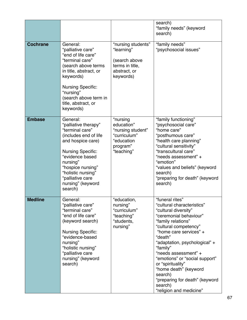| <b>Cochrane</b> | General:<br>"palliative care"<br>"end of life care"<br>"terminal care"<br>(search above terms<br>in title, abstract, or<br>keywords)                                                                                                                        | "nursing students"<br>"learning"<br>(search above<br>terms in title,<br>abstract, or<br>keywords)   | search)<br>"family needs" (keyword<br>search)<br>"family needs"<br>"psychosocial issues"                                                                                                                                                                                                                                                                                                                                    |
|-----------------|-------------------------------------------------------------------------------------------------------------------------------------------------------------------------------------------------------------------------------------------------------------|-----------------------------------------------------------------------------------------------------|-----------------------------------------------------------------------------------------------------------------------------------------------------------------------------------------------------------------------------------------------------------------------------------------------------------------------------------------------------------------------------------------------------------------------------|
|                 | <b>Nursing Specific:</b><br>"nursing"<br>(search above term in<br>title, abstract, or<br>keywords)                                                                                                                                                          |                                                                                                     |                                                                                                                                                                                                                                                                                                                                                                                                                             |
| <b>Embase</b>   | General:<br>"palliative therapy"<br>"terminal care"<br>(includes end of life<br>and hospice care)<br><b>Nursing Specific:</b><br>"evidence based<br>nursing"<br>"hospice nursing"<br>"holistic nursing"<br>"palliative care<br>nursing" (keyword<br>search) | "nursing<br>education"<br>"nursing student"<br>"curriculum"<br>"education<br>program"<br>"teaching" | "family functioning"<br>"psychosocial care"<br>"home care"<br>"posthumous care"<br>"health care planning"<br>"cultural sensitivity"<br>"transcultural care"<br>"needs assessment" +<br>"emotion"<br>"values and beliefs" (keyword<br>search)<br>"preparing for death" (keyword<br>search)                                                                                                                                   |
| <b>Medline</b>  | General:<br>"palliative care"<br>"terminal care"<br>"end of life care"<br>(keyword search)<br><b>Nursing Specific:</b><br>"evidence-based<br>nursing"<br>"holistic nursing"<br>"palliative care<br>nursing" (keyword<br>search)                             | "education,<br>nursing"<br>"curriculum"<br>"teaching"<br>"students,<br>nursing"                     | "funeral rites"<br>"cultural characteristics"<br>"cultural diversity"<br>"ceremonial behaviour"<br>"family relations"<br>"cultural competency"<br>"home care services" +<br>"death"<br>"adaptation, psychological" +<br>"family"<br>"needs assessment" +<br>"emotions" or "social support"<br>or "spirituality"<br>"home death" (keyword<br>search)<br>"preparing for death" (keyword<br>search)<br>"religion and medicine" |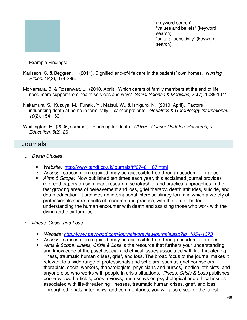|  | (keyword search)<br>"values and beliefs" (keyword<br>search)<br>"cultural sensitivity" (keyword<br>search) |
|--|------------------------------------------------------------------------------------------------------------|
|  |                                                                                                            |

Example Findings:

- Karlsson, C. & Beggren, I. (2011). Dignified end-of-life care in the patients' own homes. *Nursing Ethics, 18*(3), 374-385.
- McNamara, B. & Rosenwax, L. (2010, April). Which carers of family members at the end of life need more support from health services and why? *Social Science & Medicine, 70*(7), 1035-1041,
- Nakamura, S., Kuzuya, M., Funaki, Y., Matsui, W., & Ishiguro, N. (2010, April). Factors influencing death at home in terminally ill cancer patients. *Geriatrics & Gerontology International, 10*(2), 154-160.

Whittington, E. (2006, summer). Planning for death. *CURE: Cancer Updates, Research, & Education, 5*(2), 26

### Journals

- o *Death Studies* 
	- *Website:* http://www.tandf.co.uk/journals/tf/07481187.html
	- *Access:* subscription required, may be accessible free through academic libraries
	- *Aims & Scope:* Now published ten times each year, this acclaimed journal provides refereed papers on significant research, scholarship, and practical approaches in the fast growing areas of bereavement and loss, grief therapy, death attitudes, suicide, and death education. It provides an international interdisciplinary forum in which a variety of professionals share results of research and practice, with the aim of better understanding the human encounter with death and assisting those who work with the dying and their families.
- o *Illness, Crisis, and Loss* 
	- *Website: http://www.baywood.com/journals/previewjournals.asp?Id=1054-1373*
	- *Access:* subscription required, may be accessible free through academic libraries
	- *Aims & Scope: Illness, Crisis & Loss* is the resource that furthers your understanding and knowledge of the psychosocial and ethical issues associated with life-threatening illness, traumatic human crises, grief, and loss. The broad focus of the journal makes it relevant to a wide range of professionals and scholars, such as grief counselors, therapists, social workers, thanatologists, physicians and nurses, medical ethicists, and anyone else who works with people in crisis situations. *Illness, Crisis & Loss* publishes peer-reviewed articles, book reviews, and essays on psychological and ethical issues associated with life-threatening illnesses, traumatic human crises, grief, and loss. Through editorials, interviews, and commentaries, you will also discover the latest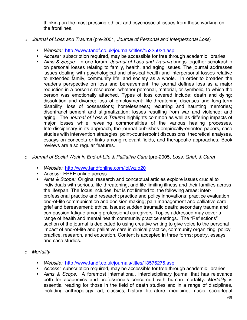thinking on the most pressing ethical and psychosocial issues from those working on the frontlines.

- o *Journal of Loss and Trauma* (pre-2001, *Journal of Personal and Interpersonal Loss*)
	- *Website:* http://www.tandf.co.uk/journals/titles/15325024.asp
	- *Access:* subscription required, may be accessible for free through academic libraries
	- *Aims & Scope:* In one forum, *Journal of Loss and Trauma* brings together scholarship on personal losses relating to family, health, and aging issues. The journal addresses issues dealing with psychological and physical health and interpersonal losses relative to extended family, community life, and society as a whole. In order to broaden the reader's perspective on loss and bereavement, the journal defines loss as a major reduction in a person's resources, whether personal, material, or symbolic, to which the person was emotionally attached. Types of loss covered include: death and dying; dissolution and divorce; loss of employment; life-threatening diseases and long-term disability; loss of possessions; homelessness; recurring and haunting memories; disenfranchisement and stigmatization; losses resulting from war and violence; and aging. The *Journal of Loss & Trauma* highlights common as well as differing impacts of major losses while revealing commonalities of the various healing processes. Interdisciplinary in its approach, the journal publishes empirically-oriented papers, case studies with intervention strategies, point-counterpoint discussions, theoretical analyses, essays on concepts or links among relevant fields, and therapeutic approaches. Book reviews are also regular features.
- o *Journal of Social Work in End-of-Life & Palliative Care* (pre-2005, *Loss, Grief, & Care*)
	- *Website:* http://www.tandfonline.com/loi/wzlg20
	- *Access:* FREE online access
	- *Aims & Scope:* Original research and conceptual articles explore issues crucial to individuals with serious, life-threatening, and life-limiting illness and their families across the lifespan. The focus includes, but is not limited to, the following areas: interprofessional practice and research; practice and policy innovations; practice evaluation; end-of-life communication and decision making; pain management and palliative care; grief and bereavement; ethical issues; sudden traumatic death; secondary trauma and compassion fatigue among professional caregivers. Topics addressed may cover a range of health and mental health community practice settings. The "Reflections" section of the journal is dedicated to using creative writing to give voice to the personal impact of end-of-life and palliative care in clinical practice, community organizing, policy practice, research, and education. Content is accepted in three forms: poetry, essays, and case studies.
- o *Mortality*
	- *Website:* http://www.tandf.co.uk/journals/titles/13576275.asp
	- *Access:* subscription required, may be accessible for free through academic libraries
	- *Aims & Scope:* A foremost international, interdisciplinary journal that has relevance both for academics and professionals concerned with human mortality. *Mortality* is essential reading for those in the field of death studies and in a range of disciplines, including anthropology, art, classics, history, literature, medicine, music, socio-legal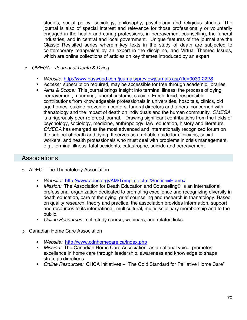studies, social policy, sociology, philosophy, psychology and religious studies. The journal is also of special interest and relevance for those professionally or voluntarily engaged in the health and caring professions, in bereavement counselling, the funeral industries, and in central and local government. Unique features of the journal are the Classic Revisited series wherein key texts in the study of death are subjected to contemporary reappraisal by an expert in the discipline, and Virtual Themed Issues, which are online collections of articles on key themes introduced by an expert.

#### o *OMEGA – Journal of Death & Dying*

- *Website:* http://www.baywood.com/journals/previewjournals.asp?Id=0030-222*8*
- *Access:* subscription required, may be accessible for free through academic libraries
- *Aims & Scope:* This journal brings insight into terminal illness; the process of dying, bereavement, mourning, funeral customs, suicide. Fresh, lucid, responsible contributions from knowledgeable professionals in universities, hospitals, clinics, old age homes, suicide prevention centers, funeral directors and others, concerned with thanatology and the impact of death on individuals and the human community. *OMEGA* is a rigorously peer-refereed journal. Drawing significant contributions from the fields of psychology, sociology, medicine, anthropology, law, education, history and literature, *OMEGA* has emerged as the most advanced and internationally recognized forum on the subject of death and dying. It serves as a reliable guide for clinicians, social workers, and health professionals who must deal with problems in crisis management, e.g., terminal illness, fatal accidents, catastrophe, suicide and bereavement.

### **Associations**

- o ADEC: The Thanatology Association
	- *Website:* http://www.adec.org//AM/Template.cfm?Section=Home#
	- *Mission:* The Association for Death Education and Counseling<sup>®</sup> is an international, professional organization dedicated to promoting excellence and recognizing diversity in death education, care of the dying, grief counseling and research in thanatology. Based on quality research, theory and practice, the association provides information, support and resources to its international, multicultural, multidisciplinary membership and to the public.
	- *Online Resources:* self-study course, webinars, and related links.
- o Canadian Home Care Association
	- *Website:* http://www.cdnhomecare.ca/index.php
	- *Mission:* The Canadian Home Care Association, as a national voice, promotes excellence in home care through leadership, awareness and knowledge to shape strategic directions.
	- *Online Resources:* CHCA Initiatives "The Gold Standard for Palliative Home Care"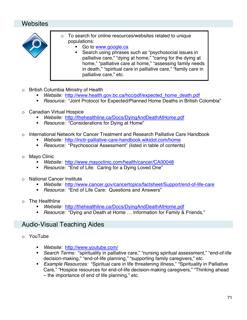## Websites



- o To search for online resources/websites related to unique populations:
	- Go to www.google.ca
		- Search using phrases such as "psychosocial issues in palliative care," "dying at home," "caring for the dying at home," "palliative care at home," "assessing family needs in death," "spiritual care in palliative care," "family care in palliative care," etc.
- o British Columbia Ministry of Health
	- *Website:* http://www.health.gov.bc.ca/hcc/pdf/expected\_home\_death.pdf
	- *Resource:* "Joint Protocol for Expected/Planned Home Deaths in British Colombia"
- o Canadian Virtual Hospice
	- *Website:* http://thehealthline.ca/Docs/DyingAndDeathAtHome.pdf
	- *Resource:* "Considerations for Dying at Home"
- o International Network for Cancer Treatment and Research Palliative Care Handbook
	- *Website:* http://inctr-palliative-care-handbook.wikidot.com/home
	- *Resource:* "Psychosocial Assessment" (listed in table of contents)
- o Mayo Clinic
	- *Website:* http://www.mayoclinic.com/health/cancer/CA00048
	- *Resource:* "End of Life: Caring for a Dying Loved One"
- o National Cancer Institute
	- *Website:* http://www.cancer.gov/cancertopics/factsheet/Support/end-of-life-care
	- *Resource:* "End of Life Care: Questions and Answers"
- o The Healthline
	- *Website:* http://thehealthline.ca/Docs/DyingAndDeathAtHome.pdf
	- *Resource:* "Dying and Death at Home … Information for Family & Friends,"

## Audio-Visual Teaching Aides

- o YouTube
	- *Website:* http://www.youtube.com/
	- *Search Terms:* "spirituality in palliative care," "nursing spiritual assessment," "end-of-life decision-making," "end-of-life planning," "supporting family caregivers," etc.
	- *Example Resources:* "Spiritual care in life threatening illness," "Spirituality in Palliative Care," "Hospice resources for end-of-life decision-making caregivers," "Thinking ahead – the importance of end of life planning," etc.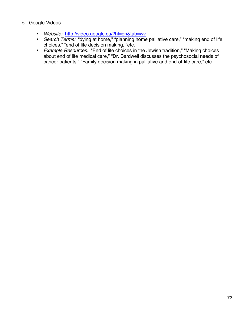#### o Google Videos

- *Website:* http://video.google.ca/?hl=en&tab=wv
- *Search Terms:* "dying at home," "planning home palliative care," "making end of life choices," "end of life decision making, "etc.
- *Example Resources:* "End of life choices in the Jewish tradition," "Making choices about end of life medical care," "Dr. Bardwell discusses the psychosocial needs of cancer patients," "Family decision making in palliative and end-of-life care," etc.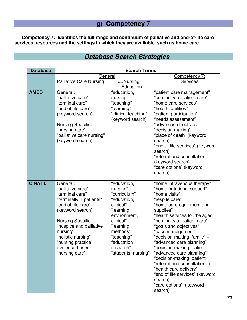# **g) Competency 7**

**Competency 7: Identifies the full range and continuum of palliative and end-of-life care services, resources and the settings in which they are available, such as home care.** 

|  |  | <b>Database Search Strategies</b> |
|--|--|-----------------------------------|
|--|--|-----------------------------------|

| <b>Database</b>         | <b>Search Terms</b>              |                         |                                                          |  |
|-------------------------|----------------------------------|-------------------------|----------------------------------------------------------|--|
|                         | General                          |                         | Competency 7:                                            |  |
|                         | <b>Palliative Care Nursing</b>   | $(+/-)$ Nursing         | <b>Services</b>                                          |  |
|                         |                                  | Education               |                                                          |  |
| <b>AMED</b>             | General:<br>"education,          |                         | "patient care management"                                |  |
|                         | "palliative care"                | nursing"                | "continuity of patient care"                             |  |
|                         | "terminal care"                  | "teaching"              | "home care services"                                     |  |
|                         | "end of life care"               | "learning"              | "health facilities"                                      |  |
|                         | (keyword search)                 | "clinical teaching"     | "patient participation"                                  |  |
|                         |                                  | (keyword search)        | "needs assessment"                                       |  |
|                         | <b>Nursing Specific:</b>         |                         | "advanced directives"                                    |  |
|                         | "nursing care"                   |                         | "decision making"                                        |  |
|                         | "palliative care nursing"        |                         | "place of death" (keyword                                |  |
|                         | (keyword search)                 |                         | search)                                                  |  |
|                         |                                  |                         | "end of life services" (keyword                          |  |
|                         |                                  |                         | search)                                                  |  |
|                         |                                  |                         | "referral and consultation"                              |  |
|                         |                                  |                         | (keyword search)                                         |  |
|                         |                                  |                         | "care options" (keyword                                  |  |
|                         |                                  |                         | search)                                                  |  |
| <b>CINAHL</b>           | General:                         |                         |                                                          |  |
|                         | "palliative care"                | "education,<br>nursing" | "home intravenous therapy"<br>"home nutritional support" |  |
|                         | "terminal care"                  | "curriculum"            | "home visits"                                            |  |
|                         | "terminally ill patients"        | "education,             | "respite care"                                           |  |
|                         | "end of life care"               | clinical"               | "home care equipment and                                 |  |
|                         | (keyword search)                 | "learning               | supplies"                                                |  |
|                         |                                  | environment,            | "health services for the aged"                           |  |
|                         | <b>Nursing Specific:</b>         | clinical"               | "continuity of patient care"                             |  |
| "hospice and palliative |                                  | "learning               | "goals and objectives"                                   |  |
| nursing"<br>methods"    |                                  | "case management"       |                                                          |  |
|                         | "holistic nursing"<br>"teaching" |                         | "decision-making, family" +                              |  |
|                         | "nursing practice,               | "education              | "advanced care planning"                                 |  |
|                         | evidence-based"                  | research"               | "decision-making, patient" +                             |  |
|                         | "nursing care"                   | "students, nursing"     | "advanced care planning"                                 |  |
|                         |                                  |                         | "decision-making, patient"                               |  |
|                         |                                  |                         | "referral and consultation" +                            |  |
|                         |                                  |                         | "health care delivery"                                   |  |
|                         |                                  |                         | "end of life services" (keyword                          |  |
|                         |                                  |                         | search)                                                  |  |
|                         |                                  |                         | "care options" (keyword                                  |  |
|                         |                                  |                         | search)                                                  |  |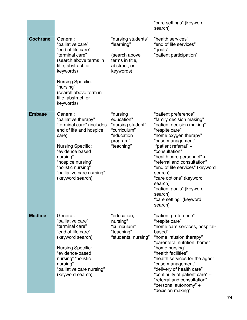|                                                                                                                                                                                                                                                                                                                                                                                  |                                                                                                                                                                                                                              | "care settings" (keyword<br>search)                                                                                                                                                                                                                                                                                                                                                                                  |                                                                                                                                                                                                                                                                                                                                                                                           |
|----------------------------------------------------------------------------------------------------------------------------------------------------------------------------------------------------------------------------------------------------------------------------------------------------------------------------------------------------------------------------------|------------------------------------------------------------------------------------------------------------------------------------------------------------------------------------------------------------------------------|----------------------------------------------------------------------------------------------------------------------------------------------------------------------------------------------------------------------------------------------------------------------------------------------------------------------------------------------------------------------------------------------------------------------|-------------------------------------------------------------------------------------------------------------------------------------------------------------------------------------------------------------------------------------------------------------------------------------------------------------------------------------------------------------------------------------------|
| General:<br><b>Cochrane</b><br>"palliative care"<br>"end of life care"<br>"terminal care"<br>(search above terms in<br>title, abstract, or<br>keywords)<br><b>Nursing Specific:</b><br>"nursing"<br>(search above term in<br>title, abstract, or<br>keywords)                                                                                                                    |                                                                                                                                                                                                                              | "nursing students"<br>"learning"<br>(search above<br>terms in title,<br>abstract, or<br>keywords)                                                                                                                                                                                                                                                                                                                    | "health services"<br>"end of life services"<br>"goals"<br>"patient participation"                                                                                                                                                                                                                                                                                                         |
| <b>Embase</b><br>General:<br>"nursing<br>"palliative therapy"<br>education"<br>"terminal care" (includes<br>"nursing student"<br>end of life and hospice<br>"curriculum"<br>"education<br>care)<br>program"<br>"teaching"<br><b>Nursing Specific:</b><br>"evidence based<br>nursing"<br>"hospice nursing"<br>"holistic nursing"<br>"palliative care nursing"<br>(keyword search) |                                                                                                                                                                                                                              | "patient preference"<br>"family decision making"<br>"patient decision making"<br>"respite care"<br>"home oxygen therapy"<br>"case management"<br>"patient referral" +<br>"consultation"<br>"health care personnel" +<br>"referral and consultation"<br>"end of life services" (keyword<br>search)<br>"care options" (keyword<br>search)<br>"patient goals" (keyword<br>search)<br>"care setting" (keyword<br>search) |                                                                                                                                                                                                                                                                                                                                                                                           |
| <b>Medline</b>                                                                                                                                                                                                                                                                                                                                                                   | General:<br>"palliative care"<br>"terminal care"<br>"end of life care"<br>(keyword search)<br><b>Nursing Specific:</b><br>"evidence-based<br>nursing" "holistic<br>nursing"<br>"palliative care nursing"<br>(keyword search) | "education,<br>nursing"<br>"curriculum"<br>"teaching"<br>"students, nursing"                                                                                                                                                                                                                                                                                                                                         | "patient preference"<br>"respite care"<br>"home care services, hospital-<br>based"<br>"home infusion therapy"<br>"parenteral nutrition, home"<br>"home nursing"<br>"health facilities"<br>"health services for the aged"<br>"case management"<br>"delivery of health care"<br>"continuity of patient care" +<br>"referral and consultation"<br>"personal autonomy" +<br>"decision making" |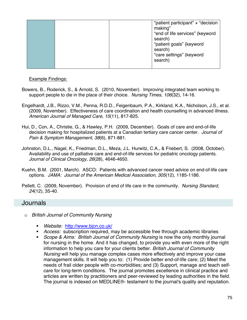| "patient goals" (keyword<br>search)<br>"care settings" (keyword<br>search) |  |  |  | "patient participant" + "decision<br>making"<br>"end of life services" (keyword<br>search) |
|----------------------------------------------------------------------------|--|--|--|--------------------------------------------------------------------------------------------|
|----------------------------------------------------------------------------|--|--|--|--------------------------------------------------------------------------------------------|

#### Example Findings:

- Bowers, B., Roderick, S., & Arnold, S. (2010, November). Improving integrated team working to support people to die in the place of their choice. *Nursing Times, 106*(32), 14-16.
- Engelhardt, J.B., Rizzo, V.M., Penna, R.D.D., Feigenbaum, P.A., Kirkland, K.A., Nicholson, J.S., et al. (2009, November). Effectiveness of care coordination and health counselling in advanced illness. *American Journal of Managed Care, 15*(11), 817-825.
- Hui, D., Con, A., Christie, G., & Hawley, P.H. (2009, December). Goals of care and end-of-life decision making for hospitalized patients at a Canadian tertiary care cancer center. *Journal of Pain & Symptom Management, 38*(6), 871-881.
- Johnston, D.L., Nagel, K., Friedman, D.L., Meza, J.L. Hurwitz, C.A., & Friebert, S. (2008, October). Availability and use of palliative care and end-of-life services for pediatric oncology patients. *Journal of Clinical Oncology, 26*(28), 4646-4650.
- Kuehn, B.M. (2001, March). ASCO: Patients with advanced cancer need advice on end-of-life care options. *JAMA: Journal of the American Medical Association, 305*(12), 1185-1186.
- Pellett, C. (2009, November). Provision of end of life care in the community. *Nursing Standard, 24*(12), 35-40.

### Journals

- o *British Journal of Community Nursing* 
	- *Website:* http://www.bjcn.co.uk/
	- *Access:* subscription required, may be accessible free through academic libraries
	- *Scope & Aims: British Journal of Community Nursing* is now the only monthly journal for nursing in the home. And it has changed, to provide you with even more of the right information to help you care for your clients better. *British Journal of Community Nursing* will help you manage complex cases more effectively and improve your case management skills. It will help you to: (1) Provide better end-of-life care; (2) Meet the needs of frail older people with co-morbidities; and (3) Support, manage and teach selfcare for long-term conditions. The journal promotes excellence in clinical practice and articles are written by practitioners and peer-reviewed by leading authorities in the field. The journal is indexed on MEDLINE®- testament to the journal's quality and reputation.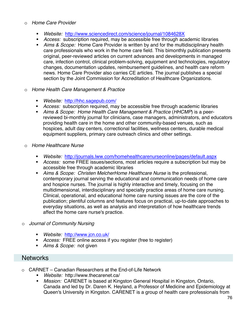#### o *Home Care Provider*

- *Website:* http://www.sciencedirect.com/science/journal/1084628X
- *Access:* subscription required, may be accessible free through academic libraries
- *Aims & Scope:* Home Care Provider is written by and for the multidisciplinary health care professionals who work in the home care field. This bimonthly publication presents original, peer-reviewed articles on current advances and developments in managed care, infection control, clinical problem-solving, equipment and technologies, regulatory changes, documentation updates, reimbursement guidelines, and health care reform news. Home Care Provider also carries CE articles. The journal publishes a special section by the Joint Commission for Accreditation of Healthcare Organizations.
- o *Home Health Care Management & Practice* 
	- *Website:* http://hhc.sagepub.com/
	- *Access:* subscription required, may be accessible free through academic libraries
	- *Aims & Scope: Home Health Care Management & Practice* (*HHCMP*) is a peerreviewed bi-monthly journal for clinicians, case managers, administrators, and educators providing health care in the home and other community-based venues, such as hospices, adult day centers, correctional facilities, wellness centers, durable medical equipment suppliers, primary care outreach clinics and other settings.
- o *Home Healthcare Nurse* 
	- *Website:* http://journals.lww.com/homehealthcarenurseonline/pages/default.aspx
	- *Access:* some FREE issues/sections, most articles require a subscription but may be accessible free through academic libraries
	- *Aims & Scope: Christen MelcherHome Healthcare Nurse* is the professional, contemporary journal serving the educational and communication needs of home care and hospice nurses. The journal is highly interactive and timely, focusing on the multidimensional, interdisciplinary and specialty practice areas of home care nursing. Clinical, operational, and educational home care nursing issues are the core of the publication; plentiful columns and features focus on practical, up-to-date approaches to everyday situations, as well as analysis and interpretation of how healthcare trends affect the home care nurse's practice.
- o *Journal of Community Nursing* 
	- *Website:* http://www.jcn.co.uk/
	- *Access:* FREE online access if you register (free to register)
	- *Aims & Scope:* not given

### **Networks**

- o CARNET Canadian Researchers at the End-of-Life Network
	- *Website:* http://www.thecarenet.ca/
	- *Mission:* CARENET is based at Kingston General Hospital in Kingston, Ontario, Canada and led by Dr. Daren K. Heyland, a Professor of Medicine and Epidemiology at Queen's University in Kingston. CARENET is a group of health care professionals from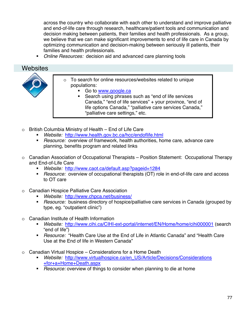across the country who collaborate with each other to understand and improve palliative and end-of-life care through research, healthcare/patient tools and communication and decision making between patients, their families and health professionals. As a group, we believe that we can make significant improvements to end of life care in Canada by optimizing communication and decision-making between seriously ill patients, their families and health professionals.

*Online Resources:* decision aid and advanced care planning tools

### Websites



- o To search for online resources/websites related to unique populations:
	- Go to www.google.ca
	- Search using phrases such as "end of life services Canada," "end of life services" + your province, "end of life options Canada," "palliative care services Canada," "palliative care settings," etc.
- o British Columbia Ministry of Health End of Life Care
	- *Website:* http://www.health.gov.bc.ca/hcc/endoflife.html
	- *Resource:* overview of framework, health authorities, home care, advance care planning, benefits program and related links
- o Canadian Association of Occupational Therapists Position Statement: Occupational Therapy and End-of-Life Care
	- *Website:* http://www.caot.ca/default.asp?pageid=1284
	- *Resource:* overview of occupational therapists (OT) role in end-of-life care and access to OT care
- o Canadian Hospice Palliative Care Association
	- *Website:* http://www.chpca.net/business/
	- *Resource:* business directory of hospice/palliative care services in Canada (grouped by type, eg. "outpatient clinic")
- o Canadian Institute of Health Information
	- *Website:* http://www.cihi.ca/CIHI-ext-portal/internet/EN/Home/home/cihi000001 (search "end of life")
	- *Resource:* "Health Care Use at the End of Life in Atlantic Canada" and "Health Care Use at the End of life in Western Canada"
- $\circ$  Canadian Virtual Hospice Considerations for a Home Death
	- *Website:* http://www.virtualhospice.ca/en\_US/Article/Decisions/Considerations +for+a+Home+Death.aspx
	- *Resource:* overview of things to consider when planning to die at home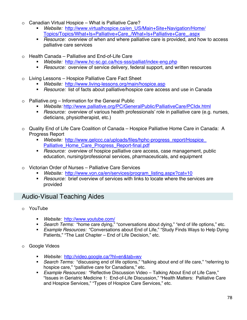- o Canadian Virtual Hospice What is Palliative Care?
	- *Website:* http://www.virtualhospice.ca/en\_US/Main+Site+Navigation/Home/ Topics/Topics/What+Is+Palliative+Care\_/What+Is+Palliative+Care\_.aspx
	- *Resource:* overview of when and where palliative care is provided, and how to access palliative care services
- $\circ$  Health Canada Palliative and End-of-Life Care
	- *Website:* http://www.hc-sc.gc.ca/hcs-sss/palliat/index-eng.php
	- *Resource:* overview of service delivery, federal support, and written resources
- o Living Lessons Hospice Palliative Care Fact Sheet
	- *Website:* http://www.living-lessons.org/main/hospice.asp
	- *Resource:* list of facts about palliative/hospice care access and use in Canada
- $\circ$  Palliative.org Information for the General Public
	- *Website:* http://www.palliative.org/PC/GeneralPublic/PalliativeCare/PCIdx.html
	- *Resource:* overview of various health professionals' role in palliative care (e.g. nurses, dieticians, physiotherapist, etc.)
- o Quality End of Life Care Coalition of Canada Hospice Palliative Home Care in Canada: A Progress Report
	- *Website:* http://www.qelccc.ca/uploads/files/hphc-progress\_report/Hospice\_ Palliative\_Home\_Care\_Progress\_Report-final.pdf
	- *Resource:* overview of hospice palliative care access, case management, public education, nursing/professional services, pharmaceuticals, and equipment
- o Victorian Order of Nurses Palliative Care Services
	- *Website:* http://www.von.ca/en/services/program\_listing.aspx?cat=10
	- *Resource:* brief overview of services with links to locate where the services are provided

## Audio-Visual Teaching Aides

- o YouTube
	- *Website:* http://www.youtube.com/
	- *Search Terms:* "home care dying," "conversations about dying," "end of life options," etc.
	- *Example Resources:* "Conversations about End of Life," "Study Finds Ways to Help Dying Patients," "The Last Chapter – End of Life Decision," etc.
- Google Videos
	- *Website:* http://video.google.ca/?hl=en&tab=wv
	- *Search Terms:* "discussing end of life options," "talking about end of life care," "referring to hospice care," "palliative care for Canadians," etc.
	- *Example Resources:* "Reflective Discussion Video Talking About End of Life Care," "Issues in Geriatric Medicine 1: End-of-Life Discussion," "Health Matters: Palliative Care and Hospice Services," "Types of Hospice Care Services," etc.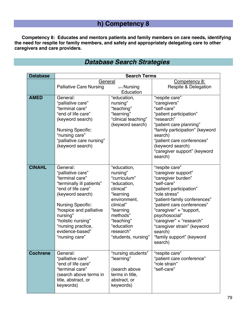## **h) Competency 8**

**Competency 8: Educates and mentors patients and family members on care needs, identifying the need for respite for family members, and safely and appropriately delegating care to other caregivers and care providers.** 

| <b>Database</b> | <b>Search Terms</b>                                                                                                                                                                                                                                                         |                                                                                                                                                                                                        |                                                                                                                                                                                                                                                                                                                                                |  |
|-----------------|-----------------------------------------------------------------------------------------------------------------------------------------------------------------------------------------------------------------------------------------------------------------------------|--------------------------------------------------------------------------------------------------------------------------------------------------------------------------------------------------------|------------------------------------------------------------------------------------------------------------------------------------------------------------------------------------------------------------------------------------------------------------------------------------------------------------------------------------------------|--|
|                 | General<br><b>Palliative Care Nursing</b>                                                                                                                                                                                                                                   | $(+/-)$ Nursing<br>Education                                                                                                                                                                           | Competency 8:<br><b>Respite &amp; Delegation</b>                                                                                                                                                                                                                                                                                               |  |
| <b>AMED</b>     | General:<br>"palliative care"<br>"terminal care"<br>"end of life care"<br>(keyword search)<br><b>Nursing Specific:</b><br>"nursing care"<br>"palliative care nursing"<br>(keyword search)                                                                                   | "education,<br>nursing"<br>"teaching"<br>"learning"<br>"clinical teaching"<br>(keyword search)                                                                                                         | "respite care"<br>"caregivers"<br>"self-care"<br>"patient participation"<br>"research"<br>"patient care planning"<br>"family participation" (keyword<br>search)<br>"patient care conferences"<br>(keyword search)<br>"caregiver support" (keyword<br>search)                                                                                   |  |
| <b>CINAHL</b>   | General:<br>"palliative care"<br>"terminal care"<br>"terminally ill patients"<br>"end of life care"<br>(keyword search)<br><b>Nursing Specific:</b><br>"hospice and palliative<br>nursing"<br>"holistic nursing"<br>"nursing practice,<br>evidence-based"<br>"nursing care" | "education,<br>nursing"<br>"curriculum"<br>"education,<br>clinical"<br>"learning<br>environment,<br>clinical"<br>"learning<br>methods"<br>"teaching"<br>"education<br>research"<br>"students, nursing" | "respite care"<br>"caregiver support"<br>"caregiver burden"<br>"self-care"<br>"patient participation"<br>"role stress"<br>"patient-family conferences"<br>"patient care conferences"<br>"caregiver" + "support,<br>psychosocial"<br>"caregiver" + "research"<br>"caregiver strain" (keyword<br>search)<br>"family support" (keyword<br>search) |  |
| <b>Cochrane</b> | General:<br>"palliative care"<br>"end of life care"<br>"terminal care"<br>(search above terms in<br>title, abstract, or<br>keywords)                                                                                                                                        | "nursing students"<br>"learning"<br>(search above<br>terms in title,<br>abstract, or<br>keywords)                                                                                                      | "respite care"<br>"patient care conference"<br>"role strain"<br>"self-care"                                                                                                                                                                                                                                                                    |  |

## *Database Search Strategies*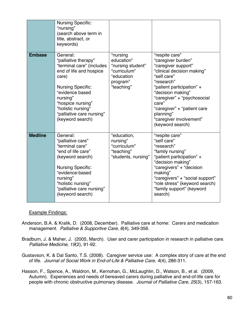| <b>Nursing Specific:</b><br>"nursing"<br>(search above term in<br>title, abstract, or<br>keywords) |                                                                                                                                                                                                                                                          |                                                                                                     |                                                                                                                                                                                                                                                                                                             |
|----------------------------------------------------------------------------------------------------|----------------------------------------------------------------------------------------------------------------------------------------------------------------------------------------------------------------------------------------------------------|-----------------------------------------------------------------------------------------------------|-------------------------------------------------------------------------------------------------------------------------------------------------------------------------------------------------------------------------------------------------------------------------------------------------------------|
| <b>Embase</b>                                                                                      | General:<br>"palliative therapy"<br>"terminal care" (includes<br>end of life and hospice<br>care)<br><b>Nursing Specific:</b><br>"evidence based<br>nursing"<br>"hospice nursing"<br>"holistic nursing"<br>"palliative care nursing"<br>(keyword search) | "nursing<br>education"<br>"nursing student"<br>"curriculum"<br>"education<br>program"<br>"teaching" | "respite care"<br>"caregiver burden"<br>"caregiver support"<br>"clinical decision making"<br>"self care"<br>"research"<br>"patient participation" +<br>"decision making"<br>"caregiver" + "psychosocial<br>care"<br>"caregiver" + "patient care<br>planning"<br>"caregiver involvement"<br>(keyword search) |
| <b>Medline</b>                                                                                     | General:<br>"palliative care"<br>"terminal care"<br>"end of life care"<br>(keyword search)<br><b>Nursing Specific:</b><br>"evidence-based<br>nursing"<br>"holistic nursing"<br>"palliative care nursing"<br>(keyword search)                             | "education,<br>nursing"<br>"curriculum"<br>"teaching"<br>"students, nursing"                        | "respite care"<br>"self care"<br>"research"<br>"family nursing"<br>"patient participation" +<br>"decision making"<br>"caregivers" + "decision<br>making"<br>"caregivers" + "social support"<br>"role stress" (keyword search)<br>"family support" (keyword<br>search)                                       |

#### Example Findings:

- Anderson, B.A. & Kralik, D. (2008, December). Palliative care at home: Carers and medication management. *Palliative & Supportive Care, 6*(4), 349-356.
- Bradburn, J. & Maher, J. (2005, March). User and carer participation in research in palliative care. *Palliative Medicine, 19*(2), 91-92.
- Gustavson, K. & Dal Santo, T.S. (2008). Caregiver service use: A complex story of care at the end of life. *Journal of Social Work in End-of-Life & Palliative Care, 4*(4), 286-311.
- Hasson, F., Spence, A., Waldron, M., Kernohan, G., McLaughlin, D., Watson, B., et al. (2009, Autumn). Experiences and needs of bereaved carers during palliative and end-of-life care for people with chronic obstructive pulmonary disease. *Journal of Palliative Care, 25*(3), 157-163.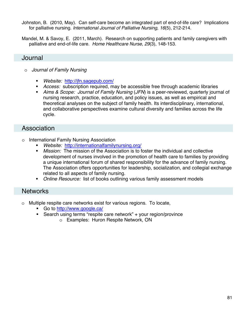- Johnston, B. (2010, May). Can self-care become an integrated part of end-of-life care? Implications for palliative nursing. *International Journal of Palliative Nursing, 16*(5), 212-214.
- Mandel, M. & Savoy, E. (2011, March). Research on supporting patients and family caregivers with palliative and end-of-life care. *Home Healthcare Nurse, 29*(3), 148-153.

### Journal

- o *Journal of Family Nursing* 
	- *Website:* http://jfn.sagepub.com/
	- *Access:* subscription required, may be accessible free through academic libraries
	- *Aims & Scope: Journal of Family Nursing* (*JFN*) is a peer-reviewed, quarterly journal of nursing research, practice, education, and policy issues, as well as empirical and theoretical analyses on the subject of family health. Its interdisciplinary, international, and collaborative perspectives examine cultural diversity and families across the life cycle.

### Association

- o International Family Nursing Association
	- *Website:* http://internationalfamilynursing.org/
	- *Mission:* The mission of the Association is to foster the individual and collective development of nurses involved in the promotion of health care to families by providing a unique international forum of shared responsibility for the advance of family nursing. The Association offers opportunities for leadership, socialization, and collegial exchange related to all aspects of family nursing.
	- *Online Resource:* list of books outlining various family assessment models

### **Networks**

- o Multiple respite care networks exist for various regions. To locate,
	- Go to http://www.google.ca/
	- Search using terms "respite care network" + your region/province
		- o Examples: Huron Respite Network, ON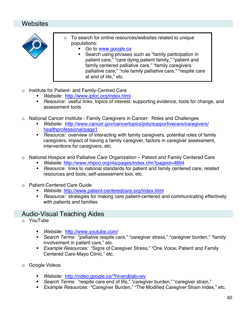## Websites



- o To search for online resources/websites related to unique populations:
	- Go to www.google.ca
	- Search using phrases such as "family participation in patient care," "care dying patient family," "patient and family centered palliative care," "family caregivers palliative care," "role family palliative care," "respite care at end of life," etc.
- o Institute for Patient- and Family-Centred Care
	- *Website:* http://www.ipfcc.org/index.html
	- *Resource:* useful links, topics of interest, supporting evidence, tools for change, and assessment tools
- o National Cancer Institute Family Caregivers in Cancer: Roles and Challenges
	- *Website:* http://www.cancer.gov/cancertopics/pdq/supportivecare/caregivers/ healthprofessional/page1
	- *Resource:* overview of interacting with family caregivers, potential roles of family caregivers, impact of having a family caregiver, factors in caregiver assessment, interventions for caregivers, etc.
- o National Hospice and Palliative Care Organization Patient and Family Centered Care
	- *Website:* http://www.nhpco.org/i4a/pages/index.cfm?pageid=4894
	- *Resource:* links to national standards for patient and family centered care, related resources and tools, self-assessment tool, etc.
- o Patient-Centered Care Guide
	- *Website:* http://www.patient-centeredcare.org/index.html
	- *Resource:* strategies for making care patient-centered and communicating effectively with patients and families

### Audio-Visual Teaching Aides

- o YouTube
	- *Website:* http://www.youtube.com/
	- *Search Terms:* "palliative respite care," "caregiver stress," "caregiver burden," "family involvement in patient care," etc.
	- *Example Resources:* "Signs of Caregiver Stress," "One Voice, Patient and Family Centered Care-Mayo Clinic," etc.
- o Google Videos
	- *Website:* http://video.google.ca/?hl=en&tab=wv
	- *Search Terms:* "respite care end of life," "caregiver burden," "caregiver strain,"
	- *Example Resources:* "Caregiver Burden," "The Modified Caregiver Strain Index," etc.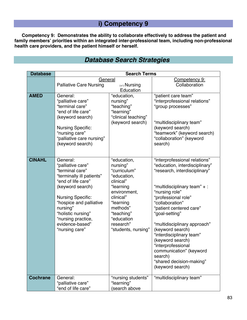## **i) Competency 9**

**Competency 9: Demonstrates the ability to collaborate effectively to address the patient and family members' priorities within an integrated inter-professional team, including non-professional health care providers, and the patient himself or herself.** 

|  | <b>Database Search Strategies</b> |
|--|-----------------------------------|
|  |                                   |

| <b>Database</b> | <b>Search Terms</b>                                                                                                                                                                                                                                                         |                                                                                                                                                                                                        |                                                                                                                                                                                                                                                                                                                                                                                                                                                             |
|-----------------|-----------------------------------------------------------------------------------------------------------------------------------------------------------------------------------------------------------------------------------------------------------------------------|--------------------------------------------------------------------------------------------------------------------------------------------------------------------------------------------------------|-------------------------------------------------------------------------------------------------------------------------------------------------------------------------------------------------------------------------------------------------------------------------------------------------------------------------------------------------------------------------------------------------------------------------------------------------------------|
|                 | General                                                                                                                                                                                                                                                                     | $(+/-)$ Nursing                                                                                                                                                                                        | Competency 9:                                                                                                                                                                                                                                                                                                                                                                                                                                               |
|                 | <b>Palliative Care Nursing</b>                                                                                                                                                                                                                                              | Collaboration                                                                                                                                                                                          |                                                                                                                                                                                                                                                                                                                                                                                                                                                             |
| <b>AMED</b>     | General:<br>"palliative care"<br>"terminal care"<br>"end of life care"<br>(keyword search)<br><b>Nursing Specific:</b><br>"nursing care"<br>"palliative care nursing"<br>(keyword search)                                                                                   | Education<br>"education,<br>nursing"<br>"teaching"<br>"learning"<br>"clinical teaching"<br>(keyword search)                                                                                            | "patient care team"<br>"interprofessional relations"<br>"group processes"<br>"multidisciplinary team"<br>(keyword search)<br>"teamwork" (keyword search)<br>"collaboration" (keyword<br>search)                                                                                                                                                                                                                                                             |
| <b>CINAHL</b>   | General:<br>"palliative care"<br>"terminal care"<br>"terminally ill patients"<br>"end of life care"<br>(keyword search)<br><b>Nursing Specific:</b><br>"hospice and palliative<br>nursing"<br>"holistic nursing"<br>"nursing practice,<br>evidence-based"<br>"nursing care" | "education,<br>nursing"<br>"curriculum"<br>"education,<br>clinical"<br>"learning<br>environment,<br>clinical"<br>"learning<br>methods"<br>"teaching"<br>"education<br>research"<br>"students, nursing" | "interprofessional relations"<br>"education, interdisciplinary"<br>"research, interdisciplinary"<br>"multidisciplinary team" $+$ :<br>"nursing role"<br>"professional role"<br>"collaboration"<br>"patient centered care"<br>"goal-setting"<br>"multidisciplinary approach"<br>(keyword search)<br>"interdisciplinary team"<br>(keyword search)<br>"interprofessional<br>communication" (keyword<br>search)<br>"shared decision-making"<br>(keyword search) |
| <b>Cochrane</b> | General:<br>"palliative care"<br>"end of life care"                                                                                                                                                                                                                         | "nursing students"<br>"learning"<br>(search above                                                                                                                                                      | "multidisciplinary team"                                                                                                                                                                                                                                                                                                                                                                                                                                    |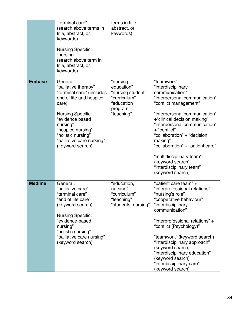|                | "terminal care"<br>(search above terms in<br>title, abstract, or<br>keywords)<br><b>Nursing Specific:</b><br>"nursing"<br>(search above term in<br>title, abstract, or                                                                                   | terms in title,<br>abstract, or<br>keywords)                                                        |                                                                                                                                                                                                                                                                                                                                                                                                             |
|----------------|----------------------------------------------------------------------------------------------------------------------------------------------------------------------------------------------------------------------------------------------------------|-----------------------------------------------------------------------------------------------------|-------------------------------------------------------------------------------------------------------------------------------------------------------------------------------------------------------------------------------------------------------------------------------------------------------------------------------------------------------------------------------------------------------------|
|                | keywords)                                                                                                                                                                                                                                                |                                                                                                     |                                                                                                                                                                                                                                                                                                                                                                                                             |
| <b>Embase</b>  | General:<br>"palliative therapy"<br>"terminal care" (includes<br>end of life and hospice<br>care)<br><b>Nursing Specific:</b><br>"evidence based<br>nursing"<br>"hospice nursing"<br>"holistic nursing"<br>"palliative care nursing"<br>(keyword search) | "nursing<br>education"<br>"nursing student"<br>"curriculum"<br>"education<br>program"<br>"teaching" | "teamwork"<br>"interdisciplinary<br>communication"<br>"interpersonal communication"<br>"conflict management"<br>"interpersonal communication"<br>+"clinical decision making"<br>"interpersonal communication"<br>+ "conflict"<br>"collaboration" + "decision<br>making"<br>"collaboration" + "patient care"<br>"multidisciplinary team"<br>(keyword search)<br>"interdisciplinary team"<br>(keyword search) |
| <b>Medline</b> | General:<br>"palliative care"<br>"terminal care"<br>"end of life care"<br>(keyword search)<br><b>Nursing Specific:</b><br>"evidence-based<br>nursing"<br>"holistic nursing"<br>"palliative care nursing"<br>(keyword search)                             | "education,<br>nursing"<br>"curriculum"<br>"teaching"<br>"students, nursing"                        | "patient care team" + :<br>"interprofessional relations"<br>"nursing's role"<br>"cooperative behaviour"<br>"interdisciplinary<br>communication"<br>"interprofessional relations" +<br>"conflict (Psychology)"<br>"teamwork" (keyword search)<br>"interdisciplinary approach"<br>(keyword search)<br>"interdisciplinary education"<br>(keyword search)<br>"interdisciplinary care"<br>(keyword search)       |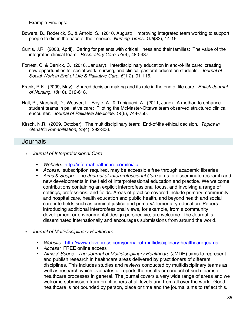#### Example Findings:

- Bowers, B., Roderick, S., & Arnold, S. (2010, August). Improving integrated team working to support people to die in the pace of their choice. *Nursing Times, 106*(32), 14-16.
- Curtis, J.R. (2008, April). Caring for patients with critical illness and their families: The value of the integrated clinical team. *Respiratory Care, 53*(4), 480-487.
- Forrest, C. & Derrick, C. (2010, January). Interdisciplinary education in end-of-life care: creating new opportunities for social work, nursing, and clinical pastoral education students. *Journal of Social Work in End-of-Life & Palliative Care, 6*(1-2), 91-116.
- Frank, R.K. (2009, May). Shared decision making and its role in the end of life care. *British Journal of Nursing, 18*(10), 612-618.
- Hall, P., Marshall, D., Weaver, L., Boyle, A., & Taniguchi, A. (2011, June). A method to enhance student teams in palliative care: Piloting the McMaster-Ottawa team observed structured clinical encounter. *Journal of Palliative Medicine, 14*(6), 744-750.
- Kirsch, N.R. (2009, October). The multidisciplinary team: End-of-life ethical decision. *Topics in Geriatric Rehabilitation, 25*(4), 292-306.

#### Journals

- o *Journal of Interprofessional Care* 
	- *Website:* http://informahealthcare.com/loi/jic
	- *Access:* subscription required, may be accessible free through academic libraries
	- *Aims & Scope:* The *Journal of Interprofessional Care* aims to disseminate research and new developments in the field of interprofessional education and practice. We welcome contributions containing an explicit interprofessional focus, and involving a range of settings, professions, and fields. Areas of practice covered include primary, community and hospital care, health education and public health, and beyond health and social care into fields such as criminal justice and primary/elementary education. Papers introducing additional interprofessional views, for example, from a community development or environmental design perspective, are welcome. The Journal is disseminated internationally and encourages submissions from around the world.
- o *Journal of Multidisciplinary Healthcare* 
	- *Website:* http://www.dovepress.com/journal-of-multidisciplinary-healthcare-journal
	- *Access:* FREE online access
	- *Aims & Scope: The Journal of Multidisciplinary Healthcare* (JMDH) aims to represent and publish research in healthcare areas delivered by practitioners of different disciplines. This includes studies and reviews conducted by multidisciplinary teams as well as research which evaluates or reports the results or conduct of such teams or healthcare processes in general. The journal covers a very wide range of areas and we welcome submission from practitioners at all levels and from all over the world. Good healthcare is not bounded by person, place or time and the journal aims to reflect this.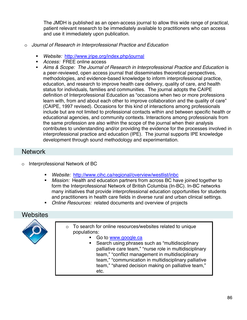The JMDH is published as an open-access journal to allow this wide range of practical, patient relevant research to be immediately available to practitioners who can access and use it immediately upon publication.

- o *Journal of Research in Interprofessional Practice and Education* 
	- *Website:* http://www.jripe.org/index.php/journal
	- *Access:* FREE online access
	- *Aims & Scope: The Journal of Research in Interprofessional Practice and Education* is a peer-reviewed, open access journal that disseminates theoretical perspectives, methodologies, and evidence-based knowledge to inform interprofessional practice, education, and research to improve health care delivery, quality of care, and health status for individuals, families and communities. The journal adopts the CAIPE definition of Interprofessional Education as "occasions when two or more professions learn with, from and about each other to improve collaboration and the quality of care" (CAIPE, 1997 revised). Occasions for this kind of interactions among professionals include but are not limited to professional contacts within and between specific health or educational agencies, and community contexts. Interactions among professionals from the same profession are also within the scope of the journal when their analysis contributes to understanding and/or providing the evidence for the processes involved in interprofessional practice and education (IPE). The journal supports IPE knowledge development through sound methodology and experimentation.

### **Network**

- Interprofessional Network of BC
	- *Website:* http://www.cihc.ca/regional/overview/westlist/inbc
	- *Mission:* Health and education partners from across BC have joined together to form the Interprofessional Network of British Columbia (In-BC). In-BC networks many initiatives that provide interprofessional education opportunities for students and practitioners in health care fields in diverse rural and urban clinical settings.
	- *Online Resources:* related documents and overview of projects

### **Websites**



- o To search for online resources/websites related to unique populations:
	- Go to www.google.ca
	- Search using phrases such as "multidisciplinary palliative care team," "nurse role in multidisciplinary team," "conflict management in multidisciplinary team," "communication in multidisciplinary palliative team," "shared decision making on palliative team," etc.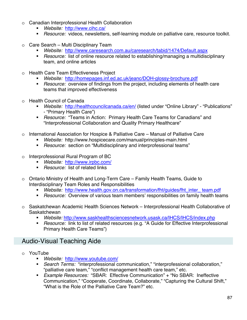- o Canadian Interprofessional Health Collaboration
	- *Website:* http://www.cihc.ca/
	- *Resource:* videos, newsletters, self-learning module on palliative care, resource toolkit.
- o Care Search Multi Disciplinary Team
	- *Website:* http://www.caresearch.com.au/caresearch/tabid/1474/Default.aspx
	- *Resource:* list of online resource related to establishing/managing a multidisciplinary team, and online articles
- o Health Care Team Effectiveness Project
	- *Website:* http://homepages.inf.ed.ac.uk/jeanc/DOH-glossy-brochure.pdf
	- *Resource:* overview of findings from the project, including elements of health care teams that improved effectiveness
- o Health Council of Canada
	- *Website:* http://healthcouncilcanada.ca/en/ (listed under "Online Library" "Publications" - "Primary Health Care")
	- *Resource:* "Teams in Action: Primary Health Care Teams for Canadians" and "Interprofessional Collaboration and Quality Primary Healthcare"
- o International Association for Hospice & Palliative Care Manual of Palliative Care
	- *Website:* http://www.hospicecare.com/manual/principles-main.html
	- *Resource:* section on "Multidisciplinary and interprofessional teams"
- o Interprofessional Rural Program of BC
	- *Website:* http://www.irpbc.com/
	- *Resource:* list of related links
- o Ontario Ministry of Health and Long-Term Care Family Health Teams, Guide to Interdisciplinary Team Roles and Responsibilities
	- *Website:* http://www.health.gov.on.ca/transformation/fht/guides/fht\_inter\_ team.pdf
	- *Resource:* Overview of various team members' responsibilities on family health teams
- o Saskatchewan Academic Health Sciences Network Interprofessional Health Collaborative of Saskatchewan
	- *Website:* http://www.saskhealthsciencesnetwork.usask.ca/IHCS/IHCS/index.php
	- *Resource:* link to list of related resources (e.g. "A Guide for Effective Interprofessional Primary Health Care Teams")

## Audio-Visual Teaching Aide

- o YouTube
	- *Website:* http://www.youtube.com/
	- *Search Terms:* "interprofessional communication," "interprofessional collaboration," "palliative care team," "conflict management health care team," etc.
	- *Example Resources:* "SBAR: Effective Communication" + "No SBAR: Ineffective Communication," "Cooperate, Coordinate, Collaborate," "Capturing the Cultural Shift," "What is the Role of the Palliative Care Team?" etc.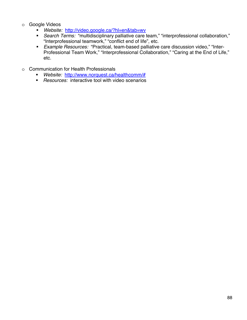- o Google Videos
	- *Website:* http://video.google.ca/?hl=en&tab=wv
	- *Search Terms:* "multidisciplinary palliative care team," "interprofessional collaboration," "Interprofessional teamwork," "conflict end of life", etc.
	- *Example Resources:* "Practical, team-based palliative care discussion video," "Inter-Professional Team Work," "Interprofessional Collaboration," "Caring at the End of Life," etc.
- o Communication for Health Professionals
	- *Website:* http://www.norquest.ca/healthcomm/#
	- *Resources:* interactive tool with video scenarios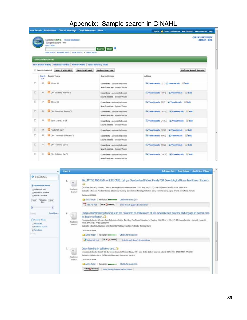## Appendix: Sample search in CINAHL

|   |                       |                     | New Search Publications CINAHL Headings Cited References More -                     |                |                                                                  | Sign In 19 Fisher Preferences New Featured Ask A Librarian Rets                |
|---|-----------------------|---------------------|-------------------------------------------------------------------------------------|----------------|------------------------------------------------------------------|--------------------------------------------------------------------------------|
|   | 18CO.                 | Field Codes         | Searching: CENAHL Choose Databases =<br>[iii] Suppert Subject Terms                 |                |                                                                  | QUEEN'S UNIVERSITY<br>LIBRARY - BHSL                                           |
|   |                       |                     | Basic Search   Advanced Search   Visual Search   - Search History                   |                | Search Clear                                                     |                                                                                |
|   |                       |                     |                                                                                     |                |                                                                  |                                                                                |
|   | Search History/Alerts |                     | Print Search History   Retrieve Searches   Retrieve Alerts   Save Searches / Alerts |                |                                                                  |                                                                                |
|   |                       |                     | Select / desilect all Search with AND                                               | Search with OR | <b>Delete Searches</b>                                           | <b>Refresh Search Results</b>                                                  |
|   | 10 e                  | Search Search Terms |                                                                                     |                | Sisanch Options                                                  | <b>Actions</b>                                                                 |
| 四 | 59                    | S s7 and S8         |                                                                                     |                | Expanders - Apply related words<br>Search modes - Bosinar/Phrase | <sup>55</sup> View Results (2) If View Details in Edit                         |
| 四 | $^{58}$               |                     | (3 (MH "Learning Methods")                                                          |                | Expanders - Apply related words<br>Search modes - Booksa/Phrase  | EN View Results (4004) LE View Details LE Edit                                 |
| 四 | 52                    | 13 st and so        |                                                                                     |                | Expanders - Apply related words<br>Search modes - Bookard Phrase | <sup>55</sup> View Results (220) L. View Details L. Edit                       |
| E | 58.                   |                     | (3 (M4 "Education, Nursing")                                                        |                | Expanders - Apply related words<br>Search modes - Bookard Phrase | <sup>53</sup> View Results (24757) <i>L.</i> View Details and Edit             |
| 司 | 55                    |                     | St or 52 or 53 or 54                                                                |                | Expanders - Apply related words<br>Search modes - Bookard Phrase | <sup>55</sup> View Results (24763) L. View Details Le Edit                     |
| 罚 | S4                    |                     | <sup>1</sup> end of life care"                                                      |                | Expanders - Apply rationd words                                  | SN View Results (3226) (A View Details 1960 Edit                               |
| 司 | 53                    |                     | [13 (MH "Terminally II Patients")                                                   |                | Expanders - Apply related words<br>Search modes - Bookard Phrase | <sup>55</sup> View Results (6095) <i>L. View Details</i> all Edit              |
| 四 | 52                    |                     | (3) (MK "Terminal Care").                                                           |                | Expanders - Apply related words<br>Search modes - Bookard Phrase | <sup>EN</sup> View Results (8662) <b><i>L</i></b> View Details <b>and Edit</b> |
| 司 | 51                    |                     | [13] (MH "Pallative Care").                                                         |                | Expanders - Apply related words<br>Search modes - Bookard Phrase | <sup>13</sup> View Results (14052) <i>U</i> View Details and Edit              |